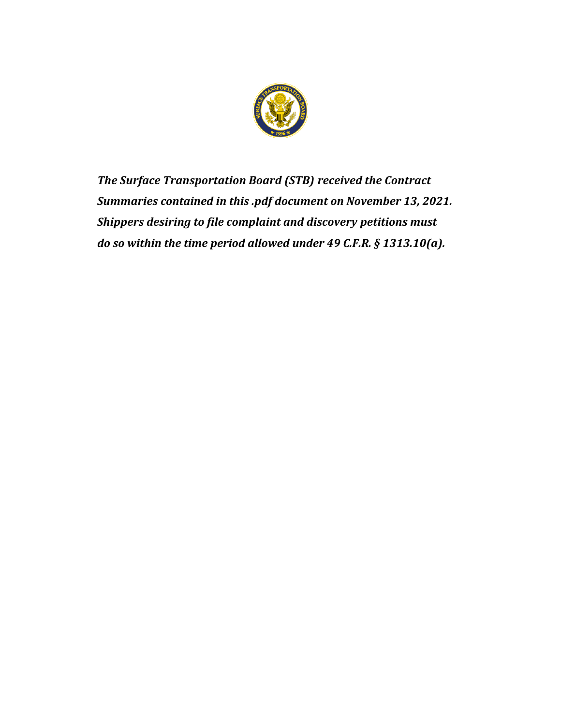

*The Surface Transportation Board (STB) received the Contract Summaries contained in this .pdf document on November 13, 2021. Shippers desiring to file complaint and discovery petitions must do so within the time period allowed under 49 C.F.R. § 1313.10(a).*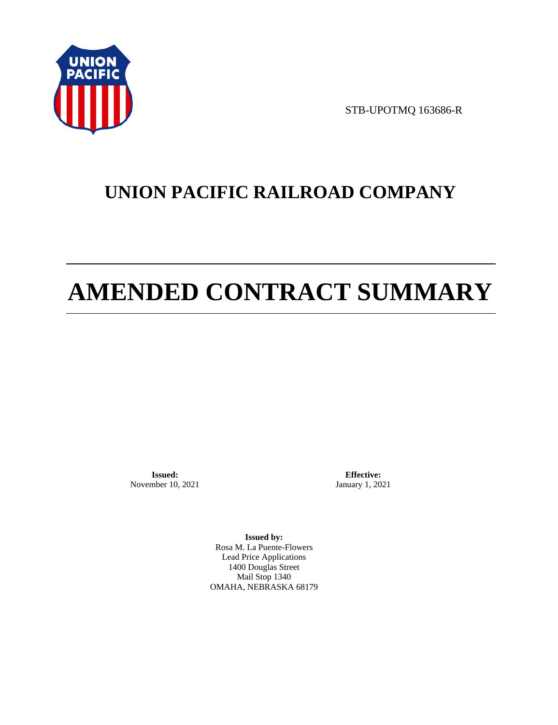

STB-UPOTMQ 163686-R

# **UNION PACIFIC RAILROAD COMPANY**

# **AMENDED CONTRACT SUMMARY**

**Issued:**  November 10, 2021

**Effective:** January 1, 2021

**Issued by:**  Rosa M. La Puente-Flowers Lead Price Applications 1400 Douglas Street Mail Stop 1340 OMAHA, NEBRASKA 68179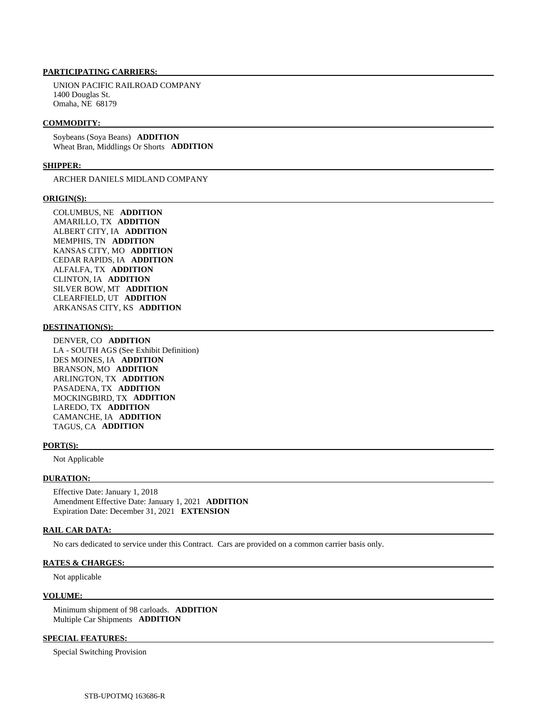# **PARTICIPATING CARRIERS:**

 UNION PACIFIC RAILROAD COMPANY 1400 Douglas St. Omaha, NE 68179

#### **COMMODITY:**

 Soybeans (Soya Beans) **ADDITION**  Wheat Bran, Middlings Or Shorts **ADDITION** 

## **SHIPPER:**

ARCHER DANIELS MIDLAND COMPANY

## **ORIGIN(S):**

 COLUMBUS, NE **ADDITION**  AMARILLO, TX **ADDITION**  ALBERT CITY, IA **ADDITION**  MEMPHIS, TN **ADDITION**  KANSAS CITY, MO **ADDITION**  CEDAR RAPIDS, IA **ADDITION**  ALFALFA, TX **ADDITION**  CLINTON, IA **ADDITION**  SILVER BOW, MT **ADDITION**  CLEARFIELD, UT **ADDITION**  ARKANSAS CITY, KS **ADDITION** 

# **DESTINATION(S):**

 DENVER, CO **ADDITION**  LA - SOUTH AGS (See Exhibit Definition) DES MOINES, IA **ADDITION**  BRANSON, MO **ADDITION**  ARLINGTON, TX **ADDITION**  PASADENA, TX **ADDITION**  MOCKINGBIRD, TX **ADDITION**  LAREDO, TX **ADDITION**  CAMANCHE, IA **ADDITION**  TAGUS, CA **ADDITION** 

#### **PORT(S):**

Not Applicable

#### **DURATION:**

 Effective Date: January 1, 2018 Amendment Effective Date: January 1, 2021 **ADDITION**  Expiration Date: December 31, 2021 **EXTENSION** 

# **RAIL CAR DATA:**

No cars dedicated to service under this Contract. Cars are provided on a common carrier basis only.

#### **RATES & CHARGES:**

Not applicable

#### **VOLUME:**

 Minimum shipment of 98 carloads. **ADDITION**  Multiple Car Shipments **ADDITION** 

## **SPECIAL FEATURES:**

Special Switching Provision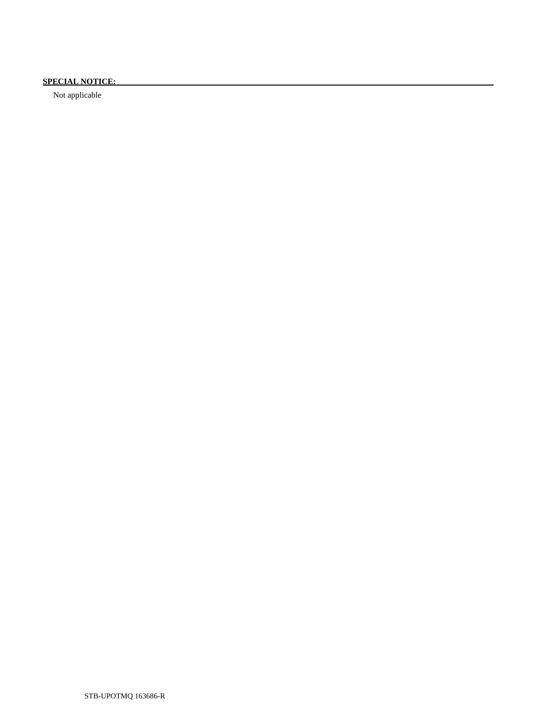# **SPECIAL NOTICE:**

Not applicable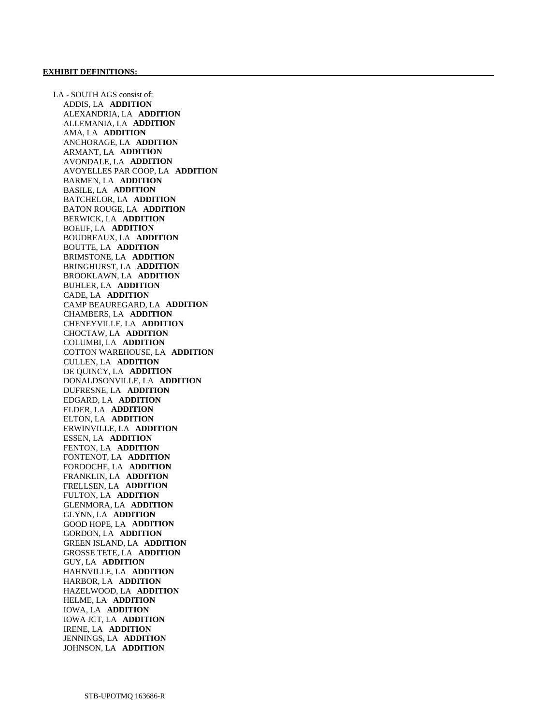LA - SOUTH AGS consist of: ADDIS, LA **ADDITION**  ALEXANDRIA, LA **ADDITION**  ALLEMANIA, LA **ADDITION**  AMA, LA **ADDITION**  ANCHORAGE, LA **ADDITION**  ARMANT, LA **ADDITION**  AVONDALE, LA **ADDITION**  AVOYELLES PAR COOP, LA **ADDITION**  BARMEN, LA **ADDITION**  BASILE, LA **ADDITION**  BATCHELOR, LA **ADDITION**  BATON ROUGE, LA **ADDITION**  BERWICK, LA **ADDITION**  BOEUF, LA **ADDITION**  BOUDREAUX, LA **ADDITION**  BOUTTE, LA **ADDITION**  BRIMSTONE, LA **ADDITION**  BRINGHURST, LA **ADDITION**  BROOKLAWN, LA **ADDITION**  BUHLER, LA **ADDITION**  CADE, LA **ADDITION**  CAMP BEAUREGARD, LA **ADDITION**  CHAMBERS, LA **ADDITION**  CHENEYVILLE, LA **ADDITION**  CHOCTAW, LA **ADDITION**  COLUMBI, LA **ADDITION**  COTTON WAREHOUSE, LA **ADDITION**  CULLEN, LA **ADDITION**  DE QUINCY, LA **ADDITION**  DONALDSONVILLE, LA **ADDITION**  DUFRESNE, LA **ADDITION**  EDGARD, LA **ADDITION**  ELDER, LA **ADDITION**  ELTON, LA **ADDITION**  ERWINVILLE, LA **ADDITION**  ESSEN, LA **ADDITION**  FENTON, LA **ADDITION**  FONTENOT, LA **ADDITION**  FORDOCHE, LA **ADDITION**  FRANKLIN, LA **ADDITION**  FRELLSEN, LA **ADDITION**  FULTON, LA **ADDITION**  GLENMORA, LA **ADDITION**  GLYNN, LA **ADDITION**  GOOD HOPE, LA **ADDITION**  GORDON, LA **ADDITION**  GREEN ISLAND, LA **ADDITION**  GROSSE TETE, LA **ADDITION**  GUY, LA **ADDITION**  HAHNVILLE, LA **ADDITION**  HARBOR, LA **ADDITION**  HAZELWOOD, LA **ADDITION**  HELME, LA **ADDITION**  IOWA, LA **ADDITION**  IOWA JCT, LA **ADDITION**  IRENE, LA **ADDITION**  JENNINGS, LA **ADDITION**  JOHNSON, LA **ADDITION**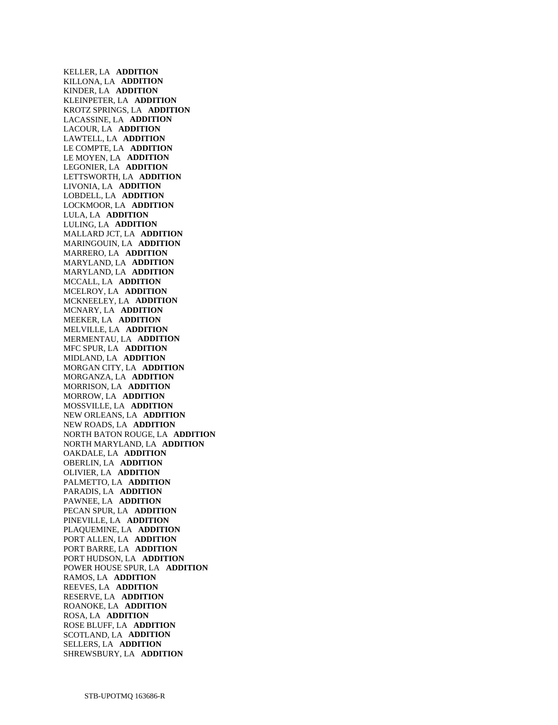KELLER, LA **ADDITION**  KILLONA, LA **ADDITION**  KINDER, LA **ADDITION**  KLEINPETER, LA **ADDITION**  KROTZ SPRINGS, LA **ADDITION**  LACASSINE, LA **ADDITION**  LACOUR, LA **ADDITION**  LAWTELL, LA **ADDITION**  LE COMPTE, LA **ADDITION**  LE MOYEN, LA **ADDITION**  LEGONIER, LA **ADDITION**  LETTSWORTH, LA **ADDITION**  LIVONIA, LA **ADDITION**  LOBDELL, LA **ADDITION**  LOCKMOOR, LA **ADDITION**  LULA, LA **ADDITION**  LULING, LA **ADDITION**  MALLARD JCT, LA **ADDITION**  MARINGOUIN, LA **ADDITION**  MARRERO, LA **ADDITION**  MARYLAND, LA **ADDITION**  MARYLAND, LA **ADDITION**  MCCALL, LA **ADDITION**  MCELROY, LA **ADDITION**  MCKNEELEY, LA **ADDITION**  MCNARY, LA **ADDITION**  MEEKER, LA **ADDITION**  MELVILLE, LA **ADDITION**  MERMENTAU, LA **ADDITION**  MFC SPUR, LA **ADDITION**  MIDLAND, LA **ADDITION**  MORGAN CITY, LA **ADDITION**  MORGANZA, LA **ADDITION**  MORRISON, LA **ADDITION**  MORROW, LA **ADDITION**  MOSSVILLE, LA **ADDITION**  NEW ORLEANS, LA **ADDITION**  NEW ROADS, LA **ADDITION**  NORTH BATON ROUGE, LA **ADDITION**  NORTH MARYLAND, LA **ADDITION**  OAKDALE, LA **ADDITION**  OBERLIN, LA **ADDITION**  OLIVIER, LA **ADDITION**  PALMETTO, LA **ADDITION**  PARADIS, LA **ADDITION**  PAWNEE, LA **ADDITION**  PECAN SPUR, LA **ADDITION**  PINEVILLE, LA **ADDITION**  PLAQUEMINE, LA **ADDITION**  PORT ALLEN, LA **ADDITION**  PORT BARRE, LA **ADDITION**  PORT HUDSON, LA **ADDITION**  POWER HOUSE SPUR, LA **ADDITION**  RAMOS, LA **ADDITION**  REEVES, LA **ADDITION**  RESERVE, LA **ADDITION**  ROANOKE, LA **ADDITION**  ROSA, LA **ADDITION**  ROSE BLUFF, LA **ADDITION**  SCOTLAND, LA **ADDITION**  SELLERS, LA **ADDITION**  SHREWSBURY, LA **ADDITION**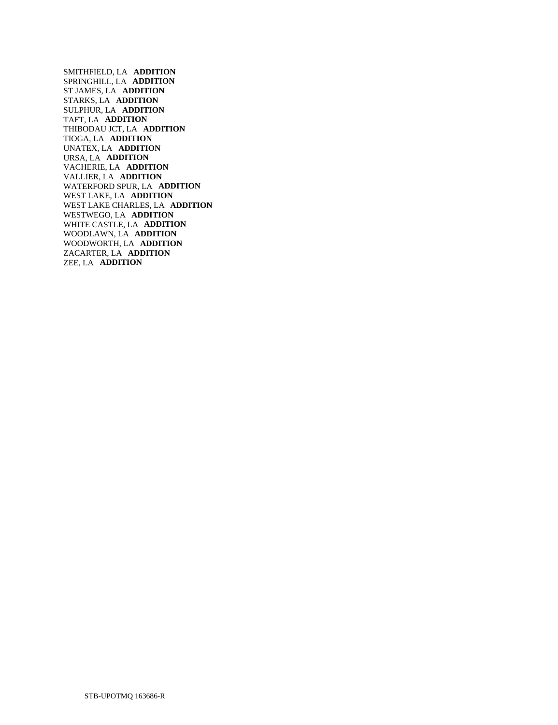SMITHFIELD, LA **ADDITION**  SPRINGHILL, LA **ADDITION**  ST JAMES, LA **ADDITION**  STARKS, LA **ADDITION**  SULPHUR, LA **ADDITION**  TAFT, LA **ADDITION**  THIBODAU JCT, LA **ADDITION**  TIOGA, LA **ADDITION**  UNATEX, LA **ADDITION**  URSA, LA **ADDITION**  VACHERIE, LA **ADDITION**  VALLIER, LA **ADDITION**  WATERFORD SPUR, LA **ADDITION**  WEST LAKE, LA **ADDITION**  WEST LAKE CHARLES, LA **ADDITION**  WESTWEGO, LA **ADDITION**  WHITE CASTLE, LA **ADDITION**  WOODLAWN, LA **ADDITION**  WOODWORTH, LA **ADDITION**  ZACARTER, LA **ADDITION**  ZEE, LA **ADDITION**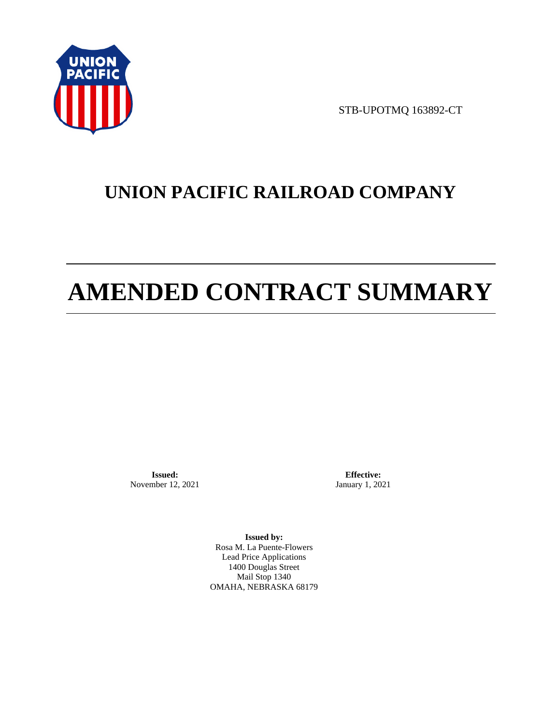

STB-UPOTMQ 163892-CT

# **UNION PACIFIC RAILROAD COMPANY**

# **AMENDED CONTRACT SUMMARY**

**Issued:**  November 12, 2021

**Effective:** January 1, 2021

**Issued by:**  Rosa M. La Puente-Flowers Lead Price Applications 1400 Douglas Street Mail Stop 1340 OMAHA, NEBRASKA 68179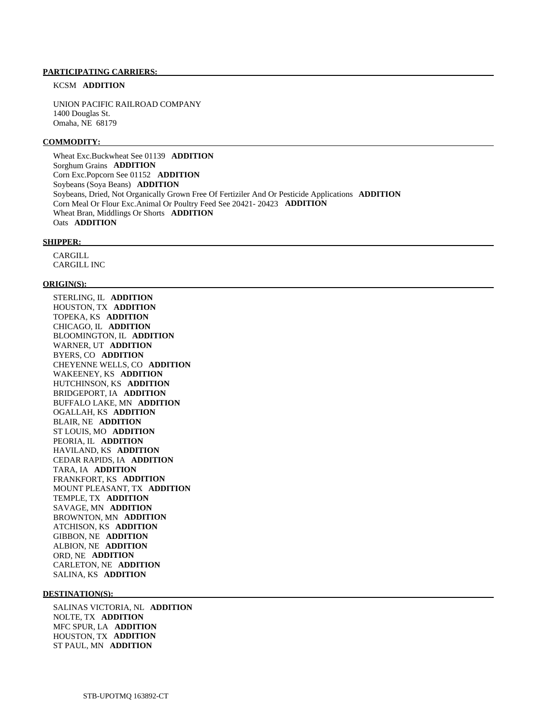# **PARTICIPATING CARRIERS:**

# KCSM **ADDITION**

 UNION PACIFIC RAILROAD COMPANY 1400 Douglas St. Omaha, NE 68179

#### **COMMODITY:**

 Wheat Exc.Buckwheat See 01139 **ADDITION**  Sorghum Grains **ADDITION**  Corn Exc.Popcorn See 01152 **ADDITION**  Soybeans (Soya Beans) **ADDITION**  Soybeans, Dried, Not Organically Grown Free Of Fertiziler And Or Pesticide Applications **ADDITION**  Corn Meal Or Flour Exc.Animal Or Poultry Feed See 20421- 20423 **ADDITION**  Wheat Bran, Middlings Or Shorts **ADDITION**  Oats **ADDITION** 

#### **SHIPPER:**

 CARGILL CARGILL INC

# **ORIGIN(S):**

 STERLING, IL **ADDITION**  HOUSTON, TX **ADDITION**  TOPEKA, KS **ADDITION**  CHICAGO, IL **ADDITION**  BLOOMINGTON, IL **ADDITION**  WARNER, UT **ADDITION**  BYERS, CO **ADDITION**  CHEYENNE WELLS, CO **ADDITION**  WAKEENEY, KS **ADDITION**  HUTCHINSON, KS **ADDITION**  BRIDGEPORT, IA **ADDITION**  BUFFALO LAKE, MN **ADDITION**  OGALLAH, KS **ADDITION**  BLAIR, NE **ADDITION**  ST LOUIS, MO **ADDITION**  PEORIA, IL **ADDITION**  HAVILAND, KS **ADDITION**  CEDAR RAPIDS, IA **ADDITION**  TARA, IA **ADDITION**  FRANKFORT, KS **ADDITION**  MOUNT PLEASANT, TX **ADDITION**  TEMPLE, TX **ADDITION**  SAVAGE, MN **ADDITION**  BROWNTON, MN **ADDITION**  ATCHISON, KS **ADDITION**  GIBBON, NE **ADDITION**  ALBION, NE **ADDITION**  ORD, NE **ADDITION**  CARLETON, NE **ADDITION**  SALINA, KS **ADDITION** 

#### **DESTINATION(S):**

 SALINAS VICTORIA, NL **ADDITION**  NOLTE, TX **ADDITION**  MFC SPUR, LA **ADDITION**  HOUSTON, TX **ADDITION**  ST PAUL, MN **ADDITION**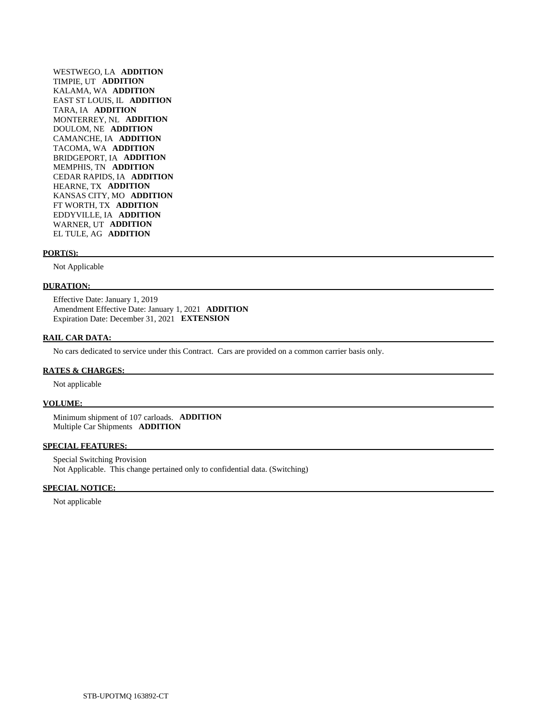WESTWEGO, LA **ADDITION**  TIMPIE, UT **ADDITION**  KALAMA, WA **ADDITION**  EAST ST LOUIS, IL **ADDITION**  TARA, IA **ADDITION**  MONTERREY, NL **ADDITION**  DOULOM, NE **ADDITION**  CAMANCHE, IA **ADDITION**  TACOMA, WA **ADDITION**  BRIDGEPORT, IA **ADDITION**  MEMPHIS, TN **ADDITION**  CEDAR RAPIDS, IA **ADDITION**  HEARNE, TX **ADDITION**  KANSAS CITY, MO **ADDITION**  FT WORTH, TX **ADDITION**  EDDYVILLE, IA **ADDITION**  WARNER, UT **ADDITION**  EL TULE, AG **ADDITION** 

#### **PORT(S):**

Not Applicable

# **DURATION:**

 Effective Date: January 1, 2019 Amendment Effective Date: January 1, 2021 **ADDITION**  Expiration Date: December 31, 2021 **EXTENSION** 

## **RAIL CAR DATA:**

No cars dedicated to service under this Contract. Cars are provided on a common carrier basis only.

## **RATES & CHARGES:**

Not applicable

#### **VOLUME:**

 Minimum shipment of 107 carloads. **ADDITION**  Multiple Car Shipments **ADDITION** 

#### **SPECIAL FEATURES:**

 Special Switching Provision Not Applicable. This change pertained only to confidential data. (Switching)

## **SPECIAL NOTICE:**

Not applicable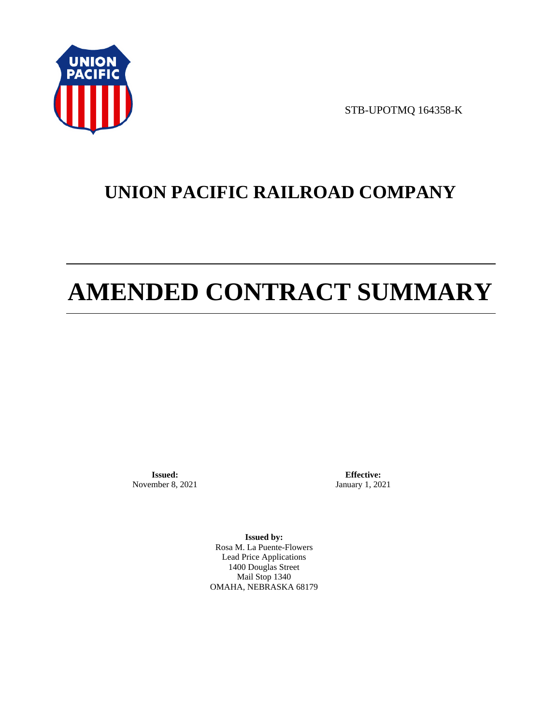

STB-UPOTMQ 164358-K

# **UNION PACIFIC RAILROAD COMPANY**

# **AMENDED CONTRACT SUMMARY**

**Issued:**  November 8, 2021

**Effective:** January 1, 2021

**Issued by:**  Rosa M. La Puente-Flowers Lead Price Applications 1400 Douglas Street Mail Stop 1340 OMAHA, NEBRASKA 68179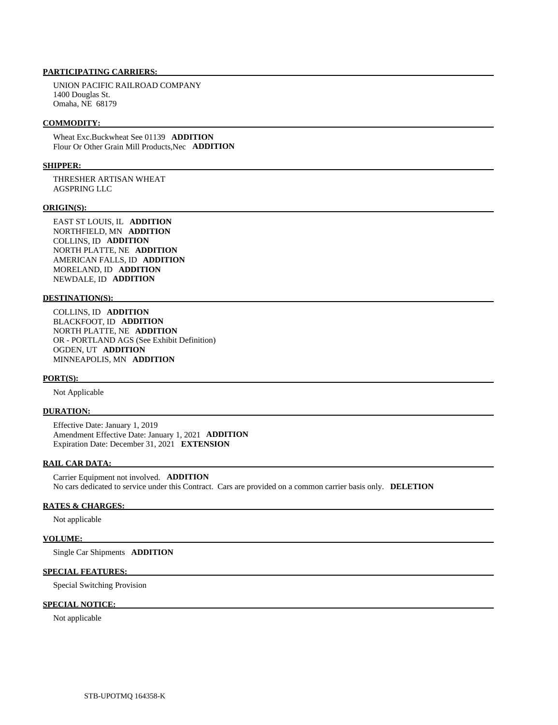# **PARTICIPATING CARRIERS:**

 UNION PACIFIC RAILROAD COMPANY 1400 Douglas St. Omaha, NE 68179

## **COMMODITY:**

 Wheat Exc.Buckwheat See 01139 **ADDITION**  Flour Or Other Grain Mill Products,Nec **ADDITION** 

# **SHIPPER:**

 THRESHER ARTISAN WHEAT AGSPRING LLC

#### **ORIGIN(S):**

 EAST ST LOUIS, IL **ADDITION**  NORTHFIELD, MN **ADDITION**  COLLINS, ID **ADDITION**  NORTH PLATTE, NE **ADDITION**  AMERICAN FALLS, ID **ADDITION**  MORELAND, ID **ADDITION**  NEWDALE, ID **ADDITION** 

# **DESTINATION(S):**

 COLLINS, ID **ADDITION**  BLACKFOOT, ID **ADDITION**  NORTH PLATTE, NE **ADDITION**  OR - PORTLAND AGS (See Exhibit Definition) OGDEN, UT **ADDITION**  MINNEAPOLIS, MN **ADDITION** 

#### **PORT(S):**

Not Applicable

# **DURATION:**

 Effective Date: January 1, 2019 Amendment Effective Date: January 1, 2021 **ADDITION**  Expiration Date: December 31, 2021 **EXTENSION** 

## **RAIL CAR DATA:**

 Carrier Equipment not involved. **ADDITION**  No cars dedicated to service under this Contract. Cars are provided on a common carrier basis only. **DELETION** 

# **RATES & CHARGES:**

Not applicable

# **VOLUME:**

Single Car Shipments **ADDITION** 

## **SPECIAL FEATURES:**

Special Switching Provision

# **SPECIAL NOTICE:**

Not applicable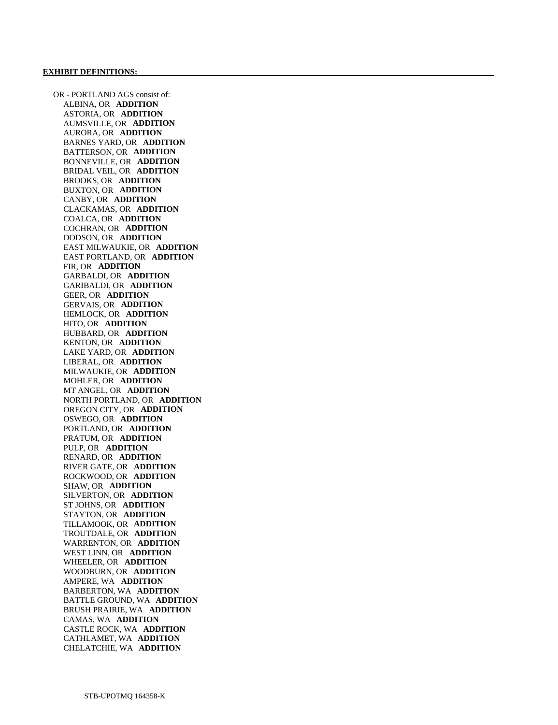OR - PORTLAND AGS consist of: ALBINA, OR **ADDITION**  ASTORIA, OR **ADDITION**  AUMSVILLE, OR **ADDITION**  AURORA, OR **ADDITION**  BARNES YARD, OR **ADDITION**  BATTERSON, OR **ADDITION**  BONNEVILLE, OR **ADDITION**  BRIDAL VEIL, OR **ADDITION**  BROOKS, OR **ADDITION**  BUXTON, OR **ADDITION**  CANBY, OR **ADDITION**  CLACKAMAS, OR **ADDITION**  COALCA, OR **ADDITION**  COCHRAN, OR **ADDITION**  DODSON, OR **ADDITION**  EAST MILWAUKIE, OR **ADDITION**  EAST PORTLAND, OR **ADDITION**  FIR, OR **ADDITION**  GARBALDI, OR **ADDITION**  GARIBALDI, OR **ADDITION**  GEER, OR **ADDITION**  GERVAIS, OR **ADDITION**  HEMLOCK, OR **ADDITION**  HITO, OR **ADDITION**  HUBBARD, OR **ADDITION**  KENTON, OR **ADDITION**  LAKE YARD, OR **ADDITION**  LIBERAL, OR **ADDITION**  MILWAUKIE, OR **ADDITION**  MOHLER, OR **ADDITION**  MT ANGEL, OR **ADDITION**  NORTH PORTLAND, OR **ADDITION**  OREGON CITY, OR **ADDITION**  OSWEGO, OR **ADDITION**  PORTLAND, OR **ADDITION**  PRATUM, OR **ADDITION**  PULP, OR **ADDITION**  RENARD, OR **ADDITION**  RIVER GATE, OR **ADDITION**  ROCKWOOD, OR **ADDITION**  SHAW, OR **ADDITION**  SILVERTON, OR **ADDITION**  ST JOHNS, OR **ADDITION**  STAYTON, OR **ADDITION**  TILLAMOOK, OR **ADDITION**  TROUTDALE, OR **ADDITION**  WARRENTON, OR **ADDITION**  WEST LINN, OR **ADDITION**  WHEELER, OR **ADDITION**  WOODBURN, OR **ADDITION**  AMPERE, WA **ADDITION**  BARBERTON, WA **ADDITION**  BATTLE GROUND, WA **ADDITION**  BRUSH PRAIRIE, WA **ADDITION**  CAMAS, WA **ADDITION**  CASTLE ROCK, WA **ADDITION**  CATHLAMET, WA **ADDITION**  CHELATCHIE, WA **ADDITION**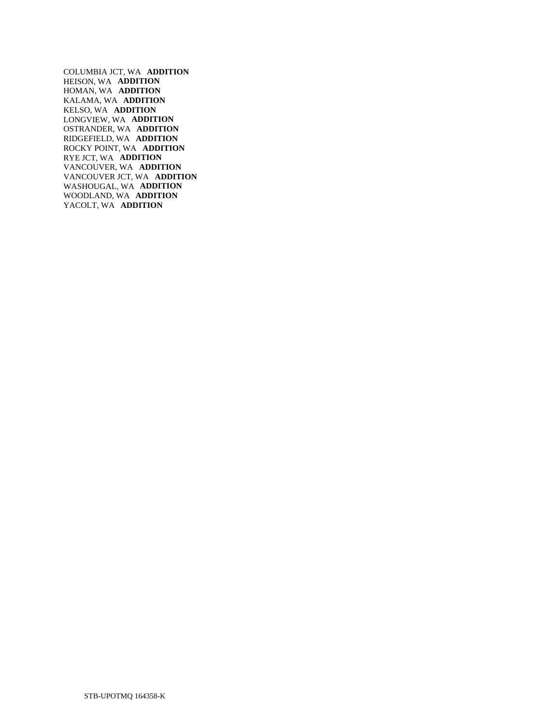COLUMBIA JCT, WA **ADDITION**  HEISON, WA **ADDITION**  HOMAN, WA **ADDITION**  KALAMA, WA **ADDITION**  KELSO, WA **ADDITION**  LONGVIEW, WA **ADDITION**  OSTRANDER, WA **ADDITION**  RIDGEFIELD, WA **ADDITION**  ROCKY POINT, WA **ADDITION**  RYE JCT, WA **ADDITION**  VANCOUVER, WA **ADDITION**  VANCOUVER JCT, WA **ADDITION**  WASHOUGAL, WA **ADDITION**  WOODLAND, WA **ADDITION**  YACOLT, WA **ADDITION**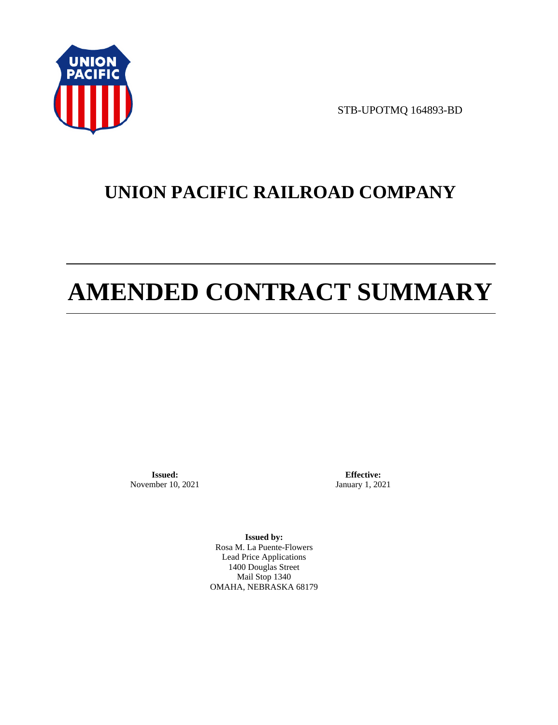

STB-UPOTMQ 164893-BD

# **UNION PACIFIC RAILROAD COMPANY**

# **AMENDED CONTRACT SUMMARY**

**Issued:**  November 10, 2021

**Effective:** January 1, 2021

**Issued by:**  Rosa M. La Puente-Flowers Lead Price Applications 1400 Douglas Street Mail Stop 1340 OMAHA, NEBRASKA 68179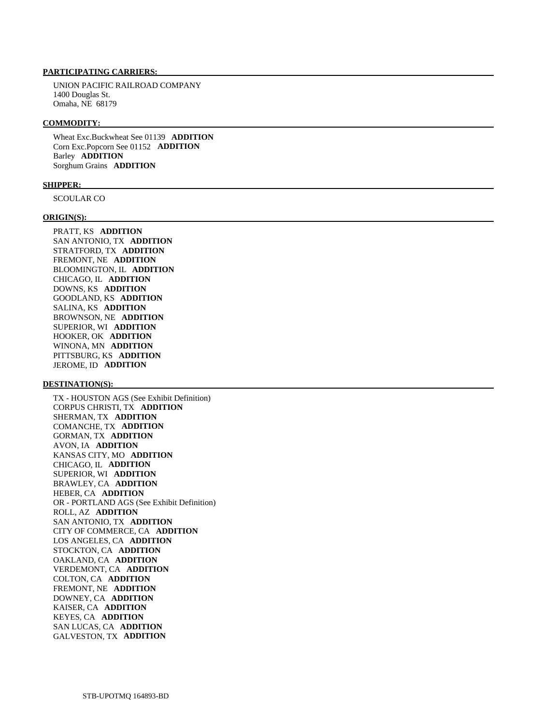# **PARTICIPATING CARRIERS:**

 UNION PACIFIC RAILROAD COMPANY 1400 Douglas St. Omaha, NE 68179

#### **COMMODITY:**

 Wheat Exc.Buckwheat See 01139 **ADDITION**  Corn Exc.Popcorn See 01152 **ADDITION**  Barley **ADDITION**  Sorghum Grains **ADDITION** 

## **SHIPPER:**

SCOULAR CO

#### **ORIGIN(S):**

 PRATT, KS **ADDITION**  SAN ANTONIO, TX **ADDITION**  STRATFORD, TX **ADDITION**  FREMONT, NE **ADDITION**  BLOOMINGTON, IL **ADDITION**  CHICAGO, IL **ADDITION**  DOWNS, KS **ADDITION**  GOODLAND, KS **ADDITION**  SALINA, KS **ADDITION**  BROWNSON, NE **ADDITION**  SUPERIOR, WI **ADDITION**  HOOKER, OK **ADDITION**  WINONA, MN **ADDITION**  PITTSBURG, KS **ADDITION**  JEROME, ID **ADDITION** 

## **DESTINATION(S):**

 TX - HOUSTON AGS (See Exhibit Definition) CORPUS CHRISTI, TX **ADDITION**  SHERMAN, TX **ADDITION**  COMANCHE, TX **ADDITION**  GORMAN, TX **ADDITION**  AVON, IA **ADDITION**  KANSAS CITY, MO **ADDITION**  CHICAGO, IL **ADDITION**  SUPERIOR, WI **ADDITION**  BRAWLEY, CA **ADDITION**  HEBER, CA **ADDITION**  OR - PORTLAND AGS (See Exhibit Definition) ROLL, AZ **ADDITION**  SAN ANTONIO, TX **ADDITION**  CITY OF COMMERCE, CA **ADDITION**  LOS ANGELES, CA **ADDITION**  STOCKTON, CA **ADDITION**  OAKLAND, CA **ADDITION**  VERDEMONT, CA **ADDITION**  COLTON, CA **ADDITION**  FREMONT, NE **ADDITION**  DOWNEY, CA **ADDITION**  KAISER, CA **ADDITION**  KEYES, CA **ADDITION**  SAN LUCAS, CA **ADDITION**  GALVESTON, TX **ADDITION**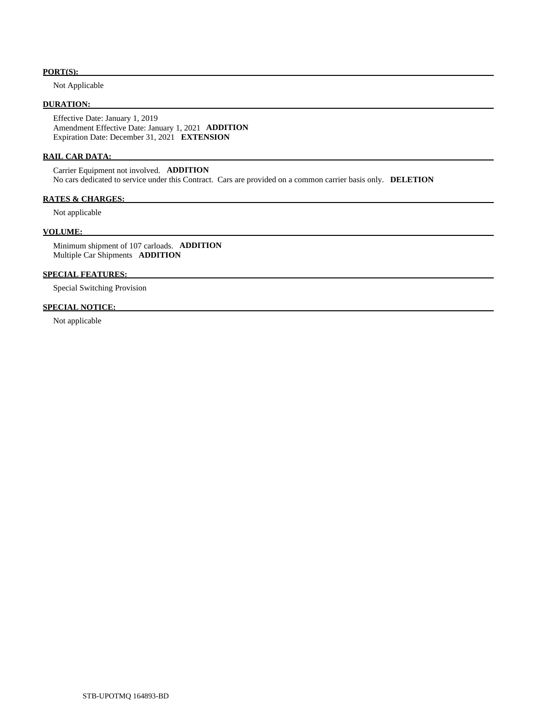# **PORT(S):**

Not Applicable

# **DURATION:**

 Effective Date: January 1, 2019 Amendment Effective Date: January 1, 2021 **ADDITION**  Expiration Date: December 31, 2021 **EXTENSION** 

## **RAIL CAR DATA:**

 Carrier Equipment not involved. **ADDITION**  No cars dedicated to service under this Contract. Cars are provided on a common carrier basis only. **DELETION** 

# **RATES & CHARGES:**

Not applicable

# **VOLUME:**

 Minimum shipment of 107 carloads. **ADDITION**  Multiple Car Shipments **ADDITION** 

# **SPECIAL FEATURES:**

Special Switching Provision

# **SPECIAL NOTICE:**

Not applicable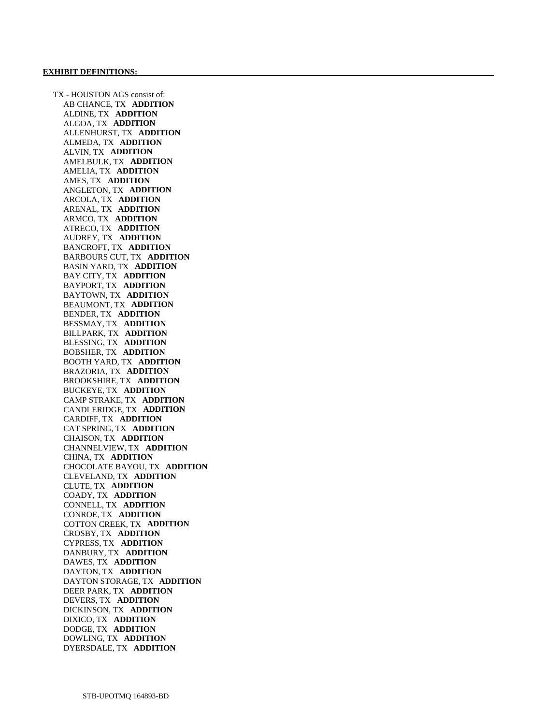TX - HOUSTON AGS consist of: AB CHANCE, TX **ADDITION**  ALDINE, TX **ADDITION**  ALGOA, TX **ADDITION**  ALLENHURST, TX **ADDITION**  ALMEDA, TX **ADDITION**  ALVIN, TX **ADDITION**  AMELBULK, TX **ADDITION**  AMELIA, TX **ADDITION**  AMES, TX **ADDITION**  ANGLETON, TX **ADDITION**  ARCOLA, TX **ADDITION**  ARENAL, TX **ADDITION**  ARMCO, TX **ADDITION**  ATRECO, TX **ADDITION**  AUDREY, TX **ADDITION**  BANCROFT, TX **ADDITION**  BARBOURS CUT, TX **ADDITION**  BASIN YARD, TX **ADDITION**  BAY CITY, TX **ADDITION**  BAYPORT, TX **ADDITION**  BAYTOWN, TX **ADDITION**  BEAUMONT, TX **ADDITION**  BENDER, TX **ADDITION**  BESSMAY, TX **ADDITION**  BILLPARK, TX **ADDITION**  BLESSING, TX **ADDITION**  BOBSHER, TX **ADDITION**  BOOTH YARD, TX **ADDITION**  BRAZORIA, TX **ADDITION**  BROOKSHIRE, TX **ADDITION**  BUCKEYE, TX **ADDITION**  CAMP STRAKE, TX **ADDITION**  CANDLERIDGE, TX **ADDITION**  CARDIFF, TX **ADDITION**  CAT SPRING, TX **ADDITION**  CHAISON, TX **ADDITION**  CHANNELVIEW, TX **ADDITION**  CHINA, TX **ADDITION**  CHOCOLATE BAYOU, TX **ADDITION**  CLEVELAND, TX **ADDITION**  CLUTE, TX **ADDITION**  COADY, TX **ADDITION**  CONNELL, TX **ADDITION**  CONROE, TX **ADDITION**  COTTON CREEK, TX **ADDITION**  CROSBY, TX **ADDITION**  CYPRESS, TX **ADDITION**  DANBURY, TX **ADDITION**  DAWES, TX **ADDITION**  DAYTON, TX **ADDITION**  DAYTON STORAGE, TX **ADDITION**  DEER PARK, TX **ADDITION**  DEVERS, TX **ADDITION**  DICKINSON, TX **ADDITION**  DIXICO, TX **ADDITION**  DODGE, TX **ADDITION**  DOWLING, TX **ADDITION**  DYERSDALE, TX **ADDITION**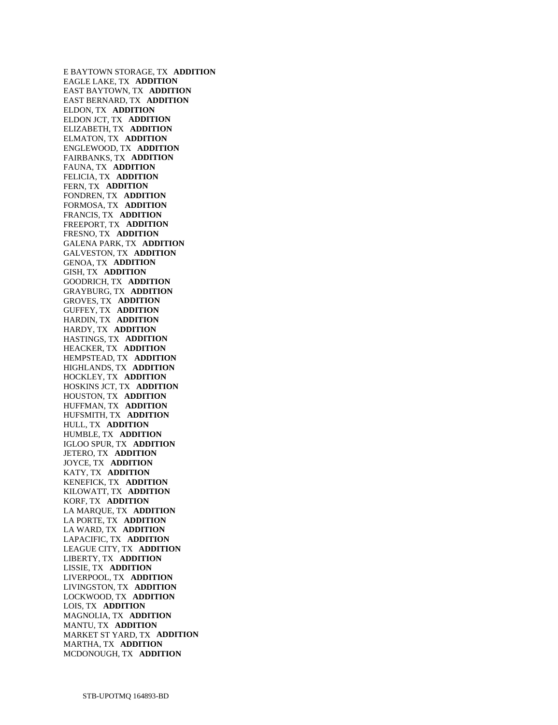E BAYTOWN STORAGE, TX **ADDITION**  EAGLE LAKE, TX **ADDITION**  EAST BAYTOWN, TX **ADDITION**  EAST BERNARD, TX **ADDITION**  ELDON, TX **ADDITION**  ELDON JCT, TX **ADDITION**  ELIZABETH, TX **ADDITION**  ELMATON, TX **ADDITION**  ENGLEWOOD, TX **ADDITION**  FAIRBANKS, TX **ADDITION**  FAUNA, TX **ADDITION**  FELICIA, TX **ADDITION**  FERN, TX **ADDITION**  FONDREN, TX **ADDITION**  FORMOSA, TX **ADDITION**  FRANCIS, TX **ADDITION**  FREEPORT, TX **ADDITION**  FRESNO, TX **ADDITION**  GALENA PARK, TX **ADDITION**  GALVESTON, TX **ADDITION**  GENOA, TX **ADDITION**  GISH, TX **ADDITION**  GOODRICH, TX **ADDITION**  GRAYBURG, TX **ADDITION**  GROVES, TX **ADDITION**  GUFFEY, TX **ADDITION**  HARDIN, TX **ADDITION**  HARDY, TX **ADDITION**  HASTINGS, TX **ADDITION**  HEACKER, TX **ADDITION**  HEMPSTEAD, TX **ADDITION**  HIGHLANDS, TX **ADDITION**  HOCKLEY, TX **ADDITION**  HOSKINS JCT, TX **ADDITION**  HOUSTON, TX **ADDITION**  HUFFMAN, TX **ADDITION**  HUFSMITH, TX **ADDITION**  HULL, TX **ADDITION**  HUMBLE, TX **ADDITION**  IGLOO SPUR, TX **ADDITION**  JETERO, TX **ADDITION**  JOYCE, TX **ADDITION**  KATY, TX **ADDITION**  KENEFICK, TX **ADDITION**  KILOWATT, TX **ADDITION**  KORF, TX **ADDITION**  LA MARQUE, TX **ADDITION**  LA PORTE, TX **ADDITION**  LA WARD, TX **ADDITION**  LAPACIFIC, TX **ADDITION**  LEAGUE CITY, TX **ADDITION**  LIBERTY, TX **ADDITION**  LISSIE, TX **ADDITION**  LIVERPOOL, TX **ADDITION**  LIVINGSTON, TX **ADDITION**  LOCKWOOD, TX **ADDITION**  LOIS, TX **ADDITION**  MAGNOLIA, TX **ADDITION**  MANTU, TX **ADDITION**  MARKET ST YARD, TX **ADDITION**  MARTHA, TX **ADDITION**  MCDONOUGH, TX **ADDITION**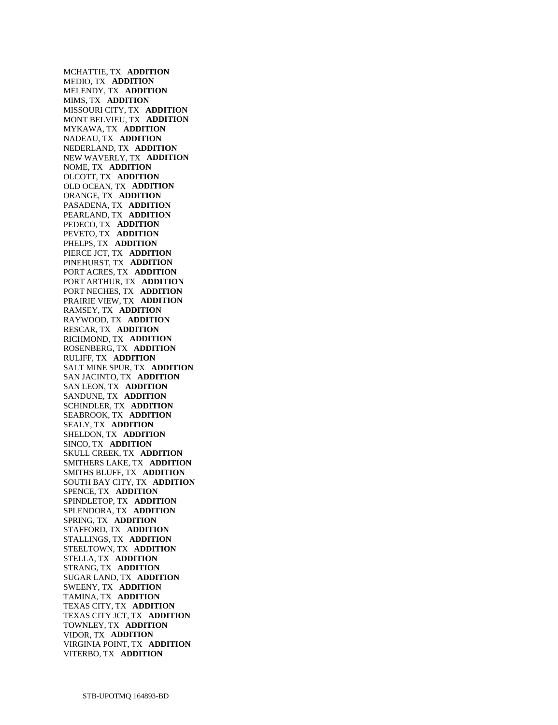MCHATTIE, TX **ADDITION**  MEDIO, TX **ADDITION**  MELENDY, TX **ADDITION**  MIMS, TX **ADDITION**  MISSOURI CITY, TX **ADDITION**  MONT BELVIEU, TX **ADDITION**  MYKAWA, TX **ADDITION**  NADEAU, TX **ADDITION**  NEDERLAND, TX **ADDITION**  NEW WAVERLY, TX **ADDITION**  NOME, TX **ADDITION**  OLCOTT, TX **ADDITION**  OLD OCEAN, TX **ADDITION**  ORANGE, TX **ADDITION**  PASADENA, TX **ADDITION**  PEARLAND, TX **ADDITION**  PEDECO, TX **ADDITION**  PEVETO, TX **ADDITION**  PHELPS, TX **ADDITION**  PIERCE JCT, TX **ADDITION**  PINEHURST, TX **ADDITION**  PORT ACRES, TX **ADDITION**  PORT ARTHUR, TX **ADDITION**  PORT NECHES, TX **ADDITION**  PRAIRIE VIEW, TX **ADDITION**  RAMSEY, TX **ADDITION**  RAYWOOD, TX **ADDITION**  RESCAR, TX **ADDITION**  RICHMOND, TX **ADDITION**  ROSENBERG, TX **ADDITION**  RULIFF, TX **ADDITION**  SALT MINE SPUR, TX **ADDITION**  SAN JACINTO, TX **ADDITION**  SAN LEON, TX **ADDITION**  SANDUNE, TX **ADDITION**  SCHINDLER, TX **ADDITION**  SEABROOK, TX **ADDITION**  SEALY, TX **ADDITION**  SHELDON, TX **ADDITION**  SINCO, TX **ADDITION**  SKULL CREEK, TX **ADDITION**  SMITHERS LAKE, TX **ADDITION**  SMITHS BLUFF, TX **ADDITION**  SOUTH BAY CITY, TX **ADDITION**  SPENCE, TX **ADDITION**  SPINDLETOP, TX **ADDITION**  SPLENDORA, TX **ADDITION**  SPRING, TX **ADDITION**  STAFFORD, TX **ADDITION**  STALLINGS, TX **ADDITION**  STEELTOWN, TX **ADDITION**  STELLA, TX **ADDITION**  STRANG, TX **ADDITION**  SUGAR LAND, TX **ADDITION**  SWEENY, TX **ADDITION**  TAMINA, TX **ADDITION**  TEXAS CITY, TX **ADDITION**  TEXAS CITY JCT, TX **ADDITION**  TOWNLEY, TX **ADDITION**  VIDOR, TX **ADDITION**  VIRGINIA POINT, TX **ADDITION**  VITERBO, TX **ADDITION**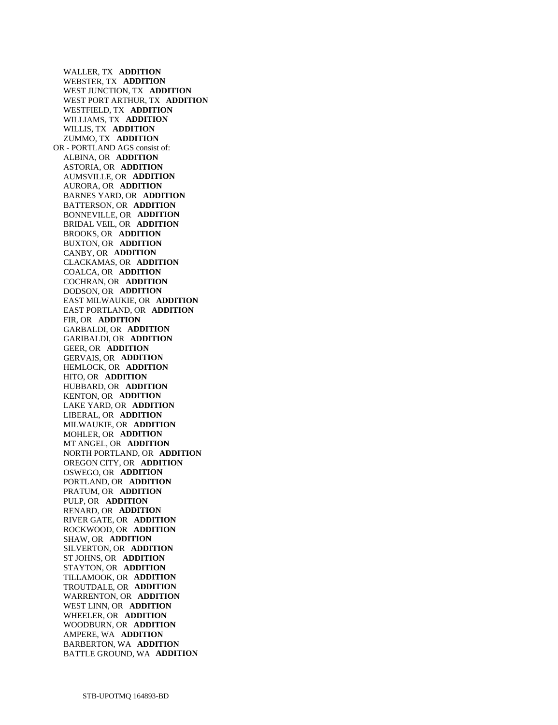WALLER, TX **ADDITION**  WEBSTER, TX **ADDITION**  WEST JUNCTION, TX **ADDITION**  WEST PORT ARTHUR, TX **ADDITION**  WESTFIELD, TX **ADDITION**  WILLIAMS, TX **ADDITION**  WILLIS, TX **ADDITION**  ZUMMO, TX **ADDITION**  OR - PORTLAND AGS consist of: ALBINA, OR **ADDITION**  ASTORIA, OR **ADDITION**  AUMSVILLE, OR **ADDITION**  AURORA, OR **ADDITION**  BARNES YARD, OR **ADDITION**  BATTERSON, OR **ADDITION**  BONNEVILLE, OR **ADDITION**  BRIDAL VEIL, OR **ADDITION**  BROOKS, OR **ADDITION**  BUXTON, OR **ADDITION**  CANBY, OR **ADDITION**  CLACKAMAS, OR **ADDITION**  COALCA, OR **ADDITION**  COCHRAN, OR **ADDITION**  DODSON, OR **ADDITION**  EAST MILWAUKIE, OR **ADDITION**  EAST PORTLAND, OR **ADDITION**  FIR, OR **ADDITION**  GARBALDI, OR **ADDITION**  GARIBALDI, OR **ADDITION**  GEER, OR **ADDITION**  GERVAIS, OR **ADDITION**  HEMLOCK, OR **ADDITION**  HITO, OR **ADDITION**  HUBBARD, OR **ADDITION**  KENTON, OR **ADDITION**  LAKE YARD, OR **ADDITION**  LIBERAL, OR **ADDITION**  MILWAUKIE, OR **ADDITION**  MOHLER, OR **ADDITION**  MT ANGEL, OR **ADDITION**  NORTH PORTLAND, OR **ADDITION**  OREGON CITY, OR **ADDITION**  OSWEGO, OR **ADDITION**  PORTLAND, OR **ADDITION**  PRATUM, OR **ADDITION**  PULP, OR **ADDITION**  RENARD, OR **ADDITION**  RIVER GATE, OR **ADDITION**  ROCKWOOD, OR **ADDITION**  SHAW, OR **ADDITION**  SILVERTON, OR **ADDITION**  ST JOHNS, OR **ADDITION**  STAYTON, OR **ADDITION**  TILLAMOOK, OR **ADDITION**  TROUTDALE, OR **ADDITION**  WARRENTON, OR **ADDITION**  WEST LINN, OR **ADDITION**  WHEELER, OR **ADDITION**  WOODBURN, OR **ADDITION**  AMPERE, WA **ADDITION**  BARBERTON, WA **ADDITION**  BATTLE GROUND, WA **ADDITION**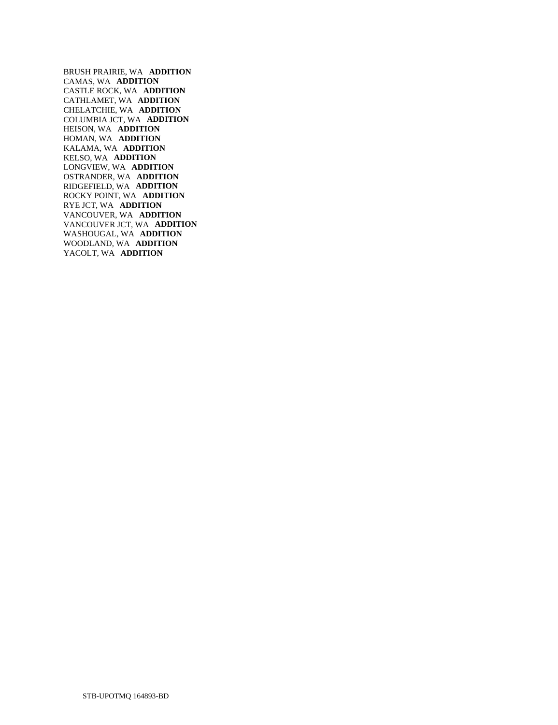BRUSH PRAIRIE, WA **ADDITION**  CAMAS, WA **ADDITION**  CASTLE ROCK, WA **ADDITION**  CATHLAMET, WA **ADDITION**  CHELATCHIE, WA **ADDITION**  COLUMBIA JCT, WA **ADDITION**  HEISON, WA **ADDITION**  HOMAN, WA **ADDITION**  KALAMA, WA **ADDITION**  KELSO, WA **ADDITION**  LONGVIEW, WA **ADDITION**  OSTRANDER, WA **ADDITION**  RIDGEFIELD, WA **ADDITION**  ROCKY POINT, WA **ADDITION**  RYE JCT, WA **ADDITION**  VANCOUVER, WA **ADDITION**  VANCOUVER JCT, WA **ADDITION**  WASHOUGAL, WA **ADDITION**  WOODLAND, WA **ADDITION**  YACOLT, WA **ADDITION**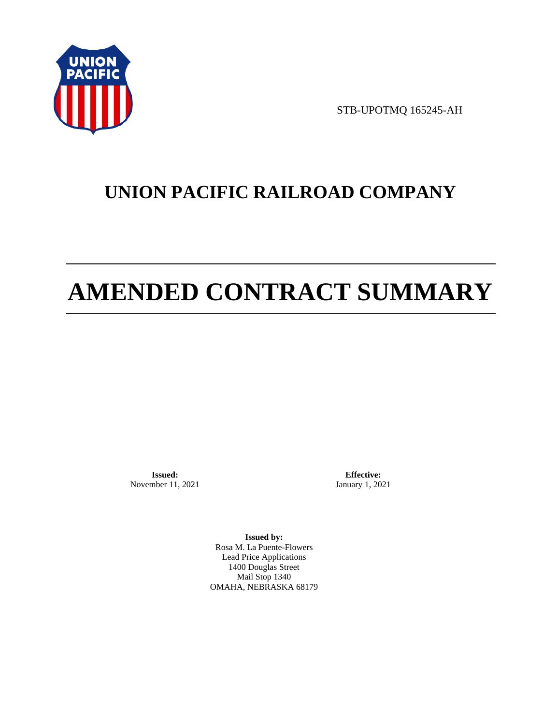

STB-UPOTMQ 165245-AH

# **UNION PACIFIC RAILROAD COMPANY**

# **AMENDED CONTRACT SUMMARY**

**Issued:**  November 11, 2021

**Effective:** January 1, 2021

**Issued by:**  Rosa M. La Puente-Flowers Lead Price Applications 1400 Douglas Street Mail Stop 1340 OMAHA, NEBRASKA 68179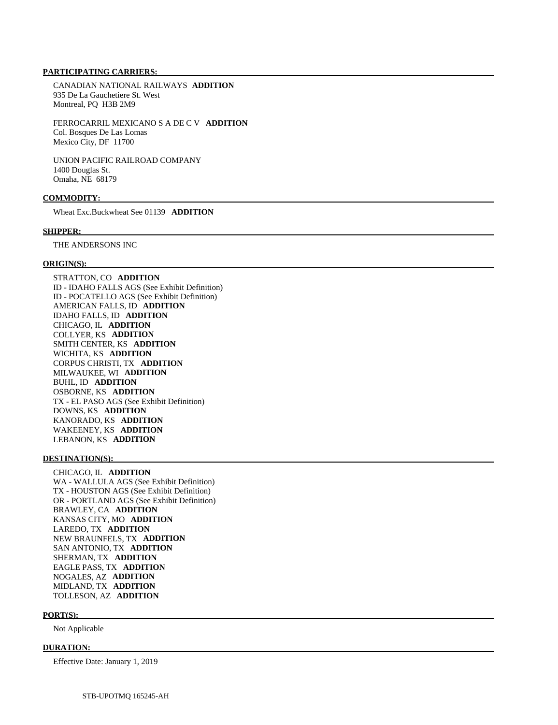## **PARTICIPATING CARRIERS:**

 CANADIAN NATIONAL RAILWAYS **ADDITION**  935 De La Gauchetiere St. West Montreal, PQ H3B 2M9

 FERROCARRIL MEXICANO S A DE C V **ADDITION**  Col. Bosques De Las Lomas Mexico City, DF 11700

 UNION PACIFIC RAILROAD COMPANY 1400 Douglas St. Omaha, NE 68179

## **COMMODITY:**

Wheat Exc.Buckwheat See 01139 **ADDITION** 

#### **SHIPPER:**

THE ANDERSONS INC

#### **ORIGIN(S):**

 STRATTON, CO **ADDITION**  ID - IDAHO FALLS AGS (See Exhibit Definition) ID - POCATELLO AGS (See Exhibit Definition) AMERICAN FALLS, ID **ADDITION**  IDAHO FALLS, ID **ADDITION**  CHICAGO, IL **ADDITION**  COLLYER, KS **ADDITION**  SMITH CENTER, KS **ADDITION**  WICHITA, KS **ADDITION**  CORPUS CHRISTI, TX **ADDITION**  MILWAUKEE, WI **ADDITION**  BUHL, ID **ADDITION**  OSBORNE, KS **ADDITION**  TX - EL PASO AGS (See Exhibit Definition) DOWNS, KS **ADDITION**  KANORADO, KS **ADDITION**  WAKEENEY, KS **ADDITION**  LEBANON, KS **ADDITION** 

#### **DESTINATION(S):**

 CHICAGO, IL **ADDITION**  WA - WALLULA AGS (See Exhibit Definition) TX - HOUSTON AGS (See Exhibit Definition) OR - PORTLAND AGS (See Exhibit Definition) BRAWLEY, CA **ADDITION**  KANSAS CITY, MO **ADDITION**  LAREDO, TX **ADDITION**  NEW BRAUNFELS, TX **ADDITION**  SAN ANTONIO, TX **ADDITION**  SHERMAN, TX **ADDITION**  EAGLE PASS, TX **ADDITION**  NOGALES, AZ **ADDITION**  MIDLAND, TX **ADDITION**  TOLLESON, AZ **ADDITION** 

#### **PORT(S):**

Not Applicable

#### **DURATION:**

Effective Date: January 1, 2019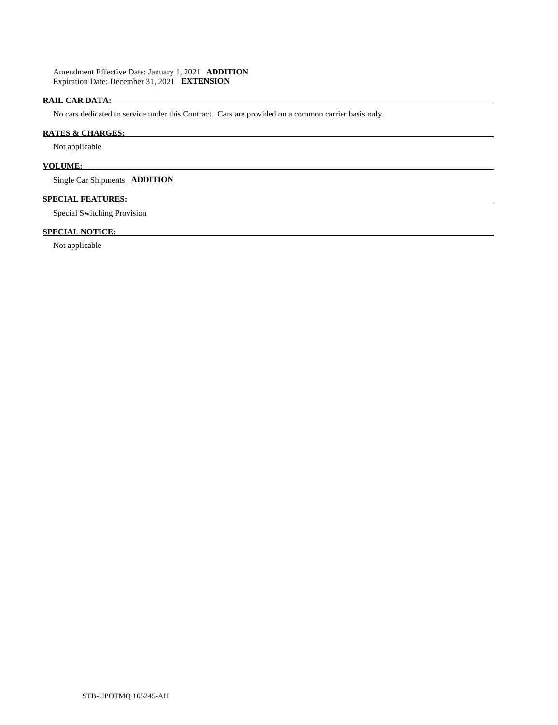Amendment Effective Date: January 1, 2021 **ADDITION**  Expiration Date: December 31, 2021 **EXTENSION** 

# **RAIL CAR DATA:**

No cars dedicated to service under this Contract. Cars are provided on a common carrier basis only.

# **RATES & CHARGES:**

Not applicable

# **VOLUME:**

Single Car Shipments **ADDITION** 

# **SPECIAL FEATURES:**

Special Switching Provision

# **SPECIAL NOTICE:**

Not applicable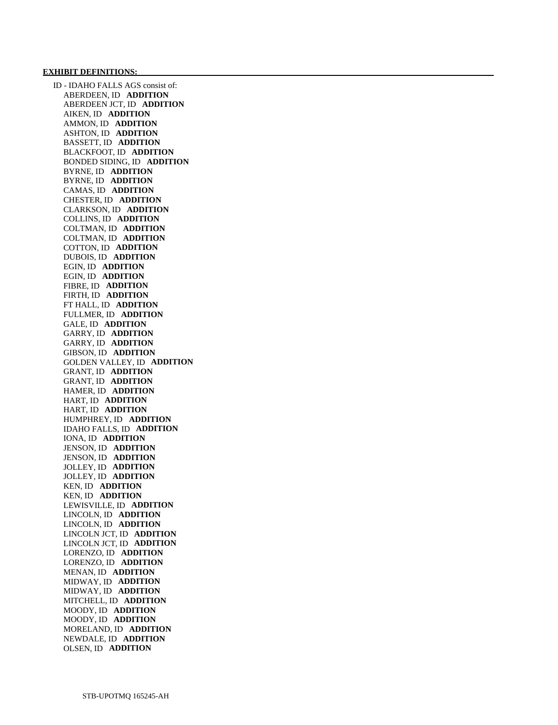#### **EXHIBIT DEFINITIONS:**

 ID - IDAHO FALLS AGS consist of: ABERDEEN, ID **ADDITION**  ABERDEEN JCT, ID **ADDITION**  AIKEN, ID **ADDITION**  AMMON, ID **ADDITION**  ASHTON, ID **ADDITION**  BASSETT, ID **ADDITION**  BLACKFOOT, ID **ADDITION**  BONDED SIDING, ID **ADDITION**  BYRNE, ID **ADDITION**  BYRNE, ID **ADDITION**  CAMAS, ID **ADDITION**  CHESTER, ID **ADDITION**  CLARKSON, ID **ADDITION**  COLLINS, ID **ADDITION**  COLTMAN, ID **ADDITION**  COLTMAN, ID **ADDITION**  COTTON, ID **ADDITION**  DUBOIS, ID **ADDITION**  EGIN, ID **ADDITION**  EGIN, ID **ADDITION**  FIBRE, ID **ADDITION**  FIRTH, ID **ADDITION**  FT HALL, ID **ADDITION**  FULLMER, ID **ADDITION**  GALE, ID **ADDITION**  GARRY, ID **ADDITION**  GARRY, ID **ADDITION**  GIBSON, ID **ADDITION**  GOLDEN VALLEY, ID **ADDITION**  GRANT, ID **ADDITION**  GRANT, ID **ADDITION**  HAMER, ID **ADDITION**  HART, ID **ADDITION**  HART, ID **ADDITION**  HUMPHREY, ID **ADDITION**  IDAHO FALLS, ID **ADDITION**  IONA, ID **ADDITION**  JENSON, ID **ADDITION**  JENSON, ID **ADDITION**  JOLLEY, ID **ADDITION**  JOLLEY, ID **ADDITION**  KEN, ID **ADDITION**  KEN, ID **ADDITION**  LEWISVILLE, ID **ADDITION**  LINCOLN, ID **ADDITION**  LINCOLN, ID **ADDITION**  LINCOLN JCT, ID **ADDITION**  LINCOLN JCT, ID **ADDITION**  LORENZO, ID **ADDITION**  LORENZO, ID **ADDITION**  MENAN, ID **ADDITION**  MIDWAY, ID **ADDITION**  MIDWAY, ID **ADDITION**  MITCHELL, ID **ADDITION**  MOODY, ID **ADDITION**  MOODY, ID **ADDITION**  MORELAND, ID **ADDITION**  NEWDALE, ID **ADDITION**  OLSEN, ID **ADDITION**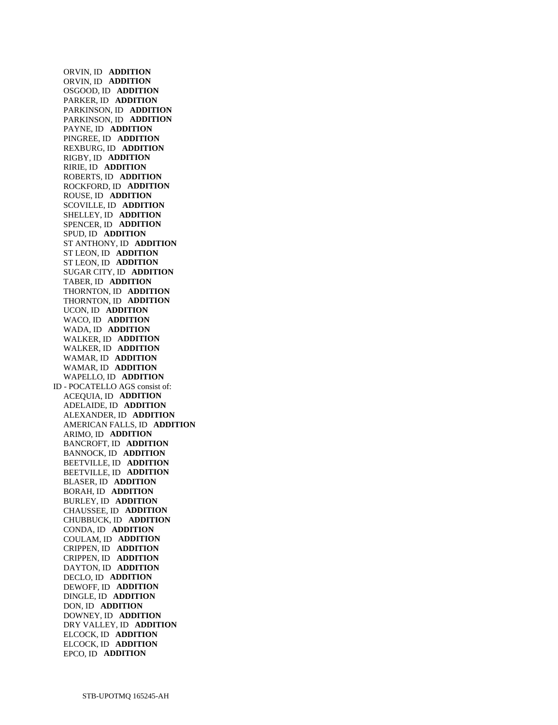ORVIN, ID **ADDITION**  ORVIN, ID **ADDITION**  OSGOOD, ID **ADDITION**  PARKER, ID **ADDITION**  PARKINSON, ID **ADDITION**  PARKINSON, ID **ADDITION**  PAYNE, ID **ADDITION**  PINGREE, ID **ADDITION**  REXBURG, ID **ADDITION**  RIGBY, ID **ADDITION**  RIRIE, ID **ADDITION**  ROBERTS, ID **ADDITION**  ROCKFORD, ID **ADDITION**  ROUSE, ID **ADDITION**  SCOVILLE, ID **ADDITION**  SHELLEY, ID **ADDITION**  SPENCER, ID **ADDITION**  SPUD, ID **ADDITION**  ST ANTHONY, ID **ADDITION**  ST LEON, ID **ADDITION**  ST LEON, ID **ADDITION**  SUGAR CITY, ID **ADDITION**  TABER, ID **ADDITION**  THORNTON, ID **ADDITION**  THORNTON, ID **ADDITION**  UCON, ID **ADDITION**  WACO, ID **ADDITION**  WADA, ID **ADDITION**  WALKER, ID **ADDITION**  WALKER, ID **ADDITION**  WAMAR, ID **ADDITION**  WAMAR, ID **ADDITION**  WAPELLO, ID **ADDITION**  ID - POCATELLO AGS consist of: ACEQUIA, ID **ADDITION**  ADELAIDE, ID **ADDITION**  ALEXANDER, ID **ADDITION**  AMERICAN FALLS, ID **ADDITION**  ARIMO, ID **ADDITION**  BANCROFT, ID **ADDITION**  BANNOCK, ID **ADDITION**  BEETVILLE, ID **ADDITION**  BEETVILLE, ID **ADDITION**  BLASER, ID **ADDITION**  BORAH, ID **ADDITION**  BURLEY, ID **ADDITION**  CHAUSSEE, ID **ADDITION**  CHUBBUCK, ID **ADDITION**  CONDA, ID **ADDITION**  COULAM, ID **ADDITION**  CRIPPEN, ID **ADDITION**  CRIPPEN, ID **ADDITION**  DAYTON, ID **ADDITION**  DECLO, ID **ADDITION**  DEWOFF, ID **ADDITION**  DINGLE, ID **ADDITION**  DON, ID **ADDITION**  DOWNEY, ID **ADDITION**  DRY VALLEY, ID **ADDITION**  ELCOCK, ID **ADDITION**  ELCOCK, ID **ADDITION**  EPCO, ID **ADDITION**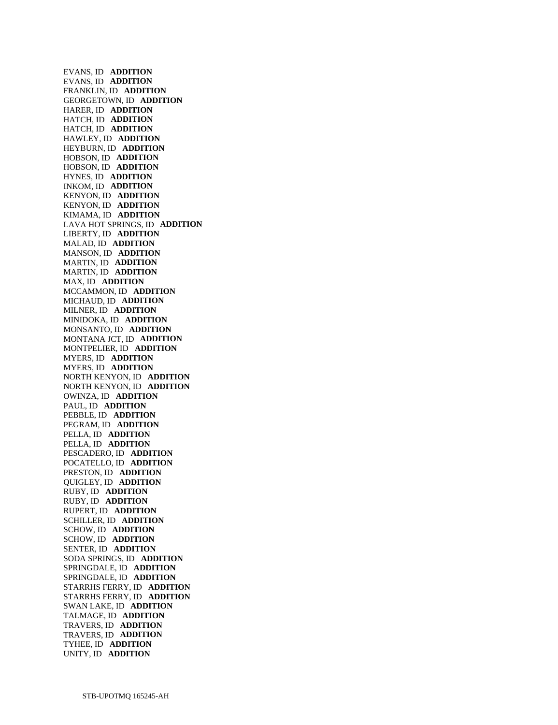EVANS, ID **ADDITION**  EVANS, ID **ADDITION**  FRANKLIN, ID **ADDITION**  GEORGETOWN, ID **ADDITION**  HARER, ID **ADDITION**  HATCH, ID **ADDITION**  HATCH, ID **ADDITION**  HAWLEY, ID **ADDITION**  HEYBURN, ID **ADDITION**  HOBSON, ID **ADDITION**  HOBSON, ID **ADDITION**  HYNES, ID **ADDITION**  INKOM, ID **ADDITION**  KENYON, ID **ADDITION**  KENYON, ID **ADDITION**  KIMAMA, ID **ADDITION**  LAVA HOT SPRINGS, ID **ADDITION**  LIBERTY, ID **ADDITION**  MALAD, ID **ADDITION**  MANSON, ID **ADDITION**  MARTIN, ID **ADDITION**  MARTIN, ID **ADDITION**  MAX, ID **ADDITION**  MCCAMMON, ID **ADDITION**  MICHAUD, ID **ADDITION**  MILNER, ID **ADDITION**  MINIDOKA, ID **ADDITION**  MONSANTO, ID **ADDITION**  MONTANA JCT, ID **ADDITION**  MONTPELIER, ID **ADDITION**  MYERS, ID **ADDITION**  MYERS, ID **ADDITION**  NORTH KENYON, ID **ADDITION**  NORTH KENYON, ID **ADDITION**  OWINZA, ID **ADDITION**  PAUL, ID **ADDITION**  PEBBLE, ID **ADDITION**  PEGRAM, ID **ADDITION**  PELLA, ID **ADDITION**  PELLA, ID **ADDITION**  PESCADERO, ID **ADDITION**  POCATELLO, ID **ADDITION**  PRESTON, ID **ADDITION**  QUIGLEY, ID **ADDITION**  RUBY, ID **ADDITION**  RUBY, ID **ADDITION**  RUPERT, ID **ADDITION**  SCHILLER, ID **ADDITION**  SCHOW, ID **ADDITION**  SCHOW, ID **ADDITION**  SENTER, ID **ADDITION**  SODA SPRINGS, ID **ADDITION**  SPRINGDALE, ID **ADDITION**  SPRINGDALE, ID **ADDITION**  STARRHS FERRY, ID **ADDITION**  STARRHS FERRY, ID **ADDITION**  SWAN LAKE, ID **ADDITION**  TALMAGE, ID **ADDITION**  TRAVERS, ID **ADDITION**  TRAVERS, ID **ADDITION**  TYHEE, ID **ADDITION**  UNITY, ID **ADDITION**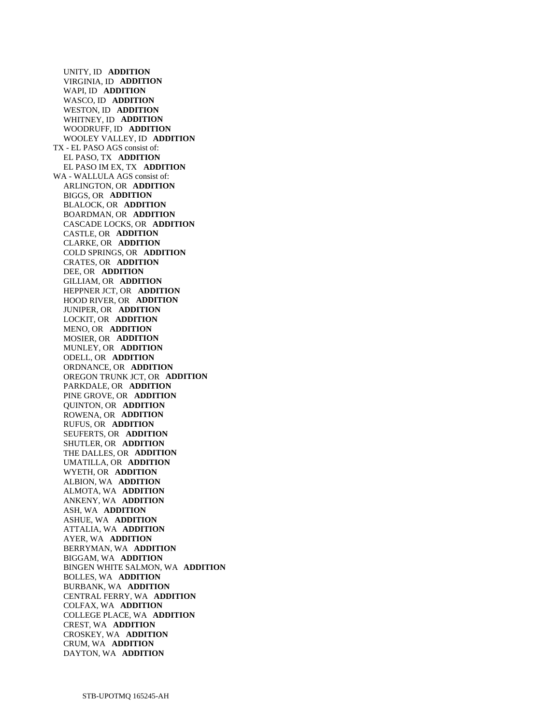UNITY, ID **ADDITION**  VIRGINIA, ID **ADDITION**  WAPI, ID **ADDITION**  WASCO, ID **ADDITION**  WESTON, ID **ADDITION**  WHITNEY, ID **ADDITION**  WOODRUFF, ID **ADDITION**  WOOLEY VALLEY, ID **ADDITION**  TX - EL PASO AGS consist of: EL PASO, TX **ADDITION**  EL PASO IM EX, TX **ADDITION**  WA - WALLULA AGS consist of: ARLINGTON, OR **ADDITION**  BIGGS, OR **ADDITION**  BLALOCK, OR **ADDITION**  BOARDMAN, OR **ADDITION**  CASCADE LOCKS, OR **ADDITION**  CASTLE, OR **ADDITION**  CLARKE, OR **ADDITION**  COLD SPRINGS, OR **ADDITION**  CRATES, OR **ADDITION**  DEE, OR **ADDITION**  GILLIAM, OR **ADDITION**  HEPPNER JCT, OR **ADDITION**  HOOD RIVER, OR **ADDITION**  JUNIPER, OR **ADDITION**  LOCKIT, OR **ADDITION**  MENO, OR **ADDITION**  MOSIER, OR **ADDITION**  MUNLEY, OR **ADDITION**  ODELL, OR **ADDITION**  ORDNANCE, OR **ADDITION**  OREGON TRUNK JCT, OR **ADDITION**  PARKDALE, OR **ADDITION**  PINE GROVE, OR **ADDITION**  QUINTON, OR **ADDITION**  ROWENA, OR **ADDITION**  RUFUS, OR **ADDITION**  SEUFERTS, OR **ADDITION**  SHUTLER, OR **ADDITION**  THE DALLES, OR **ADDITION**  UMATILLA, OR **ADDITION**  WYETH, OR **ADDITION**  ALBION, WA **ADDITION**  ALMOTA, WA **ADDITION**  ANKENY, WA **ADDITION**  ASH, WA **ADDITION**  ASHUE, WA **ADDITION**  ATTALIA, WA **ADDITION**  AYER, WA **ADDITION**  BERRYMAN, WA **ADDITION**  BIGGAM, WA **ADDITION**  BINGEN WHITE SALMON, WA **ADDITION**  BOLLES, WA **ADDITION**  BURBANK, WA **ADDITION**  CENTRAL FERRY, WA **ADDITION**  COLFAX, WA **ADDITION**  COLLEGE PLACE, WA **ADDITION**  CREST, WA **ADDITION**  CROSKEY, WA **ADDITION**  CRUM, WA **ADDITION**  DAYTON, WA **ADDITION**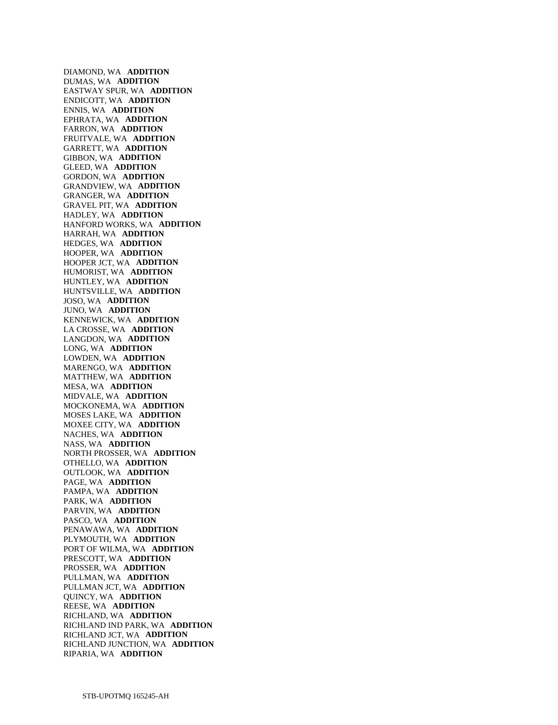DIAMOND, WA **ADDITION**  DUMAS, WA **ADDITION**  EASTWAY SPUR, WA **ADDITION**  ENDICOTT, WA **ADDITION**  ENNIS, WA **ADDITION**  EPHRATA, WA **ADDITION**  FARRON, WA **ADDITION**  FRUITVALE, WA **ADDITION**  GARRETT, WA **ADDITION**  GIBBON, WA **ADDITION**  GLEED, WA **ADDITION**  GORDON, WA **ADDITION**  GRANDVIEW, WA **ADDITION**  GRANGER, WA **ADDITION**  GRAVEL PIT, WA **ADDITION**  HADLEY, WA **ADDITION**  HANFORD WORKS, WA **ADDITION**  HARRAH, WA **ADDITION**  HEDGES, WA **ADDITION**  HOOPER, WA **ADDITION**  HOOPER JCT, WA **ADDITION**  HUMORIST, WA **ADDITION**  HUNTLEY, WA **ADDITION**  HUNTSVILLE, WA **ADDITION**  JOSO, WA **ADDITION**  JUNO, WA **ADDITION**  KENNEWICK, WA **ADDITION**  LA CROSSE, WA **ADDITION**  LANGDON, WA **ADDITION**  LONG, WA **ADDITION**  LOWDEN, WA **ADDITION**  MARENGO, WA **ADDITION**  MATTHEW, WA **ADDITION**  MESA, WA **ADDITION**  MIDVALE, WA **ADDITION**  MOCKONEMA, WA **ADDITION**  MOSES LAKE, WA **ADDITION**  MOXEE CITY, WA **ADDITION**  NACHES, WA **ADDITION**  NASS, WA **ADDITION**  NORTH PROSSER, WA **ADDITION**  OTHELLO, WA **ADDITION**  OUTLOOK, WA **ADDITION**  PAGE, WA **ADDITION**  PAMPA, WA **ADDITION**  PARK, WA **ADDITION**  PARVIN, WA **ADDITION**  PASCO, WA **ADDITION**  PENAWAWA, WA **ADDITION**  PLYMOUTH, WA **ADDITION**  PORT OF WILMA, WA **ADDITION**  PRESCOTT, WA **ADDITION**  PROSSER, WA **ADDITION**  PULLMAN, WA **ADDITION**  PULLMAN JCT, WA **ADDITION**  QUINCY, WA **ADDITION**  REESE, WA **ADDITION**  RICHLAND, WA **ADDITION**  RICHLAND IND PARK, WA **ADDITION**  RICHLAND JCT, WA **ADDITION**  RICHLAND JUNCTION, WA **ADDITION**  RIPARIA, WA **ADDITION**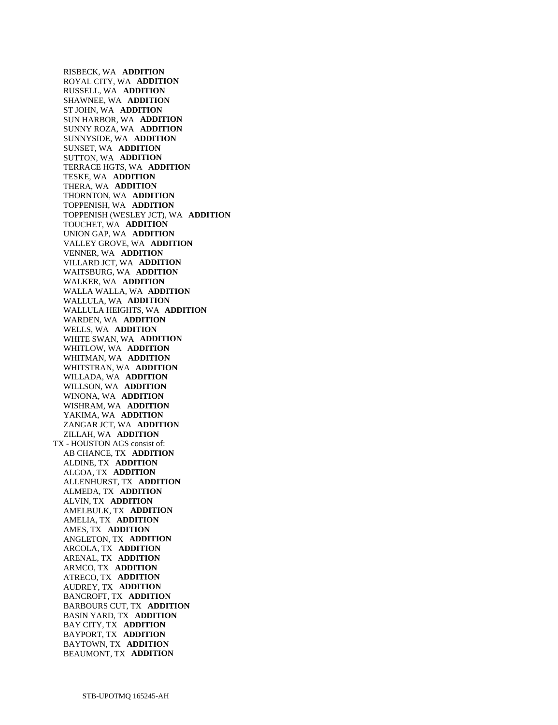RISBECK, WA **ADDITION**  ROYAL CITY, WA **ADDITION**  RUSSELL, WA **ADDITION**  SHAWNEE, WA **ADDITION**  ST JOHN, WA **ADDITION**  SUN HARBOR, WA **ADDITION**  SUNNY ROZA, WA **ADDITION**  SUNNYSIDE, WA **ADDITION**  SUNSET, WA **ADDITION**  SUTTON, WA **ADDITION**  TERRACE HGTS, WA **ADDITION**  TESKE, WA **ADDITION**  THERA, WA **ADDITION**  THORNTON, WA **ADDITION**  TOPPENISH, WA **ADDITION**  TOPPENISH (WESLEY JCT), WA **ADDITION**  TOUCHET, WA **ADDITION**  UNION GAP, WA **ADDITION**  VALLEY GROVE, WA **ADDITION**  VENNER, WA **ADDITION**  VILLARD JCT, WA **ADDITION**  WAITSBURG, WA **ADDITION**  WALKER, WA **ADDITION**  WALLA WALLA, WA **ADDITION**  WALLULA, WA **ADDITION**  WALLULA HEIGHTS, WA **ADDITION**  WARDEN, WA **ADDITION**  WELLS, WA **ADDITION**  WHITE SWAN, WA **ADDITION**  WHITLOW, WA **ADDITION**  WHITMAN, WA **ADDITION**  WHITSTRAN, WA **ADDITION**  WILLADA, WA **ADDITION**  WILLSON, WA **ADDITION**  WINONA, WA **ADDITION**  WISHRAM, WA **ADDITION**  YAKIMA, WA **ADDITION**  ZANGAR JCT, WA **ADDITION**  ZILLAH, WA **ADDITION**  TX - HOUSTON AGS consist of: AB CHANCE, TX **ADDITION**  ALDINE, TX **ADDITION**  ALGOA, TX **ADDITION**  ALLENHURST, TX **ADDITION**  ALMEDA, TX **ADDITION**  ALVIN, TX **ADDITION**  AMELBULK, TX **ADDITION**  AMELIA, TX **ADDITION**  AMES, TX **ADDITION**  ANGLETON, TX **ADDITION**  ARCOLA, TX **ADDITION**  ARENAL, TX **ADDITION**  ARMCO, TX **ADDITION**  ATRECO, TX **ADDITION**  AUDREY, TX **ADDITION**  BANCROFT, TX **ADDITION**  BARBOURS CUT, TX **ADDITION**  BASIN YARD, TX **ADDITION**  BAY CITY, TX **ADDITION**  BAYPORT, TX **ADDITION**  BAYTOWN, TX **ADDITION**  BEAUMONT, TX **ADDITION**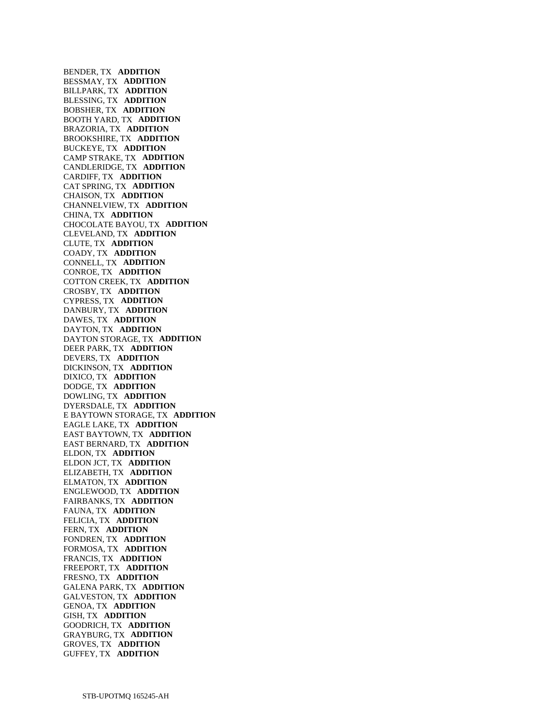BENDER, TX **ADDITION**  BESSMAY, TX **ADDITION**  BILLPARK, TX **ADDITION**  BLESSING, TX **ADDITION**  BOBSHER, TX **ADDITION**  BOOTH YARD, TX **ADDITION**  BRAZORIA, TX **ADDITION**  BROOKSHIRE, TX **ADDITION**  BUCKEYE, TX **ADDITION**  CAMP STRAKE, TX **ADDITION**  CANDLERIDGE, TX **ADDITION**  CARDIFF, TX **ADDITION**  CAT SPRING, TX **ADDITION**  CHAISON, TX **ADDITION**  CHANNELVIEW, TX **ADDITION**  CHINA, TX **ADDITION**  CHOCOLATE BAYOU, TX **ADDITION**  CLEVELAND, TX **ADDITION**  CLUTE, TX **ADDITION**  COADY, TX **ADDITION**  CONNELL, TX **ADDITION**  CONROE, TX **ADDITION**  COTTON CREEK, TX **ADDITION**  CROSBY, TX **ADDITION**  CYPRESS, TX **ADDITION**  DANBURY, TX **ADDITION**  DAWES, TX **ADDITION**  DAYTON, TX **ADDITION**  DAYTON STORAGE, TX **ADDITION**  DEER PARK, TX **ADDITION**  DEVERS, TX **ADDITION**  DICKINSON, TX **ADDITION**  DIXICO, TX **ADDITION**  DODGE, TX **ADDITION**  DOWLING, TX **ADDITION**  DYERSDALE, TX **ADDITION**  E BAYTOWN STORAGE, TX **ADDITION**  EAGLE LAKE, TX **ADDITION**  EAST BAYTOWN, TX **ADDITION**  EAST BERNARD, TX **ADDITION**  ELDON, TX **ADDITION**  ELDON JCT, TX **ADDITION**  ELIZABETH, TX **ADDITION**  ELMATON, TX **ADDITION**  ENGLEWOOD, TX **ADDITION**  FAIRBANKS, TX **ADDITION**  FAUNA, TX **ADDITION**  FELICIA, TX **ADDITION**  FERN, TX **ADDITION**  FONDREN, TX **ADDITION**  FORMOSA, TX **ADDITION**  FRANCIS, TX **ADDITION**  FREEPORT, TX **ADDITION**  FRESNO, TX **ADDITION**  GALENA PARK, TX **ADDITION**  GALVESTON, TX **ADDITION**  GENOA, TX **ADDITION**  GISH, TX **ADDITION**  GOODRICH, TX **ADDITION**  GRAYBURG, TX **ADDITION**  GROVES, TX **ADDITION**  GUFFEY, TX **ADDITION**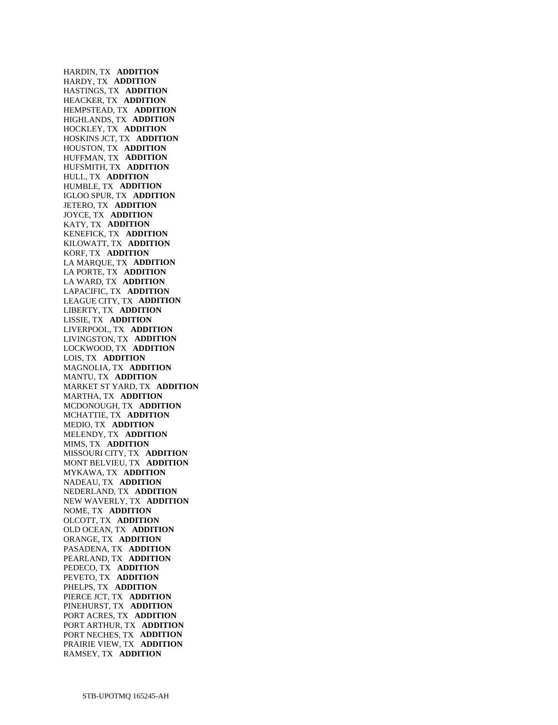HARDIN, TX **ADDITION**  HARDY, TX **ADDITION**  HASTINGS, TX **ADDITION**  HEACKER, TX **ADDITION**  HEMPSTEAD, TX **ADDITION**  HIGHLANDS, TX **ADDITION**  HOCKLEY, TX **ADDITION**  HOSKINS JCT, TX **ADDITION**  HOUSTON, TX **ADDITION**  HUFFMAN, TX **ADDITION**  HUFSMITH, TX **ADDITION**  HULL, TX **ADDITION**  HUMBLE, TX **ADDITION**  IGLOO SPUR, TX **ADDITION**  JETERO, TX **ADDITION**  JOYCE, TX **ADDITION**  KATY, TX **ADDITION**  KENEFICK, TX **ADDITION**  KILOWATT, TX **ADDITION**  KORF, TX **ADDITION**  LA MARQUE, TX **ADDITION**  LA PORTE, TX **ADDITION**  LA WARD, TX **ADDITION**  LAPACIFIC, TX **ADDITION**  LEAGUE CITY, TX **ADDITION**  LIBERTY, TX **ADDITION**  LISSIE, TX **ADDITION**  LIVERPOOL, TX **ADDITION**  LIVINGSTON, TX **ADDITION**  LOCKWOOD, TX **ADDITION**  LOIS, TX **ADDITION**  MAGNOLIA, TX **ADDITION**  MANTU, TX **ADDITION**  MARKET ST YARD, TX **ADDITION**  MARTHA, TX **ADDITION**  MCDONOUGH, TX **ADDITION**  MCHATTIE, TX **ADDITION**  MEDIO, TX **ADDITION**  MELENDY, TX **ADDITION**  MIMS, TX **ADDITION**  MISSOURI CITY, TX **ADDITION**  MONT BELVIEU, TX **ADDITION**  MYKAWA, TX **ADDITION**  NADEAU, TX **ADDITION**  NEDERLAND, TX **ADDITION**  NEW WAVERLY, TX **ADDITION**  NOME, TX **ADDITION**  OLCOTT, TX **ADDITION**  OLD OCEAN, TX **ADDITION**  ORANGE, TX **ADDITION**  PASADENA, TX **ADDITION**  PEARLAND, TX **ADDITION**  PEDECO, TX **ADDITION**  PEVETO, TX **ADDITION**  PHELPS, TX **ADDITION**  PIERCE JCT, TX **ADDITION**  PINEHURST, TX **ADDITION**  PORT ACRES, TX **ADDITION**  PORT ARTHUR, TX **ADDITION**  PORT NECHES, TX **ADDITION**  PRAIRIE VIEW, TX **ADDITION**  RAMSEY, TX **ADDITION**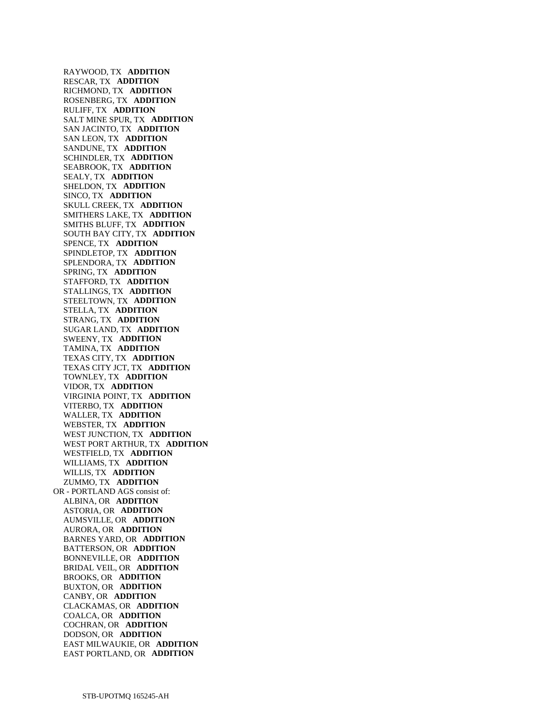RAYWOOD, TX **ADDITION**  RESCAR, TX **ADDITION**  RICHMOND, TX **ADDITION**  ROSENBERG, TX **ADDITION**  RULIFF, TX **ADDITION**  SALT MINE SPUR, TX **ADDITION**  SAN JACINTO, TX **ADDITION**  SAN LEON, TX **ADDITION**  SANDUNE, TX **ADDITION**  SCHINDLER, TX **ADDITION**  SEABROOK, TX **ADDITION**  SEALY, TX **ADDITION**  SHELDON, TX **ADDITION**  SINCO, TX **ADDITION**  SKULL CREEK, TX **ADDITION**  SMITHERS LAKE, TX **ADDITION**  SMITHS BLUFF, TX **ADDITION**  SOUTH BAY CITY, TX **ADDITION**  SPENCE, TX **ADDITION**  SPINDLETOP, TX **ADDITION**  SPLENDORA, TX **ADDITION**  SPRING, TX **ADDITION**  STAFFORD, TX **ADDITION**  STALLINGS, TX **ADDITION**  STEELTOWN, TX **ADDITION**  STELLA, TX **ADDITION**  STRANG, TX **ADDITION**  SUGAR LAND, TX **ADDITION**  SWEENY, TX **ADDITION**  TAMINA, TX **ADDITION**  TEXAS CITY, TX **ADDITION**  TEXAS CITY JCT, TX **ADDITION**  TOWNLEY, TX **ADDITION**  VIDOR, TX **ADDITION**  VIRGINIA POINT, TX **ADDITION**  VITERBO, TX **ADDITION**  WALLER, TX **ADDITION**  WEBSTER, TX **ADDITION**  WEST JUNCTION, TX **ADDITION**  WEST PORT ARTHUR, TX **ADDITION**  WESTFIELD, TX **ADDITION**  WILLIAMS, TX **ADDITION**  WILLIS, TX **ADDITION**  ZUMMO, TX **ADDITION**  OR - PORTLAND AGS consist of: ALBINA, OR **ADDITION**  ASTORIA, OR **ADDITION**  AUMSVILLE, OR **ADDITION**  AURORA, OR **ADDITION**  BARNES YARD, OR **ADDITION**  BATTERSON, OR **ADDITION**  BONNEVILLE, OR **ADDITION**  BRIDAL VEIL, OR **ADDITION**  BROOKS, OR **ADDITION**  BUXTON, OR **ADDITION**  CANBY, OR **ADDITION**  CLACKAMAS, OR **ADDITION**  COALCA, OR **ADDITION**  COCHRAN, OR **ADDITION**  DODSON, OR **ADDITION**  EAST MILWAUKIE, OR **ADDITION**  EAST PORTLAND, OR **ADDITION**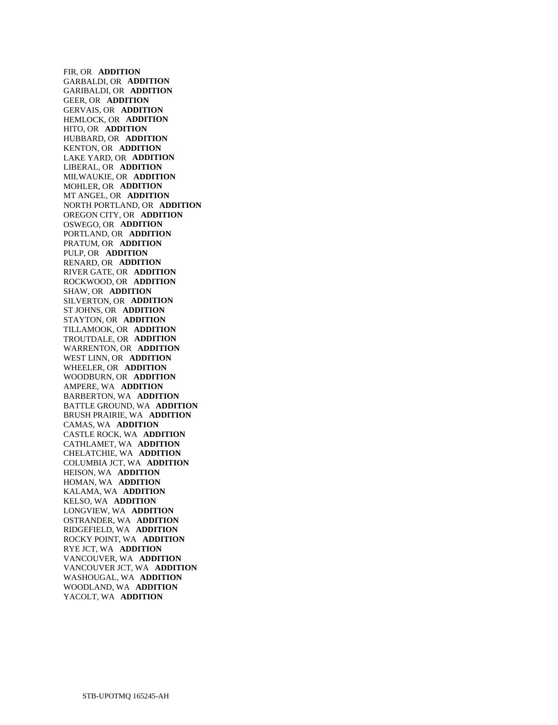FIR, OR **ADDITION**  GARBALDI, OR **ADDITION**  GARIBALDI, OR **ADDITION**  GEER, OR **ADDITION**  GERVAIS, OR **ADDITION**  HEMLOCK, OR **ADDITION**  HITO, OR **ADDITION**  HUBBARD, OR **ADDITION**  KENTON, OR **ADDITION**  LAKE YARD, OR **ADDITION**  LIBERAL, OR **ADDITION**  MILWAUKIE, OR **ADDITION**  MOHLER, OR **ADDITION**  MT ANGEL, OR **ADDITION**  NORTH PORTLAND, OR **ADDITION**  OREGON CITY, OR **ADDITION**  OSWEGO, OR **ADDITION**  PORTLAND, OR **ADDITION**  PRATUM, OR **ADDITION**  PULP, OR **ADDITION**  RENARD, OR **ADDITION**  RIVER GATE, OR **ADDITION**  ROCKWOOD, OR **ADDITION**  SHAW, OR **ADDITION**  SILVERTON, OR **ADDITION**  ST JOHNS, OR **ADDITION**  STAYTON, OR **ADDITION**  TILLAMOOK, OR **ADDITION**  TROUTDALE, OR **ADDITION**  WARRENTON, OR **ADDITION**  WEST LINN, OR **ADDITION**  WHEELER, OR **ADDITION**  WOODBURN, OR **ADDITION**  AMPERE, WA **ADDITION**  BARBERTON, WA **ADDITION**  BATTLE GROUND, WA **ADDITION**  BRUSH PRAIRIE, WA **ADDITION**  CAMAS, WA **ADDITION**  CASTLE ROCK, WA **ADDITION**  CATHLAMET, WA **ADDITION**  CHELATCHIE, WA **ADDITION**  COLUMBIA JCT, WA **ADDITION**  HEISON, WA **ADDITION**  HOMAN, WA **ADDITION**  KALAMA, WA **ADDITION**  KELSO, WA **ADDITION**  LONGVIEW, WA **ADDITION**  OSTRANDER, WA **ADDITION**  RIDGEFIELD, WA **ADDITION**  ROCKY POINT, WA **ADDITION**  RYE JCT, WA **ADDITION**  VANCOUVER, WA **ADDITION**  VANCOUVER JCT, WA **ADDITION**  WASHOUGAL, WA **ADDITION**  WOODLAND, WA **ADDITION**  YACOLT, WA **ADDITION**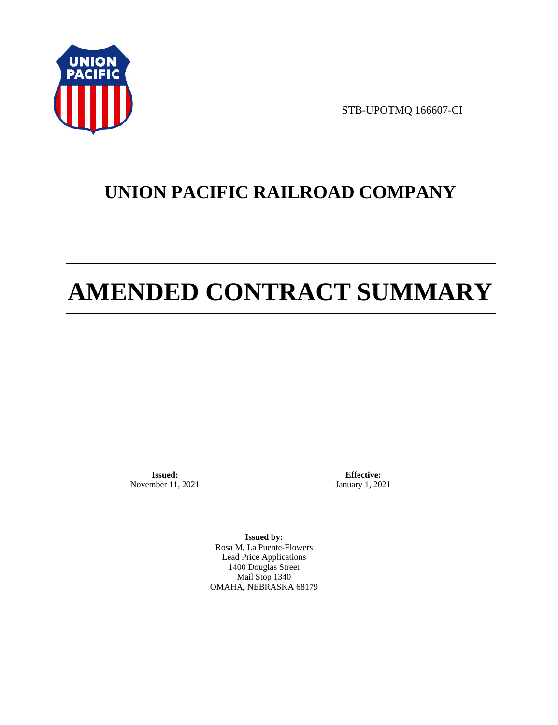

STB-UPOTMQ 166607-CI

# **UNION PACIFIC RAILROAD COMPANY**

# **AMENDED CONTRACT SUMMARY**

**Issued:**  November 11, 2021

**Effective:** January 1, 2021

**Issued by:**  Rosa M. La Puente-Flowers Lead Price Applications 1400 Douglas Street Mail Stop 1340 OMAHA, NEBRASKA 68179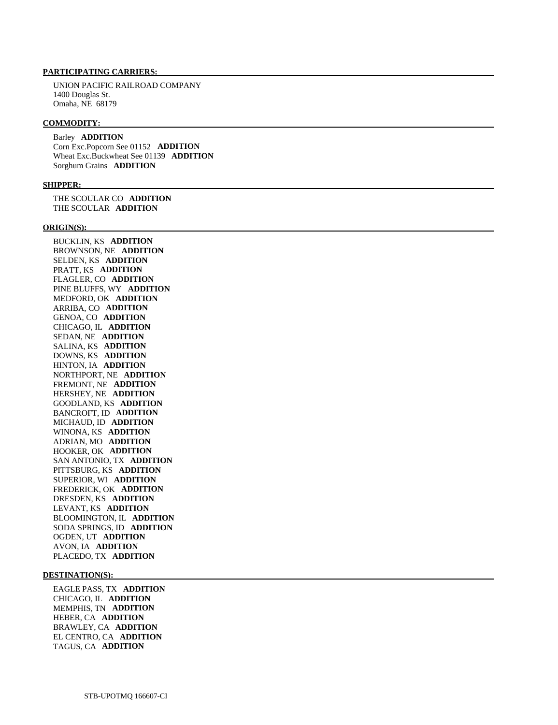UNION PACIFIC RAILROAD COMPANY 1400 Douglas St. Omaha, NE 68179

#### **COMMODITY:**

 Barley **ADDITION**  Corn Exc.Popcorn See 01152 **ADDITION**  Wheat Exc.Buckwheat See 01139 **ADDITION**  Sorghum Grains **ADDITION** 

### **SHIPPER:**

 THE SCOULAR CO **ADDITION**  THE SCOULAR **ADDITION** 

#### **ORIGIN(S):**

 BUCKLIN, KS **ADDITION**  BROWNSON, NE **ADDITION**  SELDEN, KS **ADDITION**  PRATT, KS **ADDITION**  FLAGLER, CO **ADDITION**  PINE BLUFFS, WY **ADDITION**  MEDFORD, OK **ADDITION**  ARRIBA, CO **ADDITION**  GENOA, CO **ADDITION**  CHICAGO, IL **ADDITION**  SEDAN, NE **ADDITION**  SALINA, KS **ADDITION**  DOWNS, KS **ADDITION**  HINTON, IA **ADDITION**  NORTHPORT, NE **ADDITION**  FREMONT, NE **ADDITION**  HERSHEY, NE **ADDITION**  GOODLAND, KS **ADDITION**  BANCROFT, ID **ADDITION**  MICHAUD, ID **ADDITION**  WINONA, KS **ADDITION**  ADRIAN, MO **ADDITION**  HOOKER, OK **ADDITION**  SAN ANTONIO, TX **ADDITION**  PITTSBURG, KS **ADDITION**  SUPERIOR, WI **ADDITION**  FREDERICK, OK **ADDITION**  DRESDEN, KS **ADDITION**  LEVANT, KS **ADDITION**  BLOOMINGTON, IL **ADDITION**  SODA SPRINGS, ID **ADDITION**  OGDEN, UT **ADDITION**  AVON, IA **ADDITION**  PLACEDO, TX **ADDITION** 

### **DESTINATION(S):**

 EAGLE PASS, TX **ADDITION**  CHICAGO, IL **ADDITION**  MEMPHIS, TN **ADDITION**  HEBER, CA **ADDITION**  BRAWLEY, CA **ADDITION**  EL CENTRO, CA **ADDITION**  TAGUS, CA **ADDITION**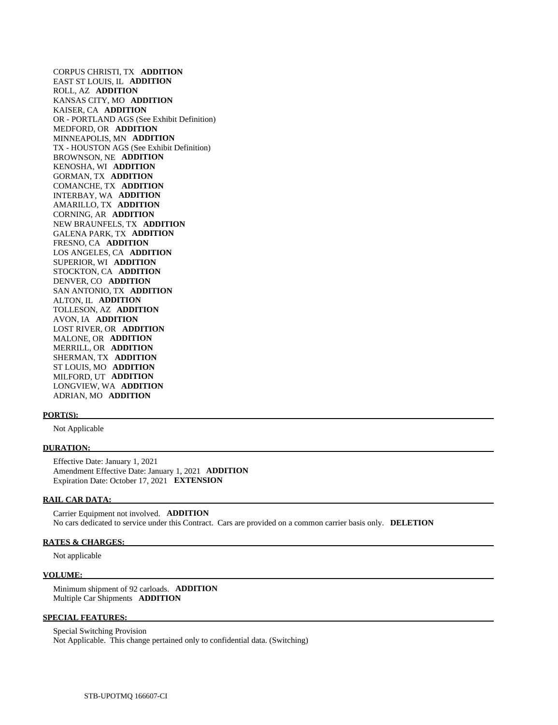CORPUS CHRISTI, TX **ADDITION**  EAST ST LOUIS, IL **ADDITION**  ROLL, AZ **ADDITION**  KANSAS CITY, MO **ADDITION**  KAISER, CA **ADDITION**  OR - PORTLAND AGS (See Exhibit Definition) MEDFORD, OR **ADDITION**  MINNEAPOLIS, MN **ADDITION**  TX - HOUSTON AGS (See Exhibit Definition) BROWNSON, NE **ADDITION**  KENOSHA, WI **ADDITION**  GORMAN, TX **ADDITION**  COMANCHE, TX **ADDITION**  INTERBAY, WA **ADDITION**  AMARILLO, TX **ADDITION**  CORNING, AR **ADDITION**  NEW BRAUNFELS, TX **ADDITION**  GALENA PARK, TX **ADDITION**  FRESNO, CA **ADDITION**  LOS ANGELES, CA **ADDITION**  SUPERIOR, WI **ADDITION**  STOCKTON, CA **ADDITION**  DENVER, CO **ADDITION**  SAN ANTONIO, TX **ADDITION**  ALTON, IL **ADDITION**  TOLLESON, AZ **ADDITION**  AVON, IA **ADDITION**  LOST RIVER, OR **ADDITION**  MALONE, OR **ADDITION**  MERRILL, OR **ADDITION**  SHERMAN, TX **ADDITION**  ST LOUIS, MO **ADDITION**  MILFORD, UT **ADDITION**  LONGVIEW, WA **ADDITION**  ADRIAN, MO **ADDITION** 

### **PORT(S):**

Not Applicable

#### **DURATION:**

 Effective Date: January 1, 2021 Amendment Effective Date: January 1, 2021 **ADDITION**  Expiration Date: October 17, 2021 **EXTENSION** 

### **RAIL CAR DATA:**

 Carrier Equipment not involved. **ADDITION**  No cars dedicated to service under this Contract. Cars are provided on a common carrier basis only. **DELETION** 

### **RATES & CHARGES:**

Not applicable

### **VOLUME:**

 Minimum shipment of 92 carloads. **ADDITION**  Multiple Car Shipments **ADDITION** 

### **SPECIAL FEATURES:**

 Special Switching Provision Not Applicable. This change pertained only to confidential data. (Switching)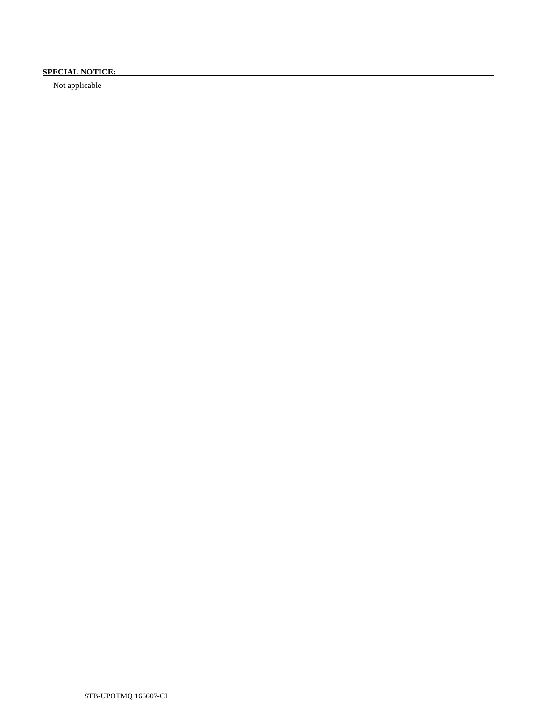# **SPECIAL NOTICE:**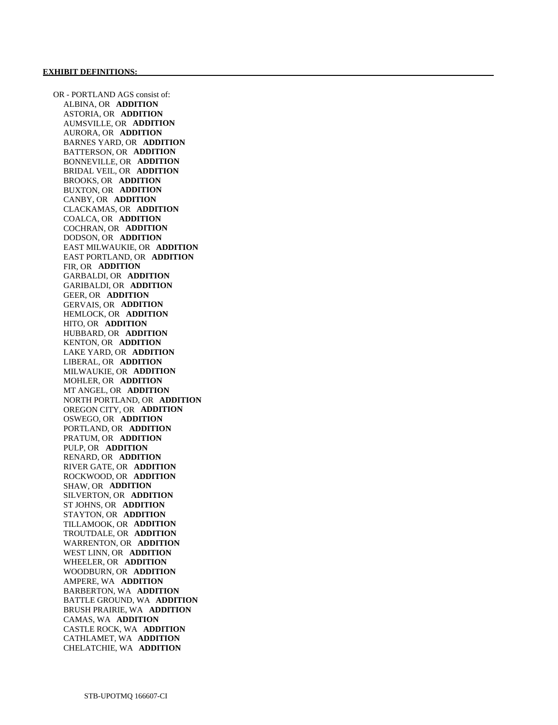OR - PORTLAND AGS consist of: ALBINA, OR **ADDITION**  ASTORIA, OR **ADDITION**  AUMSVILLE, OR **ADDITION**  AURORA, OR **ADDITION**  BARNES YARD, OR **ADDITION**  BATTERSON, OR **ADDITION**  BONNEVILLE, OR **ADDITION**  BRIDAL VEIL, OR **ADDITION**  BROOKS, OR **ADDITION**  BUXTON, OR **ADDITION**  CANBY, OR **ADDITION**  CLACKAMAS, OR **ADDITION**  COALCA, OR **ADDITION**  COCHRAN, OR **ADDITION**  DODSON, OR **ADDITION**  EAST MILWAUKIE, OR **ADDITION**  EAST PORTLAND, OR **ADDITION**  FIR, OR **ADDITION**  GARBALDI, OR **ADDITION**  GARIBALDI, OR **ADDITION**  GEER, OR **ADDITION**  GERVAIS, OR **ADDITION**  HEMLOCK, OR **ADDITION**  HITO, OR **ADDITION**  HUBBARD, OR **ADDITION**  KENTON, OR **ADDITION**  LAKE YARD, OR **ADDITION**  LIBERAL, OR **ADDITION**  MILWAUKIE, OR **ADDITION**  MOHLER, OR **ADDITION**  MT ANGEL, OR **ADDITION**  NORTH PORTLAND, OR **ADDITION**  OREGON CITY, OR **ADDITION**  OSWEGO, OR **ADDITION**  PORTLAND, OR **ADDITION**  PRATUM, OR **ADDITION**  PULP, OR **ADDITION**  RENARD, OR **ADDITION**  RIVER GATE, OR **ADDITION**  ROCKWOOD, OR **ADDITION**  SHAW, OR **ADDITION**  SILVERTON, OR **ADDITION**  ST JOHNS, OR **ADDITION**  STAYTON, OR **ADDITION**  TILLAMOOK, OR **ADDITION**  TROUTDALE, OR **ADDITION**  WARRENTON, OR **ADDITION**  WEST LINN, OR **ADDITION**  WHEELER, OR **ADDITION**  WOODBURN, OR **ADDITION**  AMPERE, WA **ADDITION**  BARBERTON, WA **ADDITION**  BATTLE GROUND, WA **ADDITION**  BRUSH PRAIRIE, WA **ADDITION**  CAMAS, WA **ADDITION**  CASTLE ROCK, WA **ADDITION**  CATHLAMET, WA **ADDITION**  CHELATCHIE, WA **ADDITION**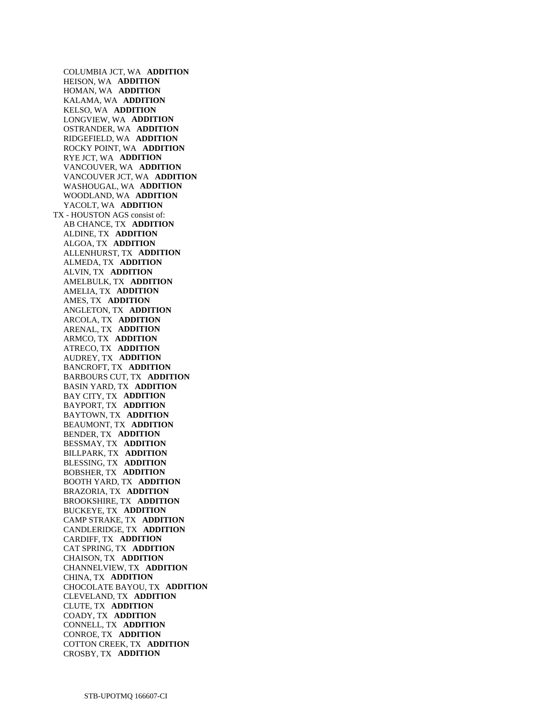COLUMBIA JCT, WA **ADDITION**  HEISON, WA **ADDITION**  HOMAN, WA **ADDITION**  KALAMA, WA **ADDITION**  KELSO, WA **ADDITION**  LONGVIEW, WA **ADDITION**  OSTRANDER, WA **ADDITION**  RIDGEFIELD, WA **ADDITION**  ROCKY POINT, WA **ADDITION**  RYE JCT, WA **ADDITION**  VANCOUVER, WA **ADDITION**  VANCOUVER JCT, WA **ADDITION**  WASHOUGAL, WA **ADDITION**  WOODLAND, WA **ADDITION**  YACOLT, WA **ADDITION**  TX - HOUSTON AGS consist of: AB CHANCE, TX **ADDITION**  ALDINE, TX **ADDITION**  ALGOA, TX **ADDITION**  ALLENHURST, TX **ADDITION**  ALMEDA, TX **ADDITION**  ALVIN, TX **ADDITION**  AMELBULK, TX **ADDITION**  AMELIA, TX **ADDITION**  AMES, TX **ADDITION**  ANGLETON, TX **ADDITION**  ARCOLA, TX **ADDITION**  ARENAL, TX **ADDITION**  ARMCO, TX **ADDITION**  ATRECO, TX **ADDITION**  AUDREY, TX **ADDITION**  BANCROFT, TX **ADDITION**  BARBOURS CUT, TX **ADDITION**  BASIN YARD, TX **ADDITION**  BAY CITY, TX **ADDITION**  BAYPORT, TX **ADDITION**  BAYTOWN, TX **ADDITION**  BEAUMONT, TX **ADDITION**  BENDER, TX **ADDITION**  BESSMAY, TX **ADDITION**  BILLPARK, TX **ADDITION**  BLESSING, TX **ADDITION**  BOBSHER, TX **ADDITION**  BOOTH YARD, TX **ADDITION**  BRAZORIA, TX **ADDITION**  BROOKSHIRE, TX **ADDITION**  BUCKEYE, TX **ADDITION**  CAMP STRAKE, TX **ADDITION**  CANDLERIDGE, TX **ADDITION**  CARDIFF, TX **ADDITION**  CAT SPRING, TX **ADDITION**  CHAISON, TX **ADDITION**  CHANNELVIEW, TX **ADDITION**  CHINA, TX **ADDITION**  CHOCOLATE BAYOU, TX **ADDITION**  CLEVELAND, TX **ADDITION**  CLUTE, TX **ADDITION**  COADY, TX **ADDITION**  CONNELL, TX **ADDITION**  CONROE, TX **ADDITION**  COTTON CREEK, TX **ADDITION**  CROSBY, TX **ADDITION**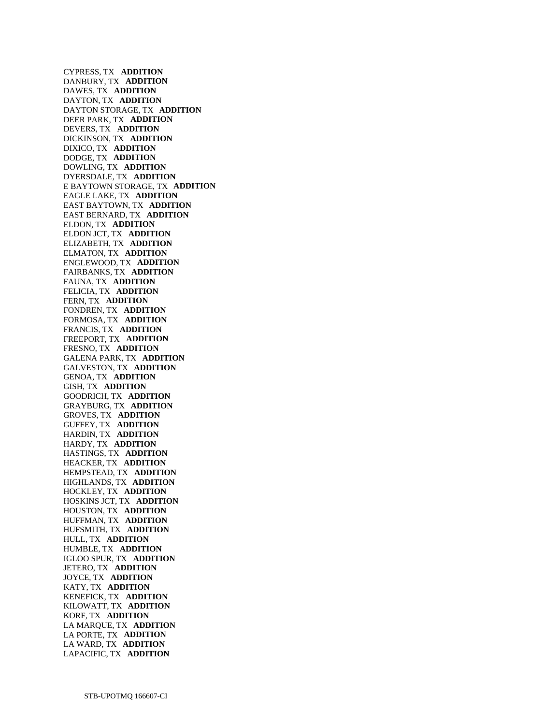CYPRESS, TX **ADDITION**  DANBURY, TX **ADDITION**  DAWES, TX **ADDITION**  DAYTON, TX **ADDITION**  DAYTON STORAGE, TX **ADDITION**  DEER PARK, TX **ADDITION**  DEVERS, TX **ADDITION**  DICKINSON, TX **ADDITION**  DIXICO, TX **ADDITION**  DODGE, TX **ADDITION**  DOWLING, TX **ADDITION**  DYERSDALE, TX **ADDITION**  E BAYTOWN STORAGE, TX **ADDITION**  EAGLE LAKE, TX **ADDITION**  EAST BAYTOWN, TX **ADDITION**  EAST BERNARD, TX **ADDITION**  ELDON, TX **ADDITION**  ELDON JCT, TX **ADDITION**  ELIZABETH, TX **ADDITION**  ELMATON, TX **ADDITION**  ENGLEWOOD, TX **ADDITION**  FAIRBANKS, TX **ADDITION**  FAUNA, TX **ADDITION**  FELICIA, TX **ADDITION**  FERN, TX **ADDITION**  FONDREN, TX **ADDITION**  FORMOSA, TX **ADDITION**  FRANCIS, TX **ADDITION**  FREEPORT, TX **ADDITION**  FRESNO, TX **ADDITION**  GALENA PARK, TX **ADDITION**  GALVESTON, TX **ADDITION**  GENOA, TX **ADDITION**  GISH, TX **ADDITION**  GOODRICH, TX **ADDITION**  GRAYBURG, TX **ADDITION**  GROVES, TX **ADDITION**  GUFFEY, TX **ADDITION**  HARDIN, TX **ADDITION**  HARDY, TX **ADDITION**  HASTINGS, TX **ADDITION**  HEACKER, TX **ADDITION**  HEMPSTEAD, TX **ADDITION**  HIGHLANDS, TX **ADDITION**  HOCKLEY, TX **ADDITION**  HOSKINS JCT, TX **ADDITION**  HOUSTON, TX **ADDITION**  HUFFMAN, TX **ADDITION**  HUFSMITH, TX **ADDITION**  HULL, TX **ADDITION**  HUMBLE, TX **ADDITION**  IGLOO SPUR, TX **ADDITION**  JETERO, TX **ADDITION**  JOYCE, TX **ADDITION**  KATY, TX **ADDITION**  KENEFICK, TX **ADDITION**  KILOWATT, TX **ADDITION**  KORF, TX **ADDITION**  LA MARQUE, TX **ADDITION**  LA PORTE, TX **ADDITION**  LA WARD, TX **ADDITION**  LAPACIFIC, TX **ADDITION**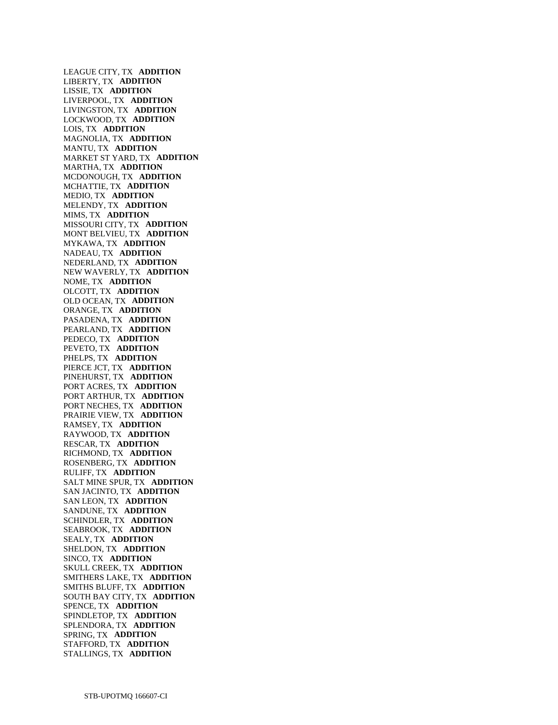LEAGUE CITY, TX **ADDITION**  LIBERTY, TX **ADDITION**  LISSIE, TX **ADDITION**  LIVERPOOL, TX **ADDITION**  LIVINGSTON, TX **ADDITION**  LOCKWOOD, TX **ADDITION**  LOIS, TX **ADDITION**  MAGNOLIA, TX **ADDITION**  MANTU, TX **ADDITION**  MARKET ST YARD, TX **ADDITION**  MARTHA, TX **ADDITION**  MCDONOUGH, TX **ADDITION**  MCHATTIE, TX **ADDITION**  MEDIO, TX **ADDITION**  MELENDY, TX **ADDITION**  MIMS, TX **ADDITION**  MISSOURI CITY, TX **ADDITION**  MONT BELVIEU, TX **ADDITION**  MYKAWA, TX **ADDITION**  NADEAU, TX **ADDITION**  NEDERLAND, TX **ADDITION**  NEW WAVERLY, TX **ADDITION**  NOME, TX **ADDITION**  OLCOTT, TX **ADDITION**  OLD OCEAN, TX **ADDITION**  ORANGE, TX **ADDITION**  PASADENA, TX **ADDITION**  PEARLAND, TX **ADDITION**  PEDECO, TX **ADDITION**  PEVETO, TX **ADDITION**  PHELPS, TX **ADDITION**  PIERCE JCT, TX **ADDITION**  PINEHURST, TX **ADDITION**  PORT ACRES, TX **ADDITION**  PORT ARTHUR, TX **ADDITION**  PORT NECHES, TX **ADDITION**  PRAIRIE VIEW, TX **ADDITION**  RAMSEY, TX **ADDITION**  RAYWOOD, TX **ADDITION**  RESCAR, TX **ADDITION**  RICHMOND, TX **ADDITION**  ROSENBERG, TX **ADDITION**  RULIFF, TX **ADDITION**  SALT MINE SPUR, TX **ADDITION**  SAN JACINTO, TX **ADDITION**  SAN LEON, TX **ADDITION**  SANDUNE, TX **ADDITION**  SCHINDLER, TX **ADDITION**  SEABROOK, TX **ADDITION**  SEALY, TX **ADDITION**  SHELDON, TX **ADDITION**  SINCO, TX **ADDITION**  SKULL CREEK, TX **ADDITION**  SMITHERS LAKE, TX **ADDITION**  SMITHS BLUFF, TX **ADDITION**  SOUTH BAY CITY, TX **ADDITION**  SPENCE, TX **ADDITION**  SPINDLETOP, TX **ADDITION**  SPLENDORA, TX **ADDITION**  SPRING, TX **ADDITION**  STAFFORD, TX **ADDITION**  STALLINGS, TX **ADDITION**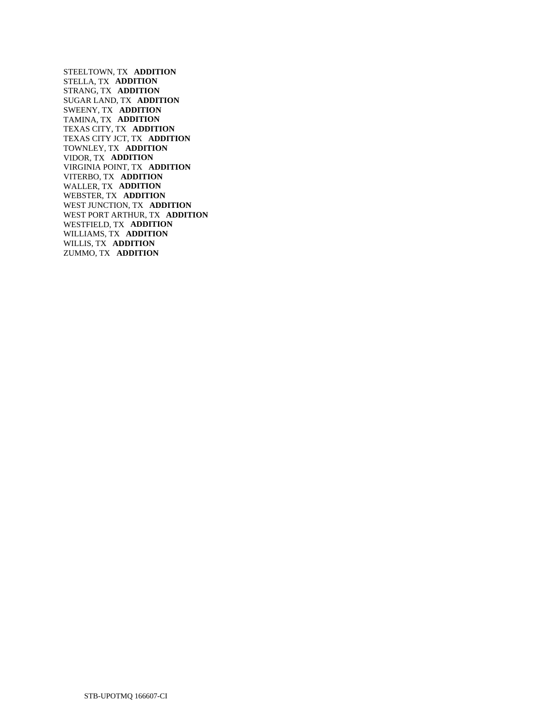STEELTOWN, TX **ADDITION**  STELLA, TX **ADDITION**  STRANG, TX **ADDITION**  SUGAR LAND, TX **ADDITION**  SWEENY, TX **ADDITION**  TAMINA, TX **ADDITION**  TEXAS CITY, TX **ADDITION**  TEXAS CITY JCT, TX **ADDITION**  TOWNLEY, TX **ADDITION**  VIDOR, TX **ADDITION**  VIRGINIA POINT, TX **ADDITION**  VITERBO, TX **ADDITION**  WALLER, TX **ADDITION**  WEBSTER, TX **ADDITION**  WEST JUNCTION, TX **ADDITION**  WEST PORT ARTHUR, TX **ADDITION**  WESTFIELD, TX **ADDITION**  WILLIAMS, TX **ADDITION**  WILLIS, TX **ADDITION**  ZUMMO, TX **ADDITION**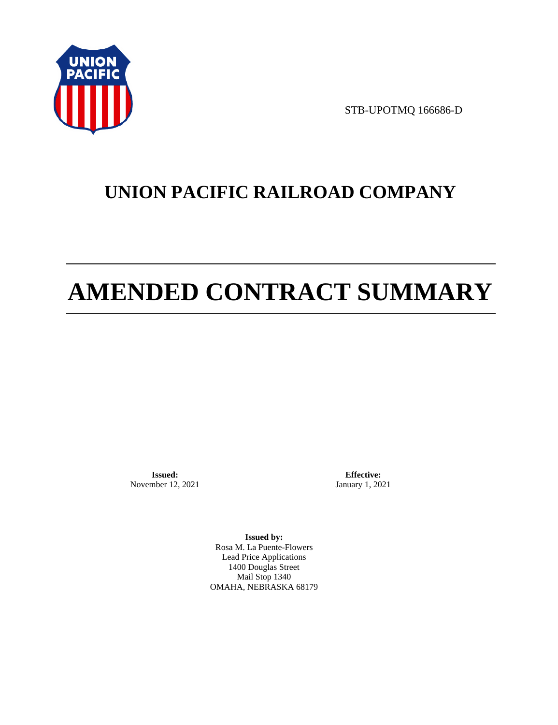

STB-UPOTMQ 166686-D

# **UNION PACIFIC RAILROAD COMPANY**

# **AMENDED CONTRACT SUMMARY**

**Issued:**  November 12, 2021

**Effective:** January 1, 2021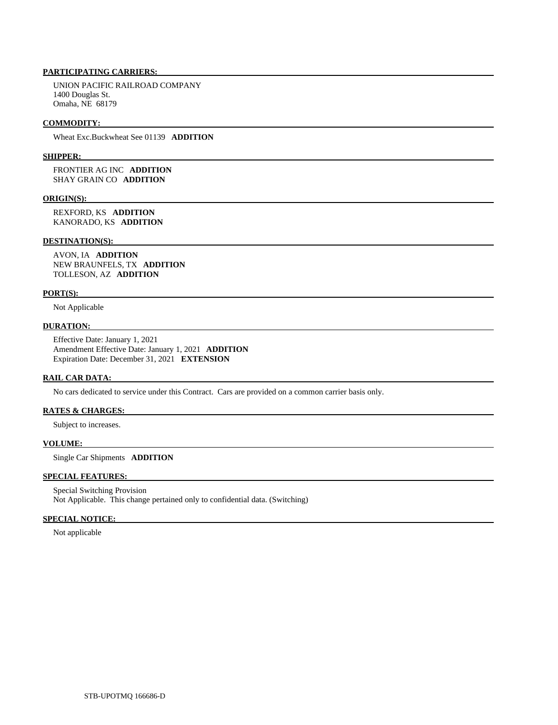UNION PACIFIC RAILROAD COMPANY 1400 Douglas St. Omaha, NE 68179

### **COMMODITY:**

Wheat Exc.Buckwheat See 01139 **ADDITION** 

### **SHIPPER:**

 FRONTIER AG INC **ADDITION**  SHAY GRAIN CO **ADDITION** 

### **ORIGIN(S):**

 REXFORD, KS **ADDITION**  KANORADO, KS **ADDITION** 

### **DESTINATION(S):**

 AVON, IA **ADDITION**  NEW BRAUNFELS, TX **ADDITION**  TOLLESON, AZ **ADDITION** 

### **PORT(S):**

Not Applicable

### **DURATION:**

 Effective Date: January 1, 2021 Amendment Effective Date: January 1, 2021 **ADDITION**  Expiration Date: December 31, 2021 **EXTENSION** 

## **RAIL CAR DATA:**

No cars dedicated to service under this Contract. Cars are provided on a common carrier basis only.

# **RATES & CHARGES:**

Subject to increases.

### **VOLUME:**

Single Car Shipments **ADDITION** 

# **SPECIAL FEATURES:**

 Special Switching Provision Not Applicable. This change pertained only to confidential data. (Switching)

### **SPECIAL NOTICE:**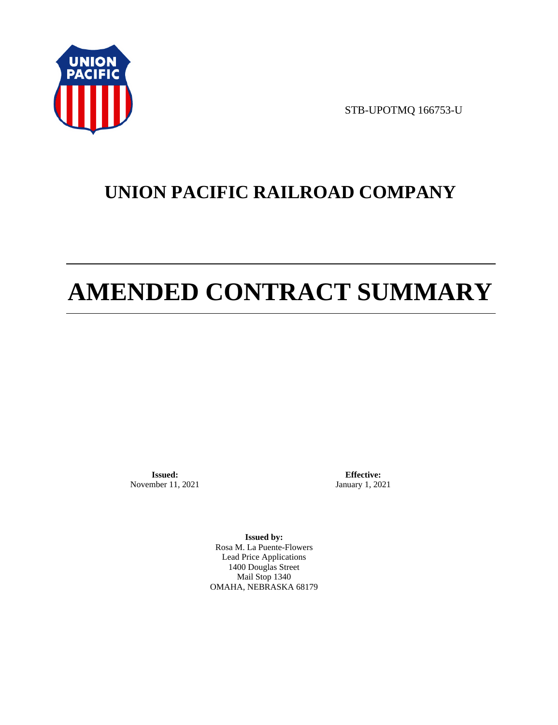

STB-UPOTMQ 166753-U

# **UNION PACIFIC RAILROAD COMPANY**

# **AMENDED CONTRACT SUMMARY**

**Issued:**  November 11, 2021

**Effective:** January 1, 2021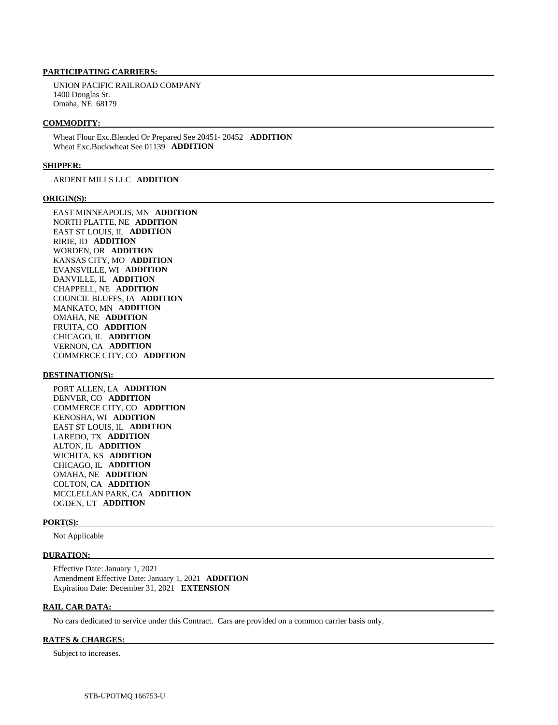UNION PACIFIC RAILROAD COMPANY 1400 Douglas St. Omaha, NE 68179

### **COMMODITY:**

 Wheat Flour Exc.Blended Or Prepared See 20451- 20452 **ADDITION**  Wheat Exc.Buckwheat See 01139 **ADDITION** 

### **SHIPPER:**

ARDENT MILLS LLC **ADDITION** 

### **ORIGIN(S):**

 EAST MINNEAPOLIS, MN **ADDITION**  NORTH PLATTE, NE **ADDITION**  EAST ST LOUIS, IL **ADDITION**  RIRIE, ID **ADDITION**  WORDEN, OR **ADDITION**  KANSAS CITY, MO **ADDITION**  EVANSVILLE, WI **ADDITION**  DANVILLE, IL **ADDITION**  CHAPPELL, NE **ADDITION**  COUNCIL BLUFFS, IA **ADDITION**  MANKATO, MN **ADDITION**  OMAHA, NE **ADDITION**  FRUITA, CO **ADDITION**  CHICAGO, IL **ADDITION**  VERNON, CA **ADDITION**  COMMERCE CITY, CO **ADDITION** 

### **DESTINATION(S):**

 PORT ALLEN, LA **ADDITION**  DENVER, CO **ADDITION**  COMMERCE CITY, CO **ADDITION**  KENOSHA, WI **ADDITION**  EAST ST LOUIS, IL **ADDITION**  LAREDO, TX **ADDITION**  ALTON, IL **ADDITION**  WICHITA, KS **ADDITION**  CHICAGO, IL **ADDITION**  OMAHA, NE **ADDITION**  COLTON, CA **ADDITION**  MCCLELLAN PARK, CA **ADDITION**  OGDEN, UT **ADDITION** 

### **PORT(S):**

Not Applicable

#### **DURATION:**

 Effective Date: January 1, 2021 Amendment Effective Date: January 1, 2021 **ADDITION**  Expiration Date: December 31, 2021 **EXTENSION** 

### **RAIL CAR DATA:**

No cars dedicated to service under this Contract. Cars are provided on a common carrier basis only.

### **RATES & CHARGES:**

Subject to increases.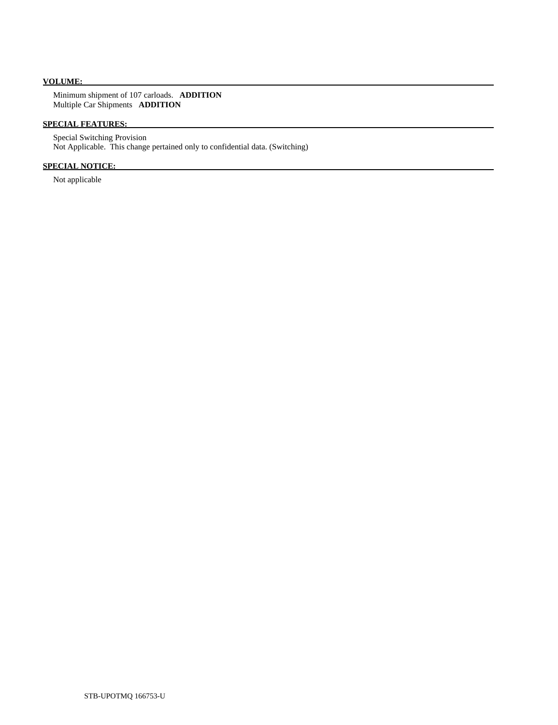# **VOLUME:**

 Minimum shipment of 107 carloads. **ADDITION**  Multiple Car Shipments **ADDITION** 

# **SPECIAL FEATURES:**

 Special Switching Provision Not Applicable. This change pertained only to confidential data. (Switching)

# **SPECIAL NOTICE:**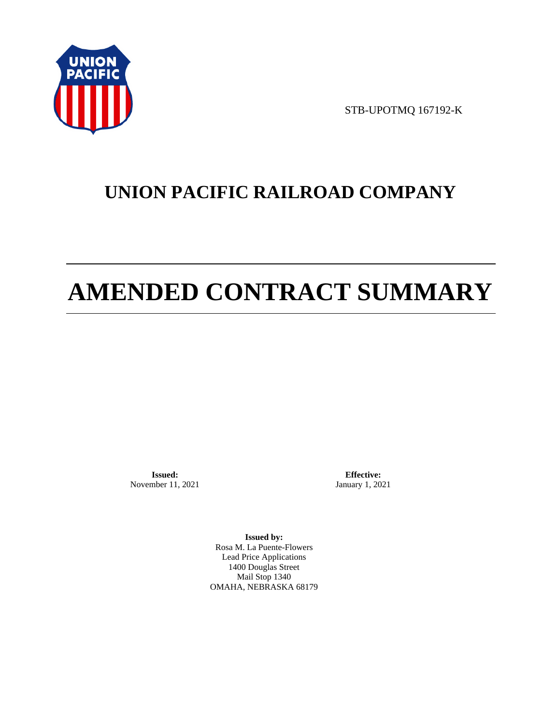

STB-UPOTMQ 167192-K

# **UNION PACIFIC RAILROAD COMPANY**

# **AMENDED CONTRACT SUMMARY**

**Issued:**  November 11, 2021

**Effective:** January 1, 2021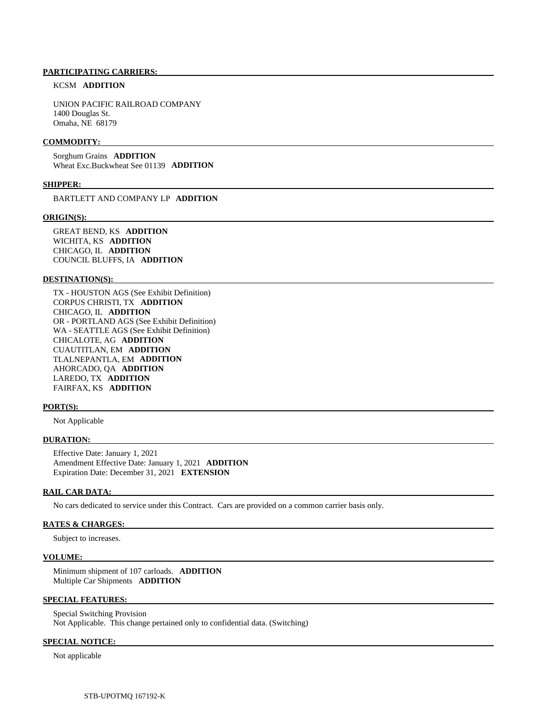### KCSM **ADDITION**

 UNION PACIFIC RAILROAD COMPANY 1400 Douglas St. Omaha, NE 68179

### **COMMODITY:**

 Sorghum Grains **ADDITION**  Wheat Exc.Buckwheat See 01139 **ADDITION** 

### **SHIPPER:**

BARTLETT AND COMPANY LP **ADDITION** 

#### **ORIGIN(S):**

 GREAT BEND, KS **ADDITION**  WICHITA, KS **ADDITION**  CHICAGO, IL **ADDITION**  COUNCIL BLUFFS, IA **ADDITION** 

### **DESTINATION(S):**

 TX - HOUSTON AGS (See Exhibit Definition) CORPUS CHRISTI, TX **ADDITION**  CHICAGO, IL **ADDITION**  OR - PORTLAND AGS (See Exhibit Definition) WA - SEATTLE AGS (See Exhibit Definition) CHICALOTE, AG **ADDITION**  CUAUTITLAN, EM **ADDITION**  TLALNEPANTLA, EM **ADDITION**  AHORCADO, QA **ADDITION**  LAREDO, TX **ADDITION**  FAIRFAX, KS **ADDITION** 

#### **PORT(S):**

Not Applicable

### **DURATION:**

 Effective Date: January 1, 2021 Amendment Effective Date: January 1, 2021 **ADDITION**  Expiration Date: December 31, 2021 **EXTENSION** 

### **RAIL CAR DATA:**

No cars dedicated to service under this Contract. Cars are provided on a common carrier basis only.

### **RATES & CHARGES:**

Subject to increases.

#### **VOLUME:**

 Minimum shipment of 107 carloads. **ADDITION**  Multiple Car Shipments **ADDITION** 

### **SPECIAL FEATURES:**

 Special Switching Provision Not Applicable. This change pertained only to confidential data. (Switching)

# **SPECIAL NOTICE:**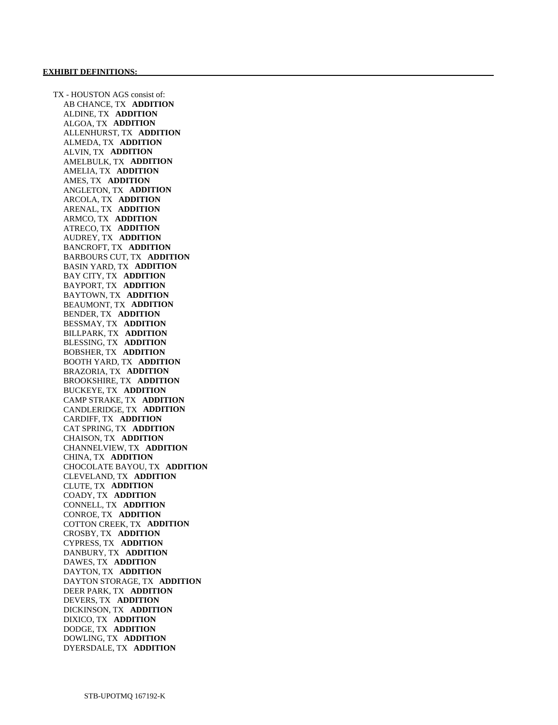TX - HOUSTON AGS consist of: AB CHANCE, TX **ADDITION**  ALDINE, TX **ADDITION**  ALGOA, TX **ADDITION**  ALLENHURST, TX **ADDITION**  ALMEDA, TX **ADDITION**  ALVIN, TX **ADDITION**  AMELBULK, TX **ADDITION**  AMELIA, TX **ADDITION**  AMES, TX **ADDITION**  ANGLETON, TX **ADDITION**  ARCOLA, TX **ADDITION**  ARENAL, TX **ADDITION**  ARMCO, TX **ADDITION**  ATRECO, TX **ADDITION**  AUDREY, TX **ADDITION**  BANCROFT, TX **ADDITION**  BARBOURS CUT, TX **ADDITION**  BASIN YARD, TX **ADDITION**  BAY CITY, TX **ADDITION**  BAYPORT, TX **ADDITION**  BAYTOWN, TX **ADDITION**  BEAUMONT, TX **ADDITION**  BENDER, TX **ADDITION**  BESSMAY, TX **ADDITION**  BILLPARK, TX **ADDITION**  BLESSING, TX **ADDITION**  BOBSHER, TX **ADDITION**  BOOTH YARD, TX **ADDITION**  BRAZORIA, TX **ADDITION**  BROOKSHIRE, TX **ADDITION**  BUCKEYE, TX **ADDITION**  CAMP STRAKE, TX **ADDITION**  CANDLERIDGE, TX **ADDITION**  CARDIFF, TX **ADDITION**  CAT SPRING, TX **ADDITION**  CHAISON, TX **ADDITION**  CHANNELVIEW, TX **ADDITION**  CHINA, TX **ADDITION**  CHOCOLATE BAYOU, TX **ADDITION**  CLEVELAND, TX **ADDITION**  CLUTE, TX **ADDITION**  COADY, TX **ADDITION**  CONNELL, TX **ADDITION**  CONROE, TX **ADDITION**  COTTON CREEK, TX **ADDITION**  CROSBY, TX **ADDITION**  CYPRESS, TX **ADDITION**  DANBURY, TX **ADDITION**  DAWES, TX **ADDITION**  DAYTON, TX **ADDITION**  DAYTON STORAGE, TX **ADDITION**  DEER PARK, TX **ADDITION**  DEVERS, TX **ADDITION**  DICKINSON, TX **ADDITION**  DIXICO, TX **ADDITION**  DODGE, TX **ADDITION**  DOWLING, TX **ADDITION**  DYERSDALE, TX **ADDITION**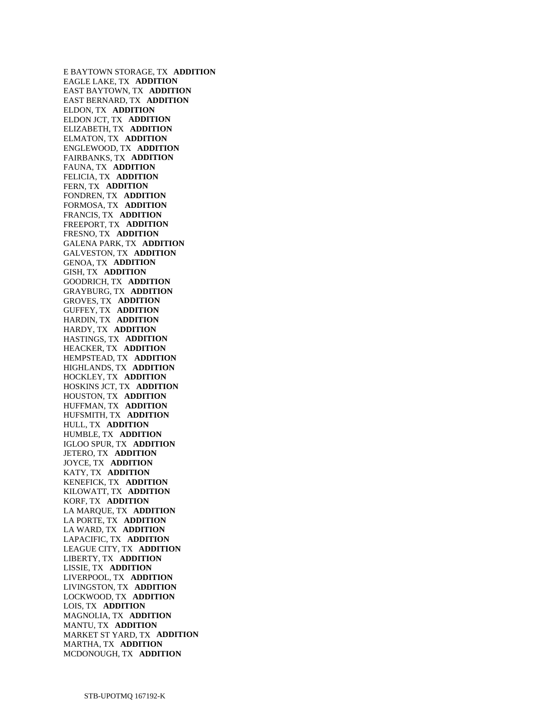E BAYTOWN STORAGE, TX **ADDITION**  EAGLE LAKE, TX **ADDITION**  EAST BAYTOWN, TX **ADDITION**  EAST BERNARD, TX **ADDITION**  ELDON, TX **ADDITION**  ELDON JCT, TX **ADDITION**  ELIZABETH, TX **ADDITION**  ELMATON, TX **ADDITION**  ENGLEWOOD, TX **ADDITION**  FAIRBANKS, TX **ADDITION**  FAUNA, TX **ADDITION**  FELICIA, TX **ADDITION**  FERN, TX **ADDITION**  FONDREN, TX **ADDITION**  FORMOSA, TX **ADDITION**  FRANCIS, TX **ADDITION**  FREEPORT, TX **ADDITION**  FRESNO, TX **ADDITION**  GALENA PARK, TX **ADDITION**  GALVESTON, TX **ADDITION**  GENOA, TX **ADDITION**  GISH, TX **ADDITION**  GOODRICH, TX **ADDITION**  GRAYBURG, TX **ADDITION**  GROVES, TX **ADDITION**  GUFFEY, TX **ADDITION**  HARDIN, TX **ADDITION**  HARDY, TX **ADDITION**  HASTINGS, TX **ADDITION**  HEACKER, TX **ADDITION**  HEMPSTEAD, TX **ADDITION**  HIGHLANDS, TX **ADDITION**  HOCKLEY, TX **ADDITION**  HOSKINS JCT, TX **ADDITION**  HOUSTON, TX **ADDITION**  HUFFMAN, TX **ADDITION**  HUFSMITH, TX **ADDITION**  HULL, TX **ADDITION**  HUMBLE, TX **ADDITION**  IGLOO SPUR, TX **ADDITION**  JETERO, TX **ADDITION**  JOYCE, TX **ADDITION**  KATY, TX **ADDITION**  KENEFICK, TX **ADDITION**  KILOWATT, TX **ADDITION**  KORF, TX **ADDITION**  LA MARQUE, TX **ADDITION**  LA PORTE, TX **ADDITION**  LA WARD, TX **ADDITION**  LAPACIFIC, TX **ADDITION**  LEAGUE CITY, TX **ADDITION**  LIBERTY, TX **ADDITION**  LISSIE, TX **ADDITION**  LIVERPOOL, TX **ADDITION**  LIVINGSTON, TX **ADDITION**  LOCKWOOD, TX **ADDITION**  LOIS, TX **ADDITION**  MAGNOLIA, TX **ADDITION**  MANTU, TX **ADDITION**  MARKET ST YARD, TX **ADDITION**  MARTHA, TX **ADDITION**  MCDONOUGH, TX **ADDITION**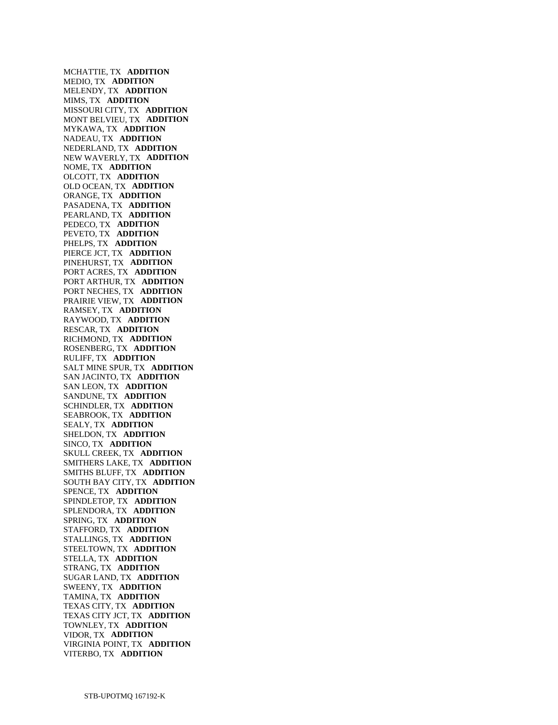MCHATTIE, TX **ADDITION**  MEDIO, TX **ADDITION**  MELENDY, TX **ADDITION**  MIMS, TX **ADDITION**  MISSOURI CITY, TX **ADDITION**  MONT BELVIEU, TX **ADDITION**  MYKAWA, TX **ADDITION**  NADEAU, TX **ADDITION**  NEDERLAND, TX **ADDITION**  NEW WAVERLY, TX **ADDITION**  NOME, TX **ADDITION**  OLCOTT, TX **ADDITION**  OLD OCEAN, TX **ADDITION**  ORANGE, TX **ADDITION**  PASADENA, TX **ADDITION**  PEARLAND, TX **ADDITION**  PEDECO, TX **ADDITION**  PEVETO, TX **ADDITION**  PHELPS, TX **ADDITION**  PIERCE JCT, TX **ADDITION**  PINEHURST, TX **ADDITION**  PORT ACRES, TX **ADDITION**  PORT ARTHUR, TX **ADDITION**  PORT NECHES, TX **ADDITION**  PRAIRIE VIEW, TX **ADDITION**  RAMSEY, TX **ADDITION**  RAYWOOD, TX **ADDITION**  RESCAR, TX **ADDITION**  RICHMOND, TX **ADDITION**  ROSENBERG, TX **ADDITION**  RULIFF, TX **ADDITION**  SALT MINE SPUR, TX **ADDITION**  SAN JACINTO, TX **ADDITION**  SAN LEON, TX **ADDITION**  SANDUNE, TX **ADDITION**  SCHINDLER, TX **ADDITION**  SEABROOK, TX **ADDITION**  SEALY, TX **ADDITION**  SHELDON, TX **ADDITION**  SINCO, TX **ADDITION**  SKULL CREEK, TX **ADDITION**  SMITHERS LAKE, TX **ADDITION**  SMITHS BLUFF, TX **ADDITION**  SOUTH BAY CITY, TX **ADDITION**  SPENCE, TX **ADDITION**  SPINDLETOP, TX **ADDITION**  SPLENDORA, TX **ADDITION**  SPRING, TX **ADDITION**  STAFFORD, TX **ADDITION**  STALLINGS, TX **ADDITION**  STEELTOWN, TX **ADDITION**  STELLA, TX **ADDITION**  STRANG, TX **ADDITION**  SUGAR LAND, TX **ADDITION**  SWEENY, TX **ADDITION**  TAMINA, TX **ADDITION**  TEXAS CITY, TX **ADDITION**  TEXAS CITY JCT, TX **ADDITION**  TOWNLEY, TX **ADDITION**  VIDOR, TX **ADDITION**  VIRGINIA POINT, TX **ADDITION**  VITERBO, TX **ADDITION**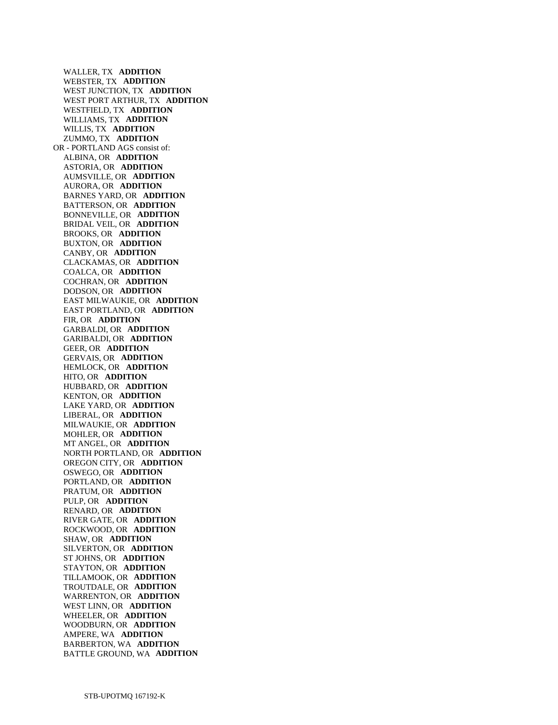WALLER, TX **ADDITION**  WEBSTER, TX **ADDITION**  WEST JUNCTION, TX **ADDITION**  WEST PORT ARTHUR, TX **ADDITION**  WESTFIELD, TX **ADDITION**  WILLIAMS, TX **ADDITION**  WILLIS, TX **ADDITION**  ZUMMO, TX **ADDITION**  OR - PORTLAND AGS consist of: ALBINA, OR **ADDITION**  ASTORIA, OR **ADDITION**  AUMSVILLE, OR **ADDITION**  AURORA, OR **ADDITION**  BARNES YARD, OR **ADDITION**  BATTERSON, OR **ADDITION**  BONNEVILLE, OR **ADDITION**  BRIDAL VEIL, OR **ADDITION**  BROOKS, OR **ADDITION**  BUXTON, OR **ADDITION**  CANBY, OR **ADDITION**  CLACKAMAS, OR **ADDITION**  COALCA, OR **ADDITION**  COCHRAN, OR **ADDITION**  DODSON, OR **ADDITION**  EAST MILWAUKIE, OR **ADDITION**  EAST PORTLAND, OR **ADDITION**  FIR, OR **ADDITION**  GARBALDI, OR **ADDITION**  GARIBALDI, OR **ADDITION**  GEER, OR **ADDITION**  GERVAIS, OR **ADDITION**  HEMLOCK, OR **ADDITION**  HITO, OR **ADDITION**  HUBBARD, OR **ADDITION**  KENTON, OR **ADDITION**  LAKE YARD, OR **ADDITION**  LIBERAL, OR **ADDITION**  MILWAUKIE, OR **ADDITION**  MOHLER, OR **ADDITION**  MT ANGEL, OR **ADDITION**  NORTH PORTLAND, OR **ADDITION**  OREGON CITY, OR **ADDITION**  OSWEGO, OR **ADDITION**  PORTLAND, OR **ADDITION**  PRATUM, OR **ADDITION**  PULP, OR **ADDITION**  RENARD, OR **ADDITION**  RIVER GATE, OR **ADDITION**  ROCKWOOD, OR **ADDITION**  SHAW, OR **ADDITION**  SILVERTON, OR **ADDITION**  ST JOHNS, OR **ADDITION**  STAYTON, OR **ADDITION**  TILLAMOOK, OR **ADDITION**  TROUTDALE, OR **ADDITION**  WARRENTON, OR **ADDITION**  WEST LINN, OR **ADDITION**  WHEELER, OR **ADDITION**  WOODBURN, OR **ADDITION**  AMPERE, WA **ADDITION**  BARBERTON, WA **ADDITION**  BATTLE GROUND, WA **ADDITION**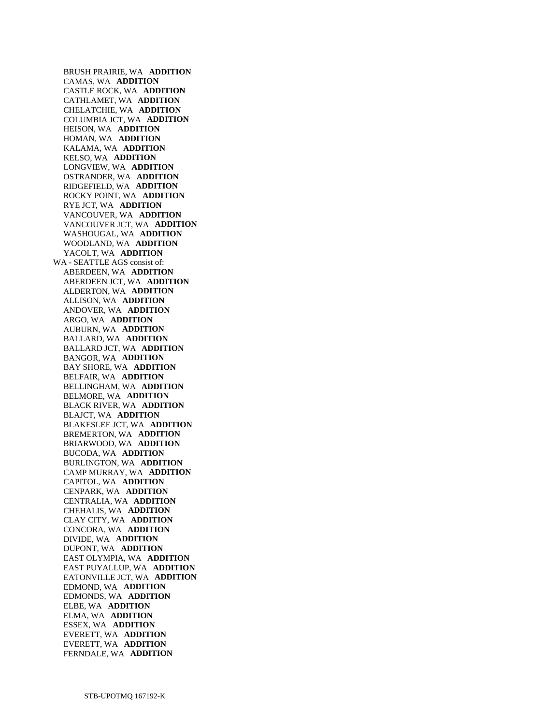BRUSH PRAIRIE, WA **ADDITION**  CAMAS, WA **ADDITION**  CASTLE ROCK, WA **ADDITION**  CATHLAMET, WA **ADDITION**  CHELATCHIE, WA **ADDITION**  COLUMBIA JCT, WA **ADDITION**  HEISON, WA **ADDITION**  HOMAN, WA **ADDITION**  KALAMA, WA **ADDITION**  KELSO, WA **ADDITION**  LONGVIEW, WA **ADDITION**  OSTRANDER, WA **ADDITION**  RIDGEFIELD, WA **ADDITION**  ROCKY POINT, WA **ADDITION**  RYE JCT, WA **ADDITION**  VANCOUVER, WA **ADDITION**  VANCOUVER JCT, WA **ADDITION**  WASHOUGAL, WA **ADDITION**  WOODLAND, WA **ADDITION**  YACOLT, WA **ADDITION**  WA - SEATTLE AGS consist of: ABERDEEN, WA **ADDITION**  ABERDEEN JCT, WA **ADDITION**  ALDERTON, WA **ADDITION**  ALLISON, WA **ADDITION**  ANDOVER, WA **ADDITION**  ARGO, WA **ADDITION**  AUBURN, WA **ADDITION**  BALLARD, WA **ADDITION**  BALLARD JCT, WA **ADDITION**  BANGOR, WA **ADDITION**  BAY SHORE, WA **ADDITION**  BELFAIR, WA **ADDITION**  BELLINGHAM, WA **ADDITION**  BELMORE, WA **ADDITION**  BLACK RIVER, WA **ADDITION**  BLAJCT, WA **ADDITION**  BLAKESLEE JCT, WA **ADDITION**  BREMERTON, WA **ADDITION**  BRIARWOOD, WA **ADDITION**  BUCODA, WA **ADDITION**  BURLINGTON, WA **ADDITION**  CAMP MURRAY, WA **ADDITION**  CAPITOL, WA **ADDITION**  CENPARK, WA **ADDITION**  CENTRALIA, WA **ADDITION**  CHEHALIS, WA **ADDITION**  CLAY CITY, WA **ADDITION**  CONCORA, WA **ADDITION**  DIVIDE, WA **ADDITION**  DUPONT, WA **ADDITION**  EAST OLYMPIA, WA **ADDITION**  EAST PUYALLUP, WA **ADDITION**  EATONVILLE JCT, WA **ADDITION**  EDMOND, WA **ADDITION**  EDMONDS, WA **ADDITION**  ELBE, WA **ADDITION**  ELMA, WA **ADDITION**  ESSEX, WA **ADDITION**  EVERETT, WA **ADDITION**  EVERETT, WA **ADDITION**  FERNDALE, WA **ADDITION**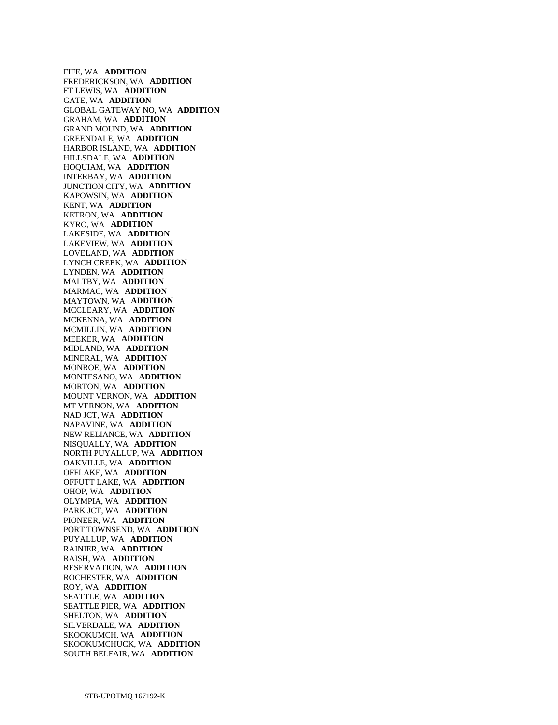FIFE, WA **ADDITION**  FREDERICKSON, WA **ADDITION**  FT LEWIS, WA **ADDITION**  GATE, WA **ADDITION**  GLOBAL GATEWAY NO, WA **ADDITION**  GRAHAM, WA **ADDITION**  GRAND MOUND, WA **ADDITION**  GREENDALE, WA **ADDITION**  HARBOR ISLAND, WA **ADDITION**  HILLSDALE, WA **ADDITION**  HOQUIAM, WA **ADDITION**  INTERBAY, WA **ADDITION**  JUNCTION CITY, WA **ADDITION**  KAPOWSIN, WA **ADDITION**  KENT, WA **ADDITION**  KETRON, WA **ADDITION**  KYRO, WA **ADDITION**  LAKESIDE, WA **ADDITION**  LAKEVIEW, WA **ADDITION**  LOVELAND, WA **ADDITION**  LYNCH CREEK, WA **ADDITION**  LYNDEN, WA **ADDITION**  MALTBY, WA **ADDITION**  MARMAC, WA **ADDITION**  MAYTOWN, WA **ADDITION**  MCCLEARY, WA **ADDITION**  MCKENNA, WA **ADDITION**  MCMILLIN, WA **ADDITION**  MEEKER, WA **ADDITION**  MIDLAND, WA **ADDITION**  MINERAL, WA **ADDITION**  MONROE, WA **ADDITION**  MONTESANO, WA **ADDITION**  MORTON, WA **ADDITION**  MOUNT VERNON, WA **ADDITION**  MT VERNON, WA **ADDITION**  NAD JCT, WA **ADDITION**  NAPAVINE, WA **ADDITION**  NEW RELIANCE, WA **ADDITION**  NISQUALLY, WA **ADDITION**  NORTH PUYALLUP, WA **ADDITION**  OAKVILLE, WA **ADDITION**  OFFLAKE, WA **ADDITION**  OFFUTT LAKE, WA **ADDITION**  OHOP, WA **ADDITION**  OLYMPIA, WA **ADDITION**  PARK JCT, WA **ADDITION**  PIONEER, WA **ADDITION**  PORT TOWNSEND, WA **ADDITION**  PUYALLUP, WA **ADDITION**  RAINIER, WA **ADDITION**  RAISH, WA **ADDITION**  RESERVATION, WA **ADDITION**  ROCHESTER, WA **ADDITION**  ROY, WA **ADDITION**  SEATTLE, WA **ADDITION**  SEATTLE PIER, WA **ADDITION**  SHELTON, WA **ADDITION**  SILVERDALE, WA **ADDITION**  SKOOKUMCH, WA **ADDITION**  SKOOKUMCHUCK, WA **ADDITION**  SOUTH BELFAIR, WA **ADDITION**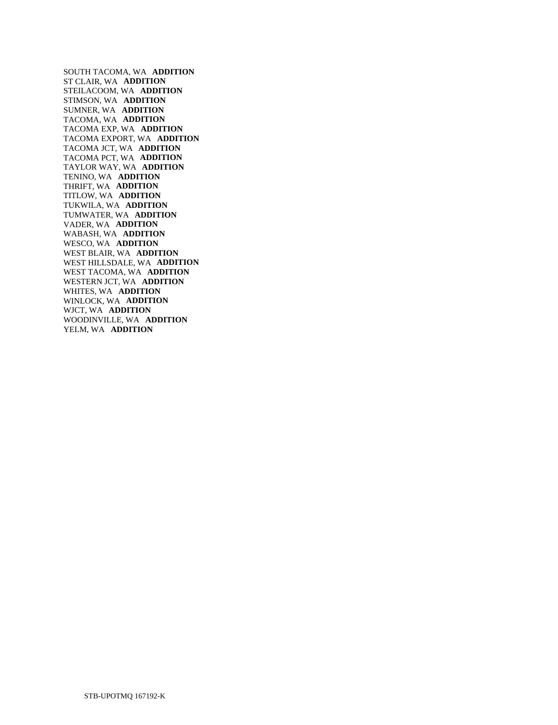SOUTH TACOMA, WA **ADDITION**  ST CLAIR, WA **ADDITION**  STEILACOOM, WA **ADDITION**  STIMSON, WA **ADDITION**  SUMNER, WA **ADDITION**  TACOMA, WA **ADDITION**  TACOMA EXP, WA **ADDITION**  TACOMA EXPORT, WA **ADDITION**  TACOMA JCT, WA **ADDITION**  TACOMA PCT, WA **ADDITION**  TAYLOR WAY, WA **ADDITION**  TENINO, WA **ADDITION**  THRIFT, WA **ADDITION**  TITLOW, WA **ADDITION**  TUKWILA, WA **ADDITION**  TUMWATER, WA **ADDITION**  VADER, WA **ADDITION**  WABASH, WA **ADDITION**  WESCO, WA **ADDITION**  WEST BLAIR, WA **ADDITION**  WEST HILLSDALE, WA **ADDITION**  WEST TACOMA, WA **ADDITION**  WESTERN JCT, WA **ADDITION**  WHITES, WA **ADDITION**  WINLOCK, WA **ADDITION**  WJCT, WA **ADDITION**  WOODINVILLE, WA **ADDITION**  YELM, WA **ADDITION**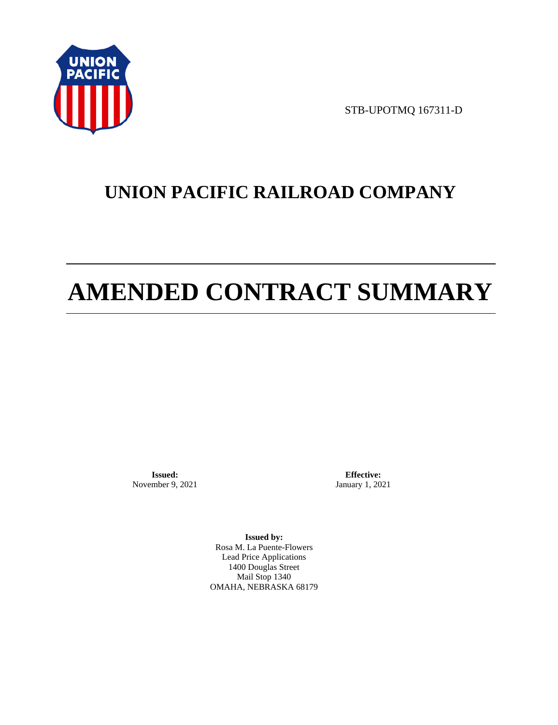

STB-UPOTMQ 167311-D

# **UNION PACIFIC RAILROAD COMPANY**

# **AMENDED CONTRACT SUMMARY**

**Issued:**  November 9, 2021

**Effective:** January 1, 2021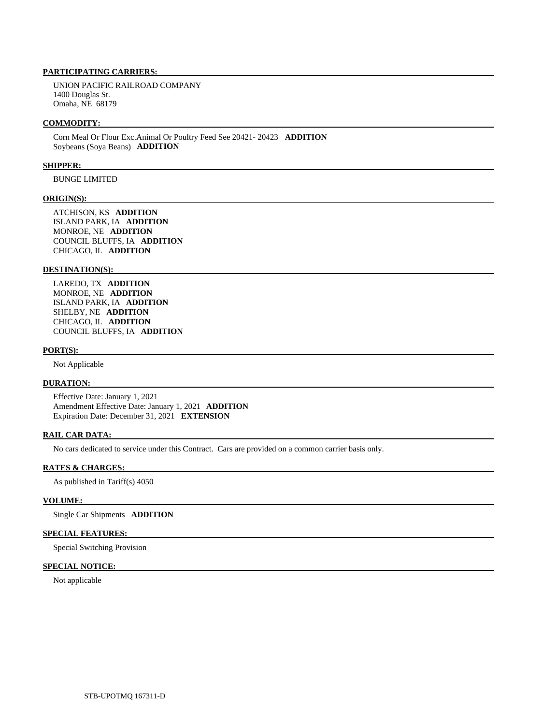UNION PACIFIC RAILROAD COMPANY 1400 Douglas St. Omaha, NE 68179

### **COMMODITY:**

 Corn Meal Or Flour Exc.Animal Or Poultry Feed See 20421- 20423 **ADDITION**  Soybeans (Soya Beans) **ADDITION** 

### **SHIPPER:**

BUNGE LIMITED

### **ORIGIN(S):**

 ATCHISON, KS **ADDITION**  ISLAND PARK, IA **ADDITION**  MONROE, NE **ADDITION**  COUNCIL BLUFFS, IA **ADDITION**  CHICAGO, IL **ADDITION** 

## **DESTINATION(S):**

 LAREDO, TX **ADDITION**  MONROE, NE **ADDITION**  ISLAND PARK, IA **ADDITION**  SHELBY, NE **ADDITION**  CHICAGO, IL **ADDITION**  COUNCIL BLUFFS, IA **ADDITION** 

### **PORT(S):**

Not Applicable

### **DURATION:**

 Effective Date: January 1, 2021 Amendment Effective Date: January 1, 2021 **ADDITION**  Expiration Date: December 31, 2021 **EXTENSION** 

## **RAIL CAR DATA:**

No cars dedicated to service under this Contract. Cars are provided on a common carrier basis only.

### **RATES & CHARGES:**

As published in Tariff(s) 4050

### **VOLUME:**

Single Car Shipments **ADDITION** 

### **SPECIAL FEATURES:**

Special Switching Provision

### **SPECIAL NOTICE:**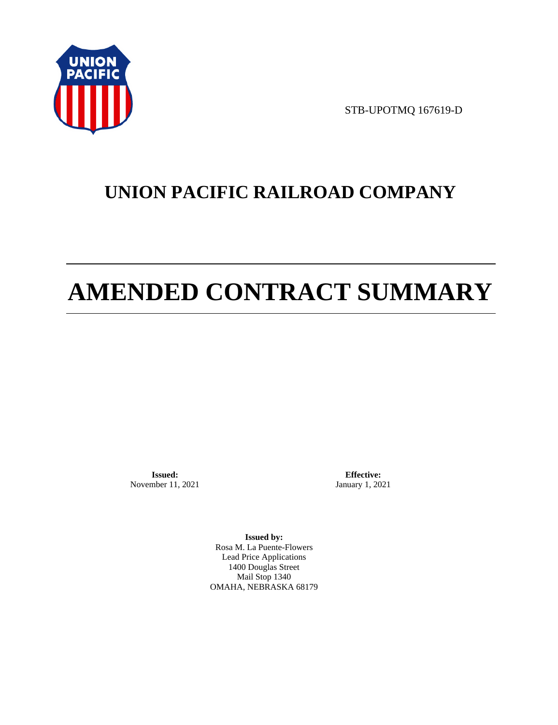

STB-UPOTMQ 167619-D

# **UNION PACIFIC RAILROAD COMPANY**

# **AMENDED CONTRACT SUMMARY**

**Issued:**  November 11, 2021

**Effective:** January 1, 2021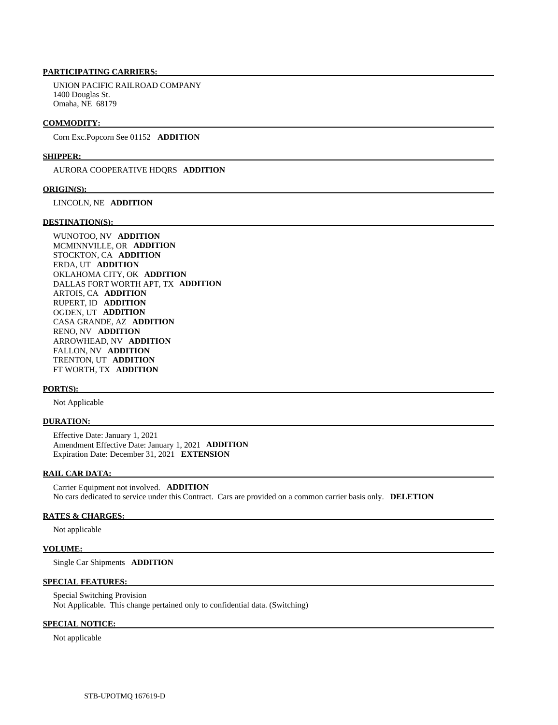UNION PACIFIC RAILROAD COMPANY 1400 Douglas St. Omaha, NE 68179

### **COMMODITY:**

Corn Exc.Popcorn See 01152 **ADDITION** 

### **SHIPPER:**

AURORA COOPERATIVE HDQRS **ADDITION** 

### **ORIGIN(S):**

LINCOLN, NE **ADDITION** 

### **DESTINATION(S):**

 WUNOTOO, NV **ADDITION**  MCMINNVILLE, OR **ADDITION**  STOCKTON, CA **ADDITION**  ERDA, UT **ADDITION**  OKLAHOMA CITY, OK **ADDITION**  DALLAS FORT WORTH APT, TX **ADDITION**  ARTOIS, CA **ADDITION**  RUPERT, ID **ADDITION**  OGDEN, UT **ADDITION**  CASA GRANDE, AZ **ADDITION**  RENO, NV **ADDITION**  ARROWHEAD, NV **ADDITION**  FALLON, NV **ADDITION**  TRENTON, UT **ADDITION**  FT WORTH, TX **ADDITION** 

### **PORT(S):**

Not Applicable

### **DURATION:**

 Effective Date: January 1, 2021 Amendment Effective Date: January 1, 2021 **ADDITION**  Expiration Date: December 31, 2021 **EXTENSION** 

### **RAIL CAR DATA:**

 Carrier Equipment not involved. **ADDITION**  No cars dedicated to service under this Contract. Cars are provided on a common carrier basis only. **DELETION** 

### **RATES & CHARGES:**

Not applicable

### **VOLUME:**

Single Car Shipments **ADDITION** 

### **SPECIAL FEATURES:**

 Special Switching Provision Not Applicable. This change pertained only to confidential data. (Switching)

## **SPECIAL NOTICE:**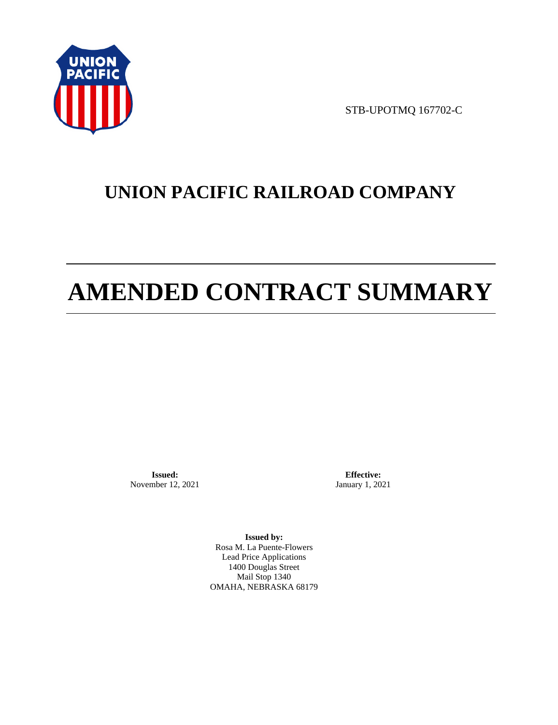

STB-UPOTMQ 167702-C

# **UNION PACIFIC RAILROAD COMPANY**

# **AMENDED CONTRACT SUMMARY**

**Issued:**  November 12, 2021

**Effective:** January 1, 2021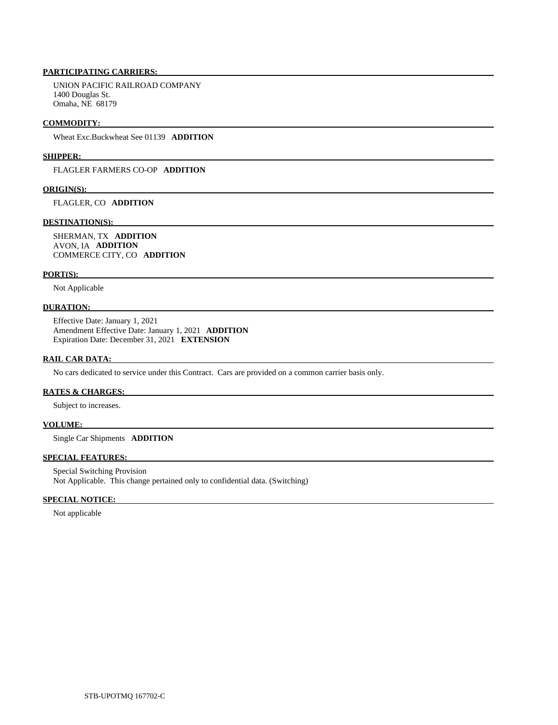UNION PACIFIC RAILROAD COMPANY 1400 Douglas St. Omaha, NE 68179

### **COMMODITY:**

Wheat Exc.Buckwheat See 01139 **ADDITION** 

### **SHIPPER:**

FLAGLER FARMERS CO-OP **ADDITION** 

### **ORIGIN(S):**

FLAGLER, CO **ADDITION** 

### **DESTINATION(S):**

 SHERMAN, TX **ADDITION**  AVON, IA **ADDITION**  COMMERCE CITY, CO **ADDITION** 

### **PORT(S):**

Not Applicable

### **DURATION:**

 Effective Date: January 1, 2021 Amendment Effective Date: January 1, 2021 **ADDITION**  Expiration Date: December 31, 2021 **EXTENSION** 

### **RAIL CAR DATA:**

No cars dedicated to service under this Contract. Cars are provided on a common carrier basis only.

### **RATES & CHARGES:**

Subject to increases.

### **VOLUME:**

Single Car Shipments **ADDITION** 

## **SPECIAL FEATURES:**

 Special Switching Provision Not Applicable. This change pertained only to confidential data. (Switching)

### **SPECIAL NOTICE:**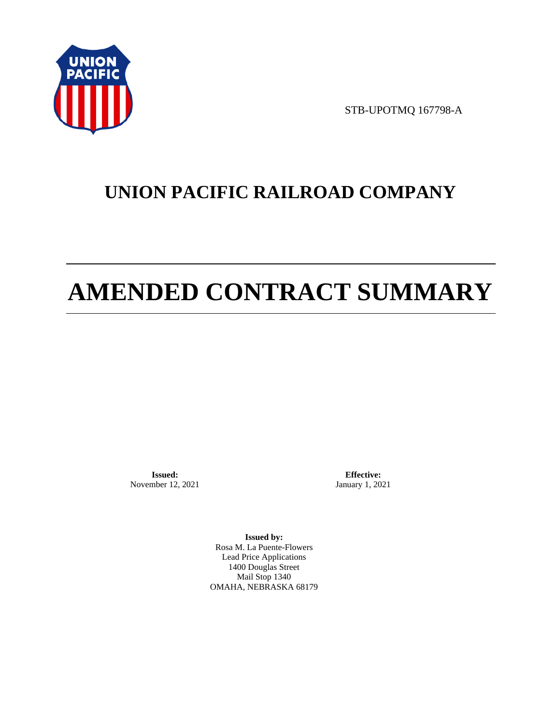

STB-UPOTMQ 167798-A

# **UNION PACIFIC RAILROAD COMPANY**

# **AMENDED CONTRACT SUMMARY**

**Issued:**  November 12, 2021

**Effective:** January 1, 2021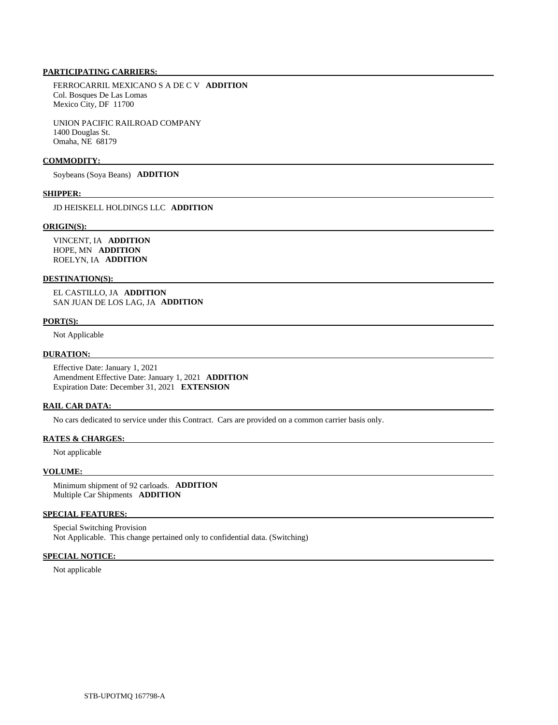FERROCARRIL MEXICANO S A DE C V **ADDITION**  Col. Bosques De Las Lomas Mexico City, DF 11700

 UNION PACIFIC RAILROAD COMPANY 1400 Douglas St. Omaha, NE 68179

### **COMMODITY:**

Soybeans (Soya Beans) **ADDITION** 

### **SHIPPER:**

JD HEISKELL HOLDINGS LLC **ADDITION** 

#### **ORIGIN(S):**

 VINCENT, IA **ADDITION**  HOPE, MN **ADDITION**  ROELYN, IA **ADDITION** 

### **DESTINATION(S):**

 EL CASTILLO, JA **ADDITION**  SAN JUAN DE LOS LAG, JA **ADDITION** 

### **PORT(S):**

Not Applicable

### **DURATION:**

 Effective Date: January 1, 2021 Amendment Effective Date: January 1, 2021 **ADDITION**  Expiration Date: December 31, 2021 **EXTENSION** 

#### **RAIL CAR DATA:**

No cars dedicated to service under this Contract. Cars are provided on a common carrier basis only.

### **RATES & CHARGES:**

Not applicable

### **VOLUME:**

 Minimum shipment of 92 carloads. **ADDITION**  Multiple Car Shipments **ADDITION** 

### **SPECIAL FEATURES:**

 Special Switching Provision Not Applicable. This change pertained only to confidential data. (Switching)

### **SPECIAL NOTICE:**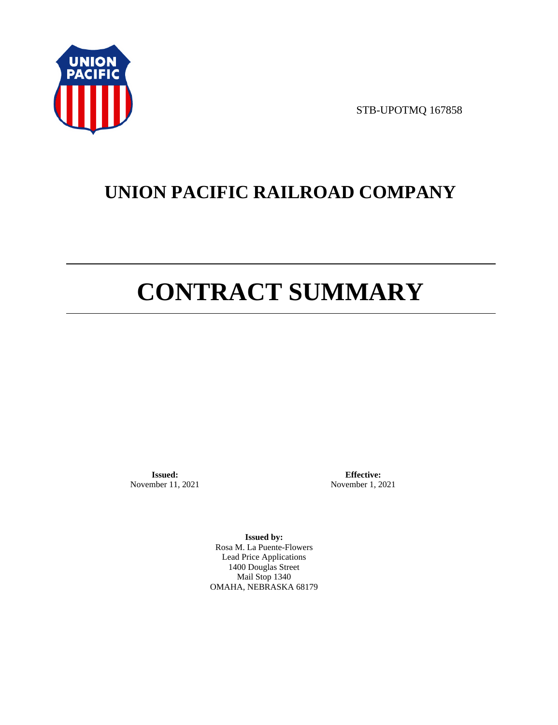

STB-UPOTMQ 167858

# **UNION PACIFIC RAILROAD COMPANY**

# **CONTRACT SUMMARY**

**Issued:**  November 11, 2021

**Effective:** November 1, 2021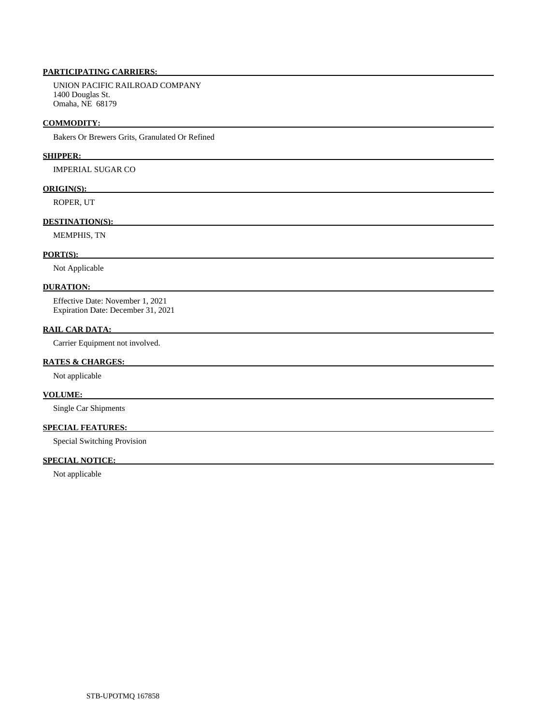UNION PACIFIC RAILROAD COMPANY 1400 Douglas St. Omaha, NE 68179

### **COMMODITY:**

Bakers Or Brewers Grits, Granulated Or Refined

### **SHIPPER:**

IMPERIAL SUGAR CO

### **ORIGIN(S):**

ROPER, UT

# **DESTINATION(S):**

MEMPHIS, TN

### **PORT(S):**

Not Applicable

### **DURATION:**

 Effective Date: November 1, 2021 Expiration Date: December 31, 2021

# **RAIL CAR DATA:**

Carrier Equipment not involved.

## **RATES & CHARGES:**

Not applicable

# **VOLUME:**

Single Car Shipments

# **SPECIAL FEATURES:**

Special Switching Provision

# **SPECIAL NOTICE:**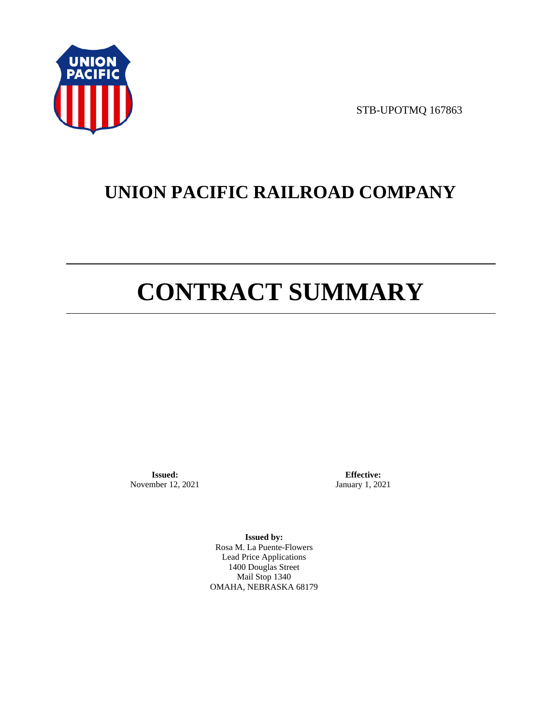

STB-UPOTMQ 167863

# **UNION PACIFIC RAILROAD COMPANY**

# **CONTRACT SUMMARY**

**Issued:**  November 12, 2021

**Effective:** January 1, 2021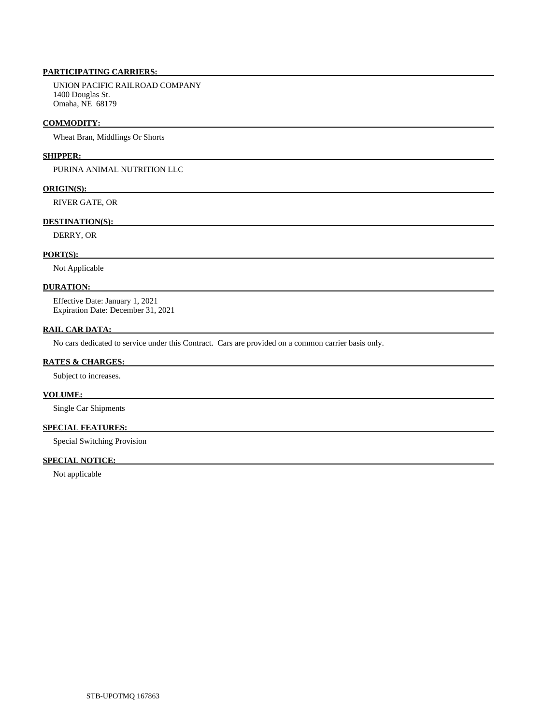UNION PACIFIC RAILROAD COMPANY 1400 Douglas St. Omaha, NE 68179

### **COMMODITY:**

Wheat Bran, Middlings Or Shorts

### **SHIPPER:**

PURINA ANIMAL NUTRITION LLC

### **ORIGIN(S):**

RIVER GATE, OR

### **DESTINATION(S):**

DERRY, OR

### **PORT(S):**

Not Applicable

### **DURATION:**

 Effective Date: January 1, 2021 Expiration Date: December 31, 2021

### **RAIL CAR DATA:**

No cars dedicated to service under this Contract. Cars are provided on a common carrier basis only.

### **RATES & CHARGES:**

Subject to increases.

# **VOLUME:**

Single Car Shipments

## **SPECIAL FEATURES:**

Special Switching Provision

# **SPECIAL NOTICE:**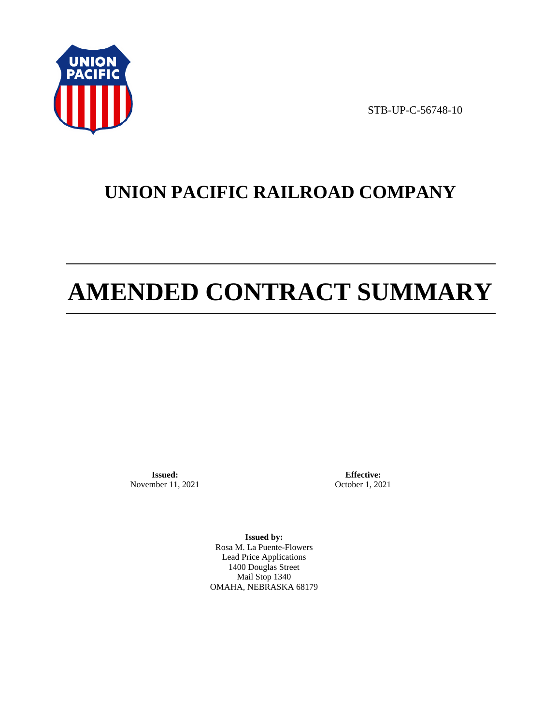

STB-UP-C-56748-10

# **UNION PACIFIC RAILROAD COMPANY**

# **AMENDED CONTRACT SUMMARY**

**Issued:**  November 11, 2021

**Effective:** October 1, 2021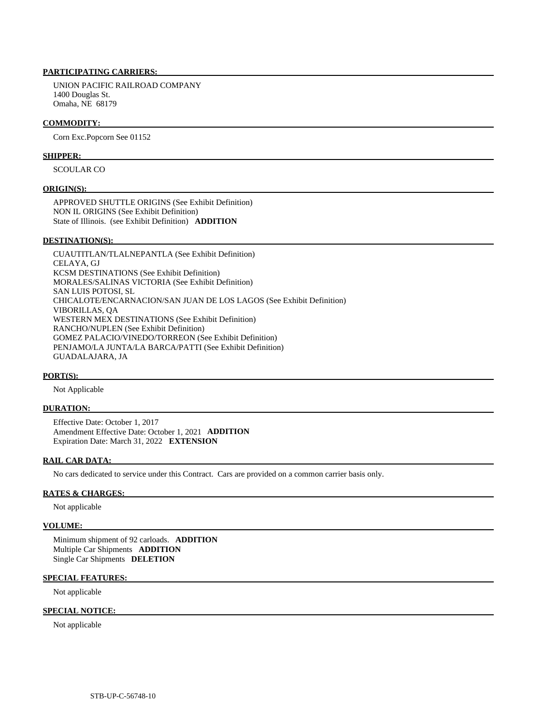UNION PACIFIC RAILROAD COMPANY 1400 Douglas St. Omaha, NE 68179

### **COMMODITY:**

Corn Exc.Popcorn See 01152

### **SHIPPER:**

SCOULAR CO

### **ORIGIN(S):**

 APPROVED SHUTTLE ORIGINS (See Exhibit Definition) NON IL ORIGINS (See Exhibit Definition) State of Illinois. (see Exhibit Definition) **ADDITION** 

### **DESTINATION(S):**

 CUAUTITLAN/TLALNEPANTLA (See Exhibit Definition) CELAYA, GJ KCSM DESTINATIONS (See Exhibit Definition) MORALES/SALINAS VICTORIA (See Exhibit Definition) SAN LUIS POTOSI, SL CHICALOTE/ENCARNACION/SAN JUAN DE LOS LAGOS (See Exhibit Definition) VIBORILLAS, QA WESTERN MEX DESTINATIONS (See Exhibit Definition) RANCHO/NUPLEN (See Exhibit Definition) GOMEZ PALACIO/VINEDO/TORREON (See Exhibit Definition) PENJAMO/LA JUNTA/LA BARCA/PATTI (See Exhibit Definition) GUADALAJARA, JA

### **PORT(S):**

Not Applicable

### **DURATION:**

 Effective Date: October 1, 2017 Amendment Effective Date: October 1, 2021 **ADDITION**  Expiration Date: March 31, 2022 **EXTENSION** 

### **RAIL CAR DATA:**

No cars dedicated to service under this Contract. Cars are provided on a common carrier basis only.

### **RATES & CHARGES:**

Not applicable

### **VOLUME:**

 Minimum shipment of 92 carloads. **ADDITION**  Multiple Car Shipments **ADDITION**  Single Car Shipments **DELETION** 

### **SPECIAL FEATURES:**

Not applicable

### **SPECIAL NOTICE:**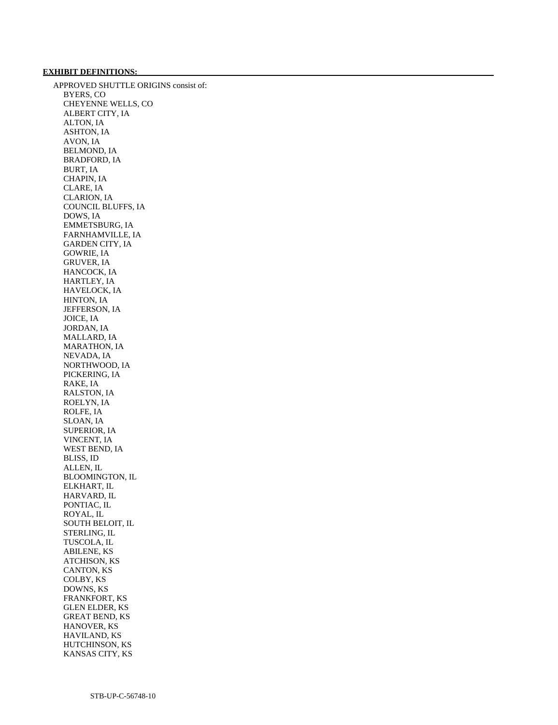#### **EXHIBIT DEFINITIONS:**

 APPROVED SHUTTLE ORIGINS consist of: BYERS, CO CHEYENNE WELLS, CO ALBERT CITY, IA ALTON, IA ASHTON, IA AVON, IA BELMOND, IA BRADFORD, IA BURT, IA CHAPIN, IA CLARE, IA CLARION, IA COUNCIL BLUFFS, IA DOWS, IA EMMETSBURG, IA FARNHAMVILLE, IA GARDEN CITY, IA GOWRIE, IA GRUVER, IA HANCOCK, IA HARTLEY, IA HAVELOCK, IA HINTON, IA JEFFERSON, IA JOICE, IA JORDAN, IA MALLARD, IA MARATHON, IA NEVADA, IA NORTHWOOD, IA PICKERING, IA RAKE, IA RALSTON, IA ROELYN, IA ROLFE, IA SLOAN, IA SUPERIOR, IA VINCENT, IA WEST BEND, IA BLISS, ID ALLEN, IL BLOOMINGTON, IL ELKHART, IL HARVARD, IL PONTIAC, IL ROYAL, IL SOUTH BELOIT, IL STERLING, IL TUSCOLA, IL ABILENE, KS ATCHISON, KS CANTON, KS COLBY, KS DOWNS, KS FRANKFORT, KS GLEN ELDER, KS GREAT BEND, KS HANOVER, KS HAVILAND, KS HUTCHINSON, KS KANSAS CITY, KS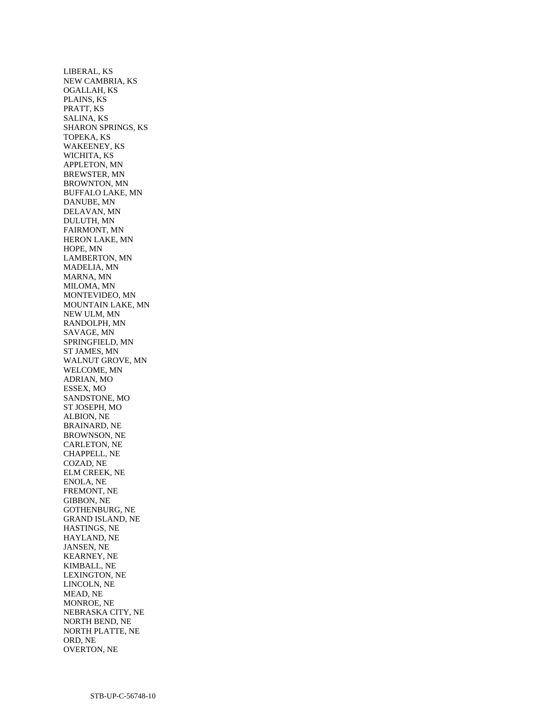LIBERAL, KS NEW CAMBRIA, KS OGALLAH, KS PLAINS, KS PRATT, KS SALINA, KS SHARON SPRINGS, KS TOPEKA, KS WAKEENEY, KS WICHITA, KS APPLETON, MN BREWSTER, MN BROWNTON, MN BUFFALO LAKE, MN DANUBE, MN DELAVAN, MN DULUTH, MN FAIRMONT, MN HERON LAKE, MN HOPE, MN LAMBERTON, MN MADELIA, MN MARNA, MN MILOMA, MN MONTEVIDEO, MN MOUNTAIN LAKE, MN NEW ULM, MN RANDOLPH, MN SAVAGE, MN SPRINGFIELD, MN ST JAMES, MN WALNUT GROVE, MN WELCOME, MN ADRIAN, MO ESSEX, MO SANDSTONE, MO ST JOSEPH, MO ALBION, NE BRAINARD, NE BROWNSON, NE CARLETON, NE CHAPPELL, NE COZAD, NE ELM CREEK, NE ENOLA, NE FREMONT, NE GIBBON, NE GOTHENBURG, NE GRAND ISLAND, NE HASTINGS, NE HAYLAND, NE JANSEN, NE KEARNEY, NE KIMBALL, NE LEXINGTON, NE LINCOLN, NE MEAD, NE MONROE, NE NEBRASKA CITY, NE NORTH BEND, NE NORTH PLATTE, NE ORD, NE OVERTON, NE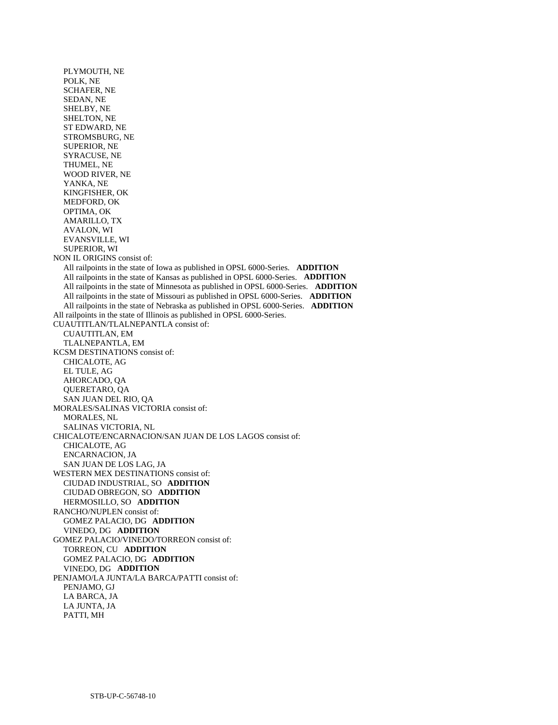PLYMOUTH, NE POLK, NE SCHAFER, NE SEDAN, NE SHELBY, NE SHELTON, NE ST EDWARD, NE STROMSBURG, NE SUPERIOR, NE SYRACUSE, NE THUMEL, NE WOOD RIVER, NE YANKA, NE KINGFISHER, OK MEDFORD, OK OPTIMA, OK AMARILLO, TX AVALON, WI EVANSVILLE, WI SUPERIOR, WI NON IL ORIGINS consist of: All railpoints in the state of Iowa as published in OPSL 6000-Series. **ADDITION**  All railpoints in the state of Kansas as published in OPSL 6000-Series. **ADDITION**  All railpoints in the state of Minnesota as published in OPSL 6000-Series. **ADDITION**  All railpoints in the state of Missouri as published in OPSL 6000-Series. **ADDITION**  All railpoints in the state of Nebraska as published in OPSL 6000-Series. **ADDITION**  All railpoints in the state of Illinois as published in OPSL 6000-Series. CUAUTITLAN/TLALNEPANTLA consist of: CUAUTITLAN, EM TLALNEPANTLA, EM KCSM DESTINATIONS consist of: CHICALOTE, AG EL TULE, AG AHORCADO, QA QUERETARO, QA SAN JUAN DEL RIO, QA MORALES/SALINAS VICTORIA consist of: MORALES, NL SALINAS VICTORIA, NL CHICALOTE/ENCARNACION/SAN JUAN DE LOS LAGOS consist of: CHICALOTE, AG ENCARNACION, JA SAN JUAN DE LOS LAG, JA WESTERN MEX DESTINATIONS consist of: CIUDAD INDUSTRIAL, SO **ADDITION**  CIUDAD OBREGON, SO **ADDITION**  HERMOSILLO, SO **ADDITION**  RANCHO/NUPLEN consist of: GOMEZ PALACIO, DG **ADDITION**  VINEDO, DG **ADDITION**  GOMEZ PALACIO/VINEDO/TORREON consist of: TORREON, CU **ADDITION**  GOMEZ PALACIO, DG **ADDITION**  VINEDO, DG **ADDITION**  PENJAMO/LA JUNTA/LA BARCA/PATTI consist of: PENJAMO, GJ LA BARCA, JA LA JUNTA, JA PATTI, MH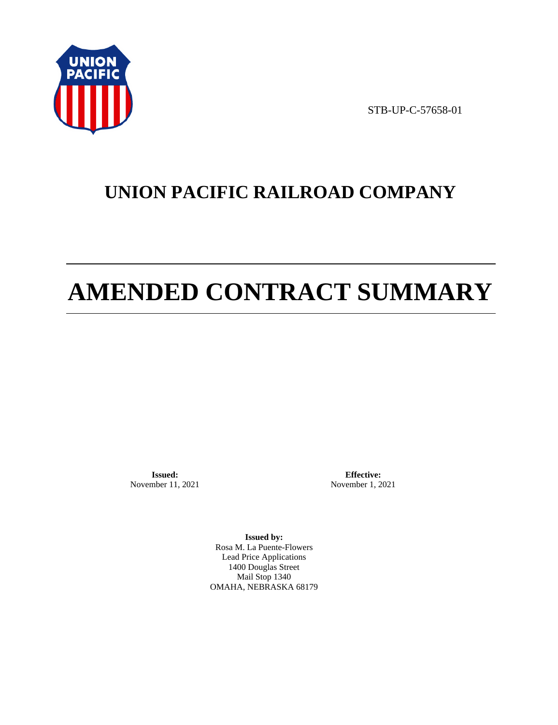

STB-UP-C-57658-01

# **UNION PACIFIC RAILROAD COMPANY**

# **AMENDED CONTRACT SUMMARY**

**Issued:**  November 11, 2021

**Effective:** November 1, 2021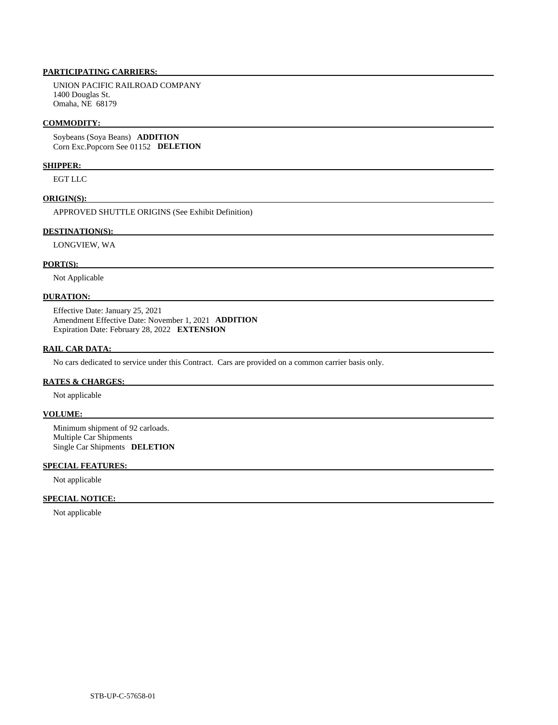# **PARTICIPATING CARRIERS:**

 UNION PACIFIC RAILROAD COMPANY 1400 Douglas St. Omaha, NE 68179

#### **COMMODITY:**

 Soybeans (Soya Beans) **ADDITION**  Corn Exc.Popcorn See 01152 **DELETION** 

# **SHIPPER:**

EGT LLC

#### **ORIGIN(S):**

APPROVED SHUTTLE ORIGINS (See Exhibit Definition)

#### **DESTINATION(S):**

LONGVIEW, WA

#### **PORT(S):**

Not Applicable

#### **DURATION:**

 Effective Date: January 25, 2021 Amendment Effective Date: November 1, 2021 **ADDITION**  Expiration Date: February 28, 2022 **EXTENSION** 

# **RAIL CAR DATA:**

No cars dedicated to service under this Contract. Cars are provided on a common carrier basis only.

#### **RATES & CHARGES:**

Not applicable

# **VOLUME:**

 Minimum shipment of 92 carloads. Multiple Car Shipments Single Car Shipments **DELETION** 

# **SPECIAL FEATURES:**

Not applicable

#### **SPECIAL NOTICE:**

Not applicable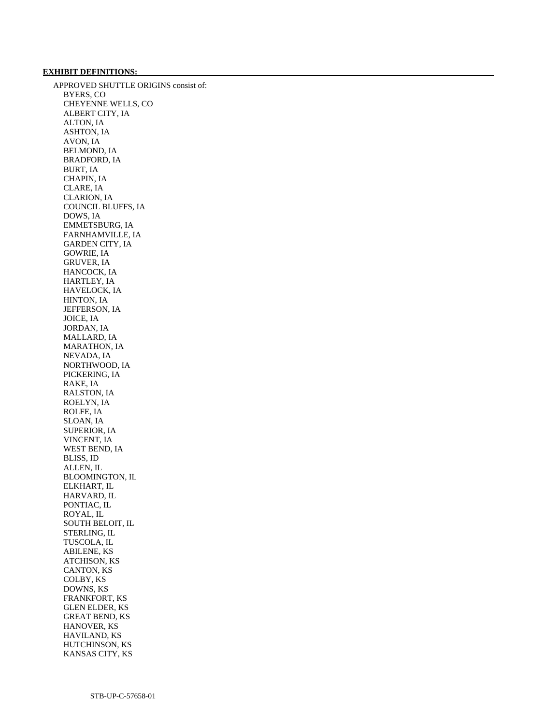#### **EXHIBIT DEFINITIONS:**

 APPROVED SHUTTLE ORIGINS consist of: BYERS, CO CHEYENNE WELLS, CO ALBERT CITY, IA ALTON, IA ASHTON, IA AVON, IA BELMOND, IA BRADFORD, IA BURT, IA CHAPIN, IA CLARE, IA CLARION, IA COUNCIL BLUFFS, IA DOWS, IA EMMETSBURG, IA FARNHAMVILLE, IA GARDEN CITY, IA GOWRIE, IA GRUVER, IA HANCOCK, IA HARTLEY, IA HAVELOCK, IA HINTON, IA JEFFERSON, IA JOICE, IA JORDAN, IA MALLARD, IA MARATHON, IA NEVADA, IA NORTHWOOD, IA PICKERING, IA RAKE, IA RALSTON, IA ROELYN, IA ROLFE, IA SLOAN, IA SUPERIOR, IA VINCENT, IA WEST BEND, IA BLISS, ID ALLEN, IL BLOOMINGTON, IL ELKHART, IL HARVARD, IL PONTIAC, IL ROYAL, IL SOUTH BELOIT, IL STERLING, IL TUSCOLA, IL ABILENE, KS ATCHISON, KS CANTON, KS COLBY, KS DOWNS, KS FRANKFORT, KS GLEN ELDER, KS GREAT BEND, KS HANOVER, KS HAVILAND, KS HUTCHINSON, KS KANSAS CITY, KS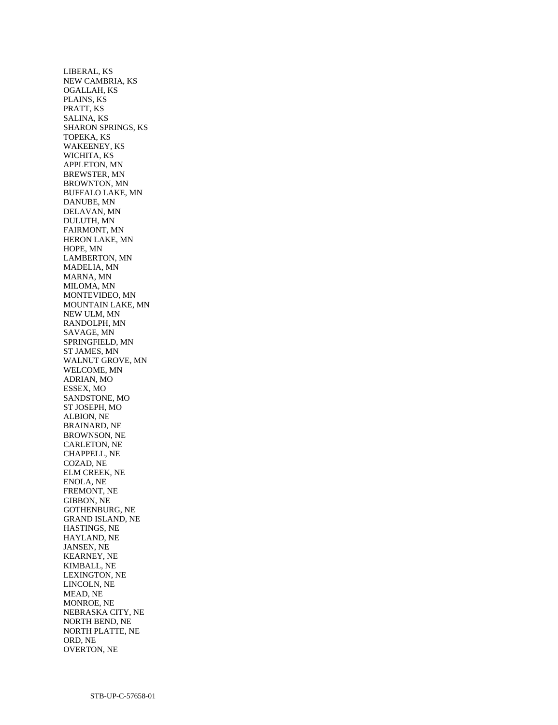LIBERAL, KS NEW CAMBRIA, KS OGALLAH, KS PLAINS, KS PRATT, KS SALINA, KS SHARON SPRINGS, KS TOPEKA, KS WAKEENEY, KS WICHITA, KS APPLETON, MN BREWSTER, MN BROWNTON, MN BUFFALO LAKE, MN DANUBE, MN DELAVAN, MN DULUTH, MN FAIRMONT, MN HERON LAKE, MN HOPE, MN LAMBERTON, MN MADELIA, MN MARNA, MN MILOMA, MN MONTEVIDEO, MN MOUNTAIN LAKE, MN NEW ULM, MN RANDOLPH, MN SAVAGE, MN SPRINGFIELD, MN ST JAMES, MN WALNUT GROVE, MN WELCOME, MN ADRIAN, MO ESSEX, MO SANDSTONE, MO ST JOSEPH, MO ALBION, NE BRAINARD, NE BROWNSON, NE CARLETON, NE CHAPPELL, NE COZAD, NE ELM CREEK, NE ENOLA, NE FREMONT, NE GIBBON, NE GOTHENBURG, NE GRAND ISLAND, NE HASTINGS, NE HAYLAND, NE JANSEN, NE KEARNEY, NE KIMBALL, NE LEXINGTON, NE LINCOLN, NE MEAD, NE MONROE, NE NEBRASKA CITY, NE NORTH BEND, NE NORTH PLATTE, NE ORD, NE OVERTON, NE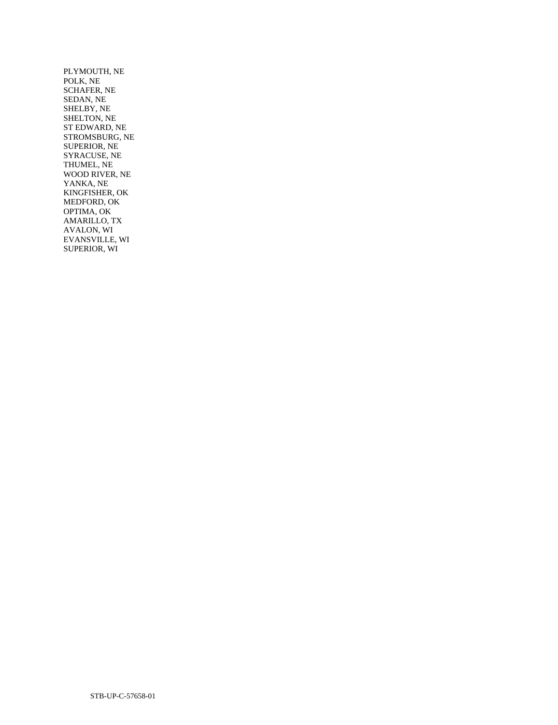PLYMOUTH, NE POLK, NE SCHAFER, NE SEDAN, NE SHELBY, NE SHELTON, NE ST EDWARD, NE STROMSBURG, NE SUPERIOR, NE SYRACUSE, NE THUMEL, NE WOOD RIVER, NE YANKA, NE KINGFISHER, OK MEDFORD, OK OPTIMA, OK AMARILLO, TX AVALON, WI EVANSVILLE, WI SUPERIOR, WI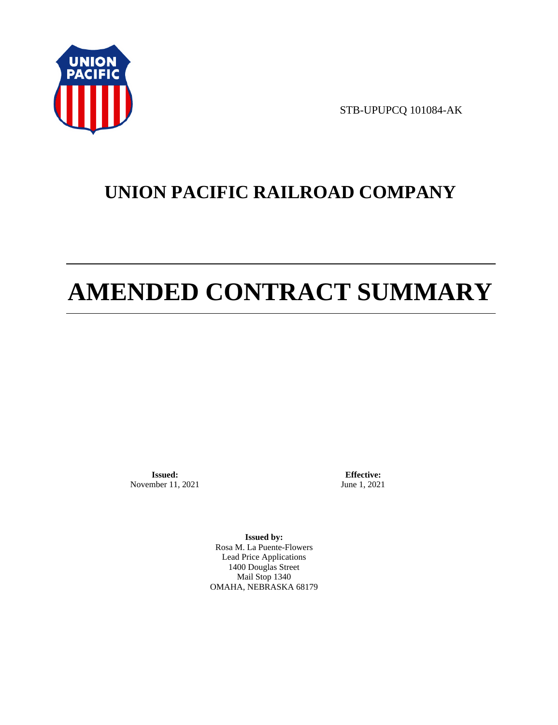

STB-UPUPCQ 101084-AK

# **UNION PACIFIC RAILROAD COMPANY**

# **AMENDED CONTRACT SUMMARY**

**Issued:**  November 11, 2021

**Effective:** June 1, 2021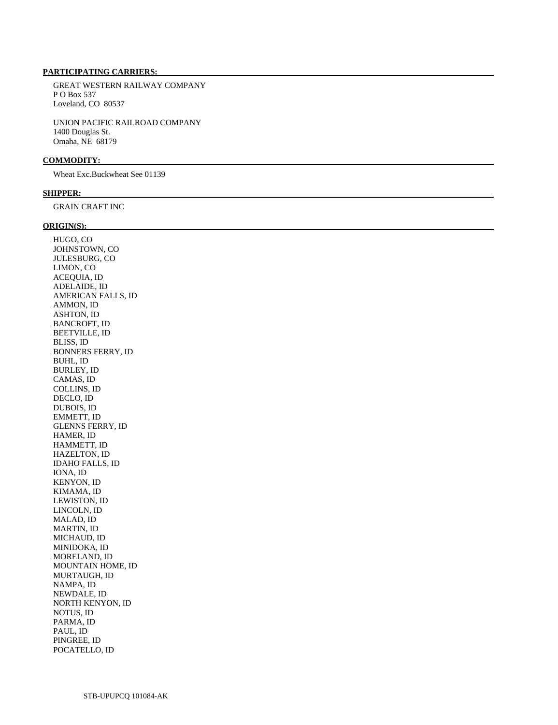# **PARTICIPATING CARRIERS:**

 GREAT WESTERN RAILWAY COMPANY P O Box 537 Loveland, CO 80537

 UNION PACIFIC RAILROAD COMPANY 1400 Douglas St. Omaha, NE 68179

#### **COMMODITY:**

Wheat Exc.Buckwheat See 01139

#### **SHIPPER:**

GRAIN CRAFT INC

## **ORIGIN(S):**

 HUGO, CO JOHNSTOWN, CO JULESBURG, CO LIMON, CO ACEQUIA, ID ADELAIDE, ID AMERICAN FALLS, ID AMMON, ID ASHTON, ID BANCROFT, ID BEETVILLE, ID BLISS, ID BONNERS FERRY, ID BUHL, ID BURLEY, ID CAMAS, ID COLLINS, ID DECLO, ID DUBOIS, ID EMMETT, ID GLENNS FERRY, ID HAMER, ID HAMMETT, ID HAZELTON, ID IDAHO FALLS, ID IONA, ID KENYON, ID KIMAMA, ID LEWISTON, ID LINCOLN, ID MALAD, ID MARTIN, ID MICHAUD, ID MINIDOKA, ID MORELAND, ID MOUNTAIN HOME, ID MURTAUGH, ID NAMPA, ID NEWDALE, ID NORTH KENYON, ID NOTUS, ID PARMA, ID PAUL, ID PINGREE, ID POCATELLO, ID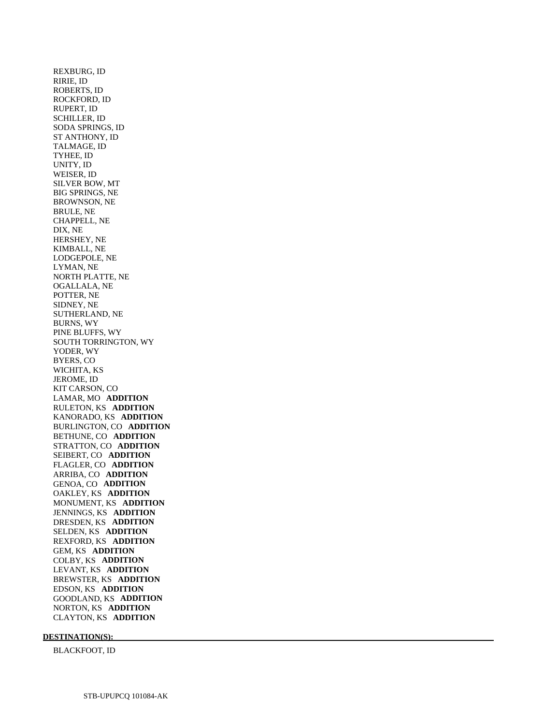REXBURG, ID RIRIE, ID ROBERTS, ID ROCKFORD, ID RUPERT, ID SCHILLER, ID SODA SPRINGS, ID ST ANTHONY, ID TALMAGE, ID TYHEE, ID UNITY, ID WEISER, ID SILVER BOW, MT BIG SPRINGS, NE BROWNSON, NE BRULE, NE CHAPPELL, NE DIX, NE HERSHEY, NE KIMBALL, NE LODGEPOLE, NE LYMAN, NE NORTH PLATTE, NE OGALLALA, NE POTTER, NE SIDNEY, NE SUTHERLAND, NE BURNS, WY PINE BLUFFS, WY SOUTH TORRINGTON, WY YODER, WY BYERS, CO WICHITA, KS JEROME, ID KIT CARSON, CO LAMAR, MO **ADDITION**  RULETON, KS **ADDITION**  KANORADO, KS **ADDITION**  BURLINGTON, CO **ADDITION**  BETHUNE, CO **ADDITION**  STRATTON, CO **ADDITION**  SEIBERT, CO **ADDITION**  FLAGLER, CO **ADDITION**  ARRIBA, CO **ADDITION**  GENOA, CO **ADDITION**  OAKLEY, KS **ADDITION**  MONUMENT, KS **ADDITION**  JENNINGS, KS **ADDITION**  DRESDEN, KS **ADDITION**  SELDEN, KS **ADDITION**  REXFORD, KS **ADDITION**  GEM, KS **ADDITION**  COLBY, KS **ADDITION**  LEVANT, KS **ADDITION**  BREWSTER, KS **ADDITION**  EDSON, KS **ADDITION**  GOODLAND, KS **ADDITION**  NORTON, KS **ADDITION**  CLAYTON, KS **ADDITION** 

#### **DESTINATION(S):**

BLACKFOOT, ID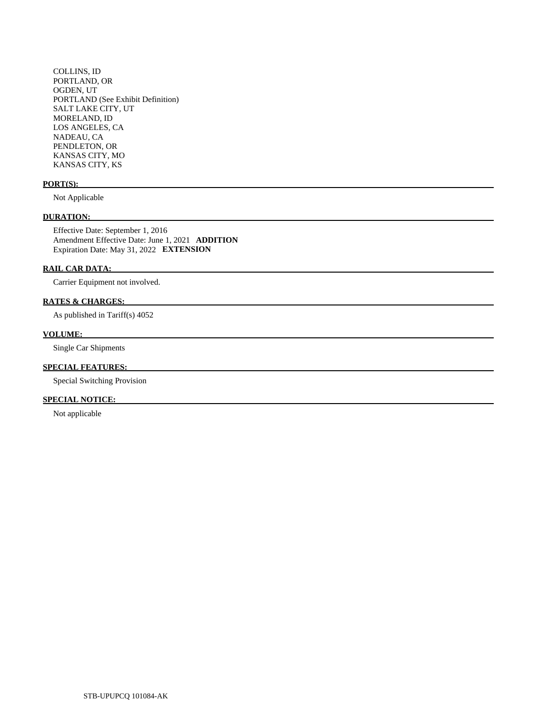COLLINS, ID PORTLAND, OR OGDEN, UT PORTLAND (See Exhibit Definition) SALT LAKE CITY, UT MORELAND, ID LOS ANGELES, CA NADEAU, CA PENDLETON, OR KANSAS CITY, MO KANSAS CITY, KS

# **PORT(S):**

Not Applicable

# **DURATION:**

 Effective Date: September 1, 2016 Amendment Effective Date: June 1, 2021 **ADDITION**  Expiration Date: May 31, 2022 **EXTENSION** 

# **RAIL CAR DATA:**

Carrier Equipment not involved.

# **RATES & CHARGES:**

As published in Tariff(s) 4052

# **VOLUME:**

Single Car Shipments

# **SPECIAL FEATURES:**

Special Switching Provision

# **SPECIAL NOTICE:**

Not applicable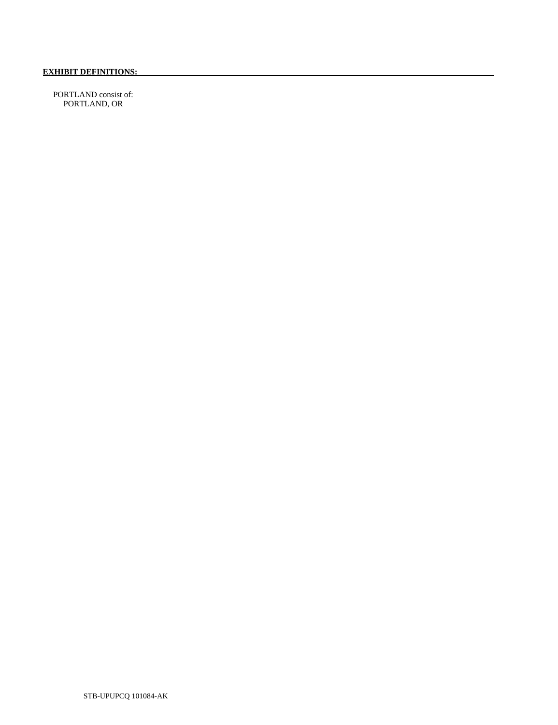PORTLAND consist of: PORTLAND, OR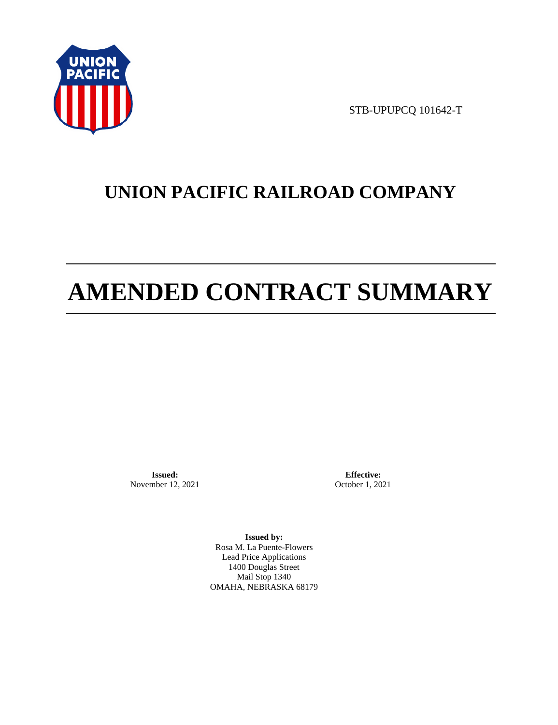

STB-UPUPCQ 101642-T

# **UNION PACIFIC RAILROAD COMPANY**

# **AMENDED CONTRACT SUMMARY**

**Issued:**  November 12, 2021

**Effective:** October 1, 2021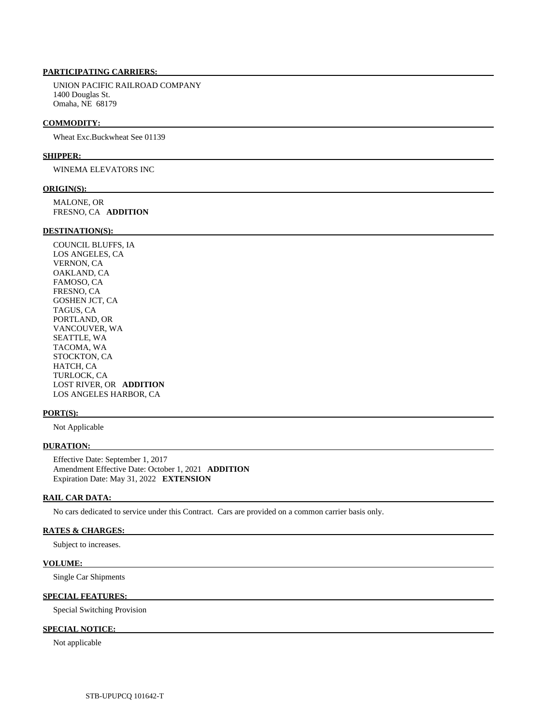# **PARTICIPATING CARRIERS:**

 UNION PACIFIC RAILROAD COMPANY 1400 Douglas St. Omaha, NE 68179

#### **COMMODITY:**

Wheat Exc.Buckwheat See 01139

#### **SHIPPER:**

WINEMA ELEVATORS INC

#### **ORIGIN(S):**

 MALONE, OR FRESNO, CA **ADDITION** 

### **DESTINATION(S):**

 COUNCIL BLUFFS, IA LOS ANGELES, CA VERNON, CA OAKLAND, CA FAMOSO, CA FRESNO, CA GOSHEN JCT, CA TAGUS, CA PORTLAND, OR VANCOUVER, WA SEATTLE, WA TACOMA, WA STOCKTON, CA HATCH, CA TURLOCK, CA LOST RIVER, OR **ADDITION**  LOS ANGELES HARBOR, CA

#### **PORT(S):**

Not Applicable

#### **DURATION:**

 Effective Date: September 1, 2017 Amendment Effective Date: October 1, 2021 **ADDITION**  Expiration Date: May 31, 2022 **EXTENSION** 

#### **RAIL CAR DATA:**

No cars dedicated to service under this Contract. Cars are provided on a common carrier basis only.

# **RATES & CHARGES:**

Subject to increases.

#### **VOLUME:**

Single Car Shipments

#### **SPECIAL FEATURES:**

Special Switching Provision

# **SPECIAL NOTICE:**

Not applicable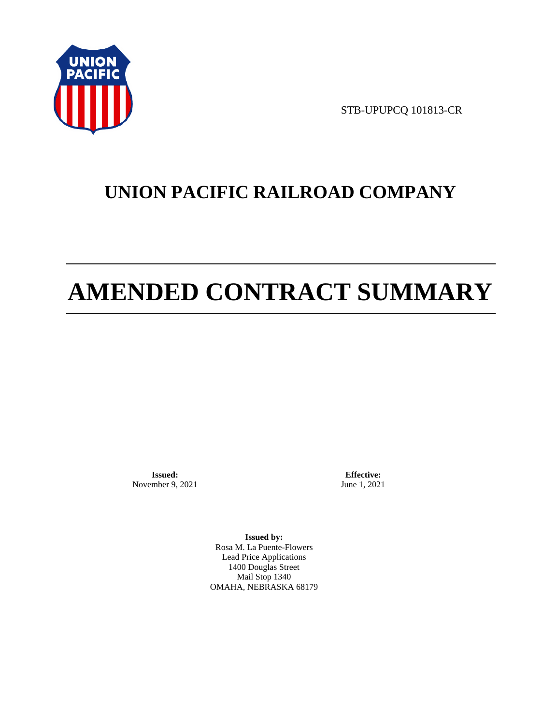

STB-UPUPCQ 101813-CR

# **UNION PACIFIC RAILROAD COMPANY**

# **AMENDED CONTRACT SUMMARY**

**Issued:**  November 9, 2021

**Effective:** June 1, 2021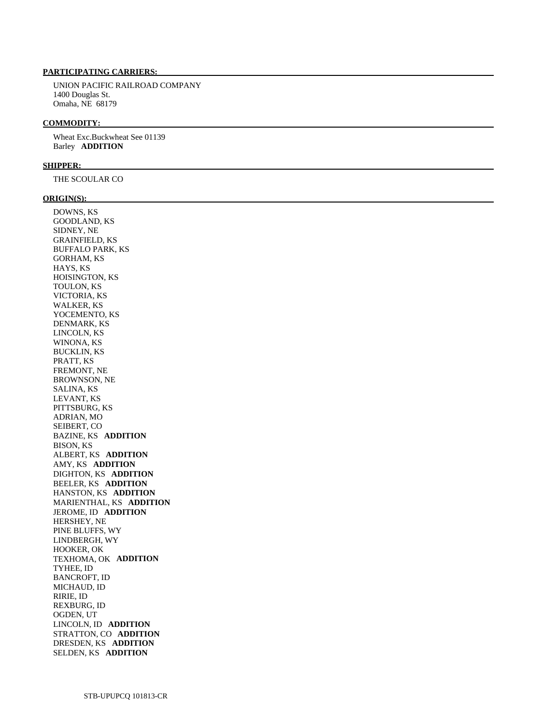# **PARTICIPATING CARRIERS:**

 UNION PACIFIC RAILROAD COMPANY 1400 Douglas St. Omaha, NE 68179

#### **COMMODITY:**

 Wheat Exc.Buckwheat See 01139 Barley **ADDITION** 

#### **SHIPPER:**

THE SCOULAR CO

#### **ORIGIN(S):**

 DOWNS, KS GOODLAND, KS SIDNEY, NE GRAINFIELD, KS BUFFALO PARK, KS GORHAM, KS HAYS, KS HOISINGTON, KS TOULON, KS VICTORIA, KS WALKER, KS YOCEMENTO, KS DENMARK, KS LINCOLN, KS WINONA, KS BUCKLIN, KS PRATT, KS FREMONT, NE BROWNSON, NE SALINA, KS LEVANT, KS PITTSBURG, KS ADRIAN, MO SEIBERT, CO BAZINE, KS **ADDITION**  BISON, KS ALBERT, KS **ADDITION**  AMY, KS **ADDITION**  DIGHTON, KS **ADDITION**  BEELER, KS **ADDITION**  HANSTON, KS **ADDITION**  MARIENTHAL, KS **ADDITION**  JEROME, ID **ADDITION**  HERSHEY, NE PINE BLUFFS, WY LINDBERGH, WY HOOKER, OK TEXHOMA, OK **ADDITION**  TYHEE, ID BANCROFT, ID MICHAUD, ID RIRIE, ID REXBURG, ID OGDEN, UT LINCOLN, ID **ADDITION**  STRATTON, CO **ADDITION**  DRESDEN, KS **ADDITION**  SELDEN, KS **ADDITION**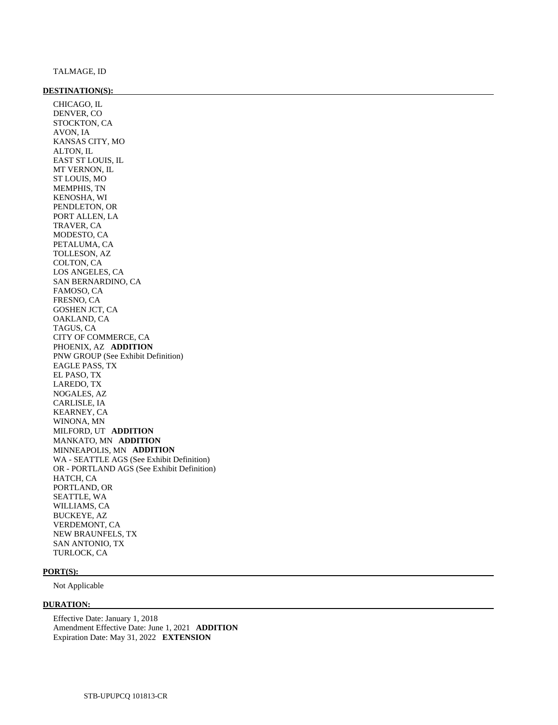#### **DESTINATION(S):**

 CHICAGO, IL DENVER, CO STOCKTON, CA AVON, IA KANSAS CITY, MO ALTON, IL EAST ST LOUIS, IL MT VERNON, IL ST LOUIS, MO MEMPHIS, TN KENOSHA, WI PENDLETON, OR PORT ALLEN, LA TRAVER, CA MODESTO, CA PETALUMA, CA TOLLESON, AZ COLTON, CA LOS ANGELES, CA SAN BERNARDINO, CA FAMOSO, CA FRESNO, CA GOSHEN JCT, CA OAKLAND, CA TAGUS, CA CITY OF COMMERCE, CA PHOENIX, AZ **ADDITION**  PNW GROUP (See Exhibit Definition) EAGLE PASS, TX EL PASO, TX LAREDO, TX NOGALES, AZ CARLISLE, IA KEARNEY, CA WINONA, MN MILFORD, UT **ADDITION**  MANKATO, MN **ADDITION**  MINNEAPOLIS, MN **ADDITION**  WA - SEATTLE AGS (See Exhibit Definition) OR - PORTLAND AGS (See Exhibit Definition) HATCH, CA PORTLAND, OR SEATTLE, WA WILLIAMS, CA BUCKEYE, AZ VERDEMONT, CA NEW BRAUNFELS, TX SAN ANTONIO, TX TURLOCK, CA

#### **PORT(S):**

Not Applicable

#### **DURATION:**

 Effective Date: January 1, 2018 Amendment Effective Date: June 1, 2021 **ADDITION**  Expiration Date: May 31, 2022 **EXTENSION**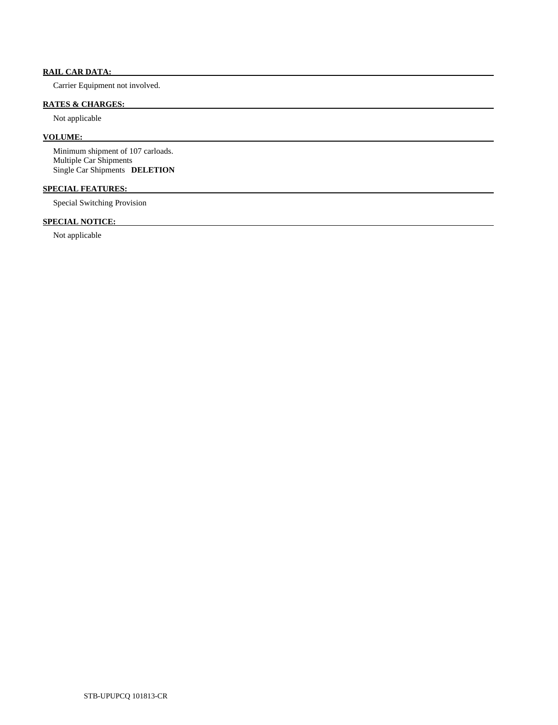# **RAIL CAR DATA:**

Carrier Equipment not involved.

# **RATES & CHARGES:**

Not applicable

# **VOLUME:**

 Minimum shipment of 107 carloads. Multiple Car Shipments Single Car Shipments **DELETION** 

# **SPECIAL FEATURES:**

Special Switching Provision

# **SPECIAL NOTICE:**

Not applicable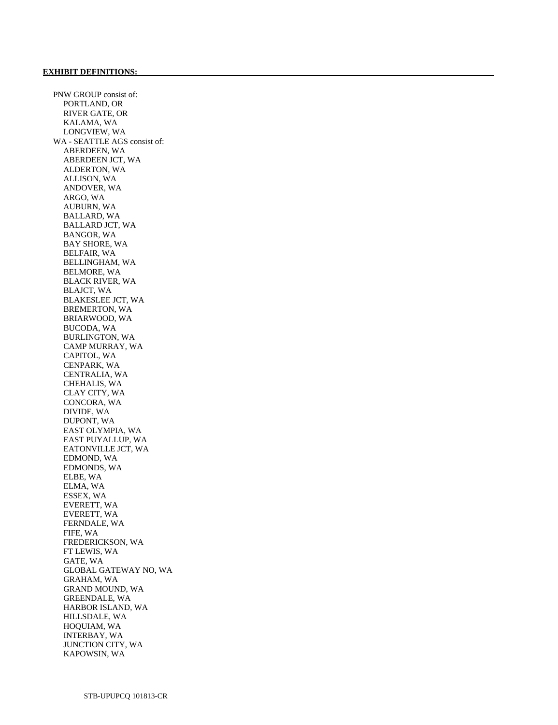PNW GROUP consist of: PORTLAND, OR RIVER GATE, OR KALAMA, WA LONGVIEW, WA WA - SEATTLE AGS consist of: ABERDEEN, WA ABERDEEN JCT, WA ALDERTON, WA ALLISON, WA ANDOVER, WA ARGO, WA AUBURN, WA BALLARD, WA BALLARD JCT, WA BANGOR, WA BAY SHORE, WA BELFAIR, WA BELLINGHAM, WA BELMORE, WA BLACK RIVER, WA BLAJCT, WA BLAKESLEE JCT, WA BREMERTON, WA BRIARWOOD, WA BUCODA, WA BURLINGTON, WA CAMP MURRAY, WA CAPITOL, WA CENPARK, WA CENTRALIA, WA CHEHALIS, WA CLAY CITY, WA CONCORA, WA DIVIDE, WA DUPONT, WA EAST OLYMPIA, WA EAST PUYALLUP, WA EATONVILLE JCT, WA EDMOND, WA EDMONDS, WA ELBE, WA ELMA, WA ESSEX, WA EVERETT, WA EVERETT, WA FERNDALE, WA FIFE, WA FREDERICKSON, WA FT LEWIS, WA GATE, WA GLOBAL GATEWAY NO, WA GRAHAM, WA GRAND MOUND, WA GREENDALE, WA HARBOR ISLAND, WA HILLSDALE, WA HOQUIAM, WA INTERBAY, WA JUNCTION CITY, WA KAPOWSIN, WA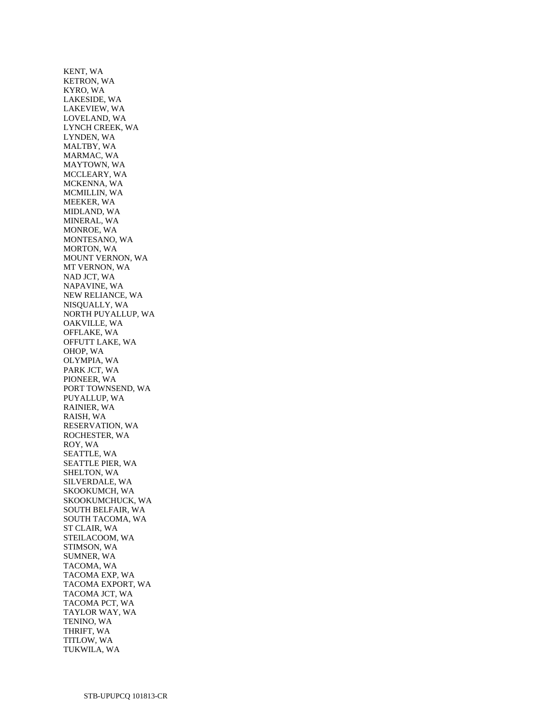KENT, WA KETRON, WA KYRO, WA LAKESIDE, WA LAKEVIEW, WA LOVELAND, WA LYNCH CREEK, WA LYNDEN, WA MALTBY, WA MARMAC, WA MAYTOWN, WA MCCLEARY, WA MCKENNA, WA MCMILLIN, WA MEEKER, WA MIDLAND, WA MINERAL, WA MONROE, WA MONTESANO, WA MORTON, WA MOUNT VERNON, WA MT VERNON, WA NAD JCT, WA NAPAVINE, WA NEW RELIANCE, WA NISQUALLY, WA NORTH PUYALLUP, WA OAKVILLE, WA OFFLAKE, WA OFFUTT LAKE, WA OHOP, WA OLYMPIA, WA PARK JCT, WA PIONEER, WA PORT TOWNSEND, WA PUYALLUP, WA RAINIER, WA RAISH, WA RESERVATION, WA ROCHESTER, WA ROY, WA SEATTLE, WA SEATTLE PIER, WA SHELTON, WA SILVERDALE, WA SKOOKUMCH, WA SKOOKUMCHUCK, WA SOUTH BELFAIR, WA SOUTH TACOMA, WA ST CLAIR, WA STEILACOOM, WA STIMSON, WA SUMNER, WA TACOMA, WA TACOMA EXP, WA TACOMA EXPORT, WA TACOMA JCT, WA TACOMA PCT, WA TAYLOR WAY, WA TENINO, WA THRIFT, WA TITLOW, WA TUKWILA, WA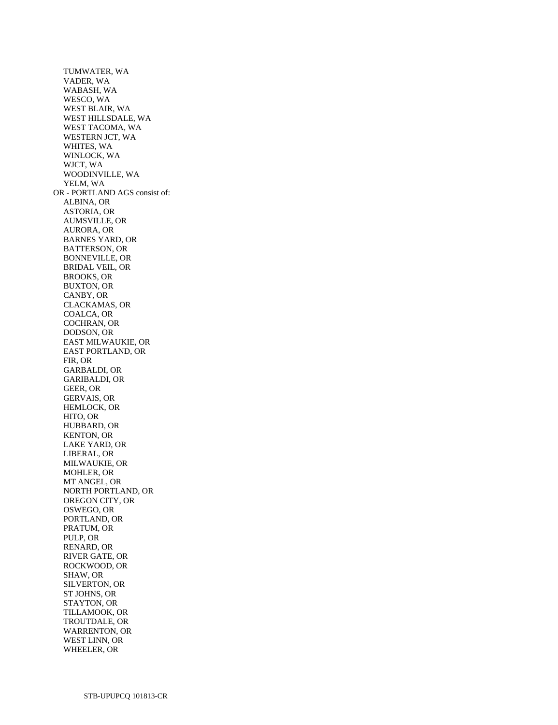TUMWATER, WA VADER, WA WABASH, WA WESCO, WA WEST BLAIR, WA WEST HILLSDALE, WA WEST TACOMA, WA WESTERN JCT, WA WHITES, WA WINLOCK, WA WJCT, WA WOODINVILLE, WA YELM, WA OR - PORTLAND AGS consist of: ALBINA, OR ASTORIA, OR AUMSVILLE, OR AURORA, OR BARNES YARD, OR BATTERSON, OR BONNEVILLE, OR BRIDAL VEIL, OR BROOKS, OR BUXTON, OR CANBY, OR CLACKAMAS, OR COALCA, OR COCHRAN, OR DODSON, OR EAST MILWAUKIE, OR EAST PORTLAND, OR FIR, OR GARBALDI, OR GARIBALDI, OR GEER, OR GERVAIS, OR HEMLOCK, OR HITO, OR HUBBARD, OR KENTON, OR LAKE YARD, OR LIBERAL, OR MILWAUKIE, OR MOHLER, OR MT ANGEL, OR NORTH PORTLAND, OR OREGON CITY, OR OSWEGO, OR PORTLAND, OR PRATUM, OR PULP, OR RENARD, OR RIVER GATE, OR ROCKWOOD, OR SHAW, OR SILVERTON, OR ST JOHNS, OR STAYTON, OR TILLAMOOK, OR TROUTDALE, OR WARRENTON, OR WEST LINN, OR WHEELER, OR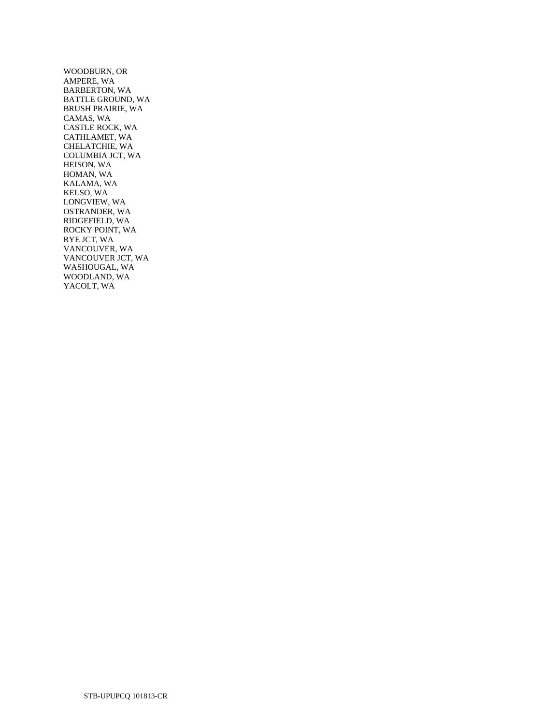WOODBURN, OR AMPERE, WA BARBERTON, WA BATTLE GROUND, WA BRUSH PRAIRIE, WA CAMAS, WA CASTLE ROCK, WA CATHLAMET, WA CHELATCHIE, WA COLUMBIA JCT, WA HEISON, WA HOMAN, WA KALAMA, WA KELSO, WA LONGVIEW, WA OSTRANDER, WA RIDGEFIELD, WA ROCKY POINT, WA RYE JCT, WA VANCOUVER, WA VANCOUVER JCT, WA WASHOUGAL, WA WOODLAND, WA YACOLT, WA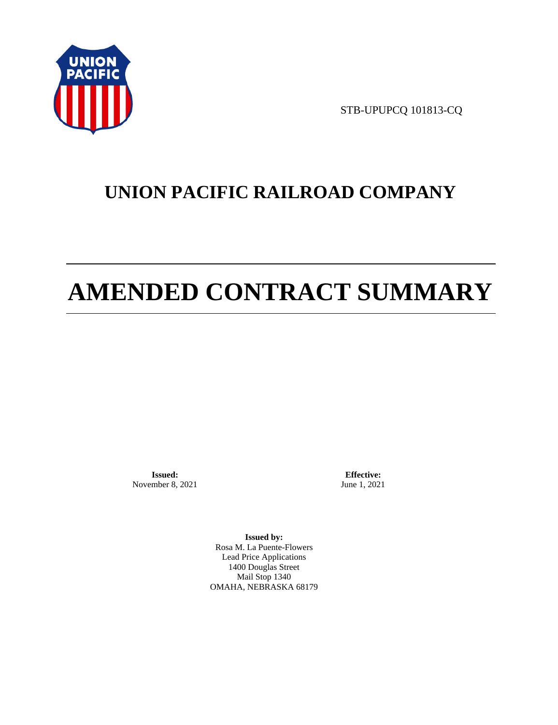

STB-UPUPCQ 101813-CQ

# **UNION PACIFIC RAILROAD COMPANY**

# **AMENDED CONTRACT SUMMARY**

**Issued:**  November 8, 2021

**Effective:** June 1, 2021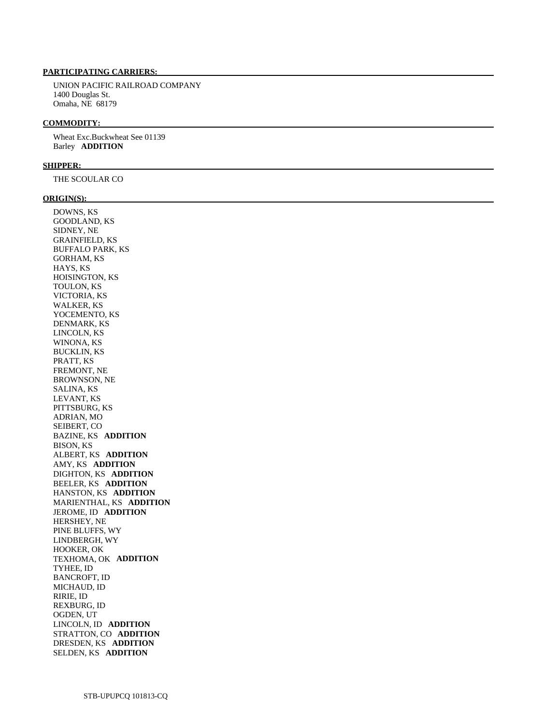# **PARTICIPATING CARRIERS:**

 UNION PACIFIC RAILROAD COMPANY 1400 Douglas St. Omaha, NE 68179

#### **COMMODITY:**

 Wheat Exc.Buckwheat See 01139 Barley **ADDITION** 

#### **SHIPPER:**

THE SCOULAR CO

#### **ORIGIN(S):**

 DOWNS, KS GOODLAND, KS SIDNEY, NE GRAINFIELD, KS BUFFALO PARK, KS GORHAM, KS HAYS, KS HOISINGTON, KS TOULON, KS VICTORIA, KS WALKER, KS YOCEMENTO, KS DENMARK, KS LINCOLN, KS WINONA, KS BUCKLIN, KS PRATT, KS FREMONT, NE BROWNSON, NE SALINA, KS LEVANT, KS PITTSBURG, KS ADRIAN, MO SEIBERT, CO BAZINE, KS **ADDITION**  BISON, KS ALBERT, KS **ADDITION**  AMY, KS **ADDITION**  DIGHTON, KS **ADDITION**  BEELER, KS **ADDITION**  HANSTON, KS **ADDITION**  MARIENTHAL, KS **ADDITION**  JEROME, ID **ADDITION**  HERSHEY, NE PINE BLUFFS, WY LINDBERGH, WY HOOKER, OK TEXHOMA, OK **ADDITION**  TYHEE, ID BANCROFT, ID MICHAUD, ID RIRIE, ID REXBURG, ID OGDEN, UT LINCOLN, ID **ADDITION**  STRATTON, CO **ADDITION**  DRESDEN, KS **ADDITION**  SELDEN, KS **ADDITION**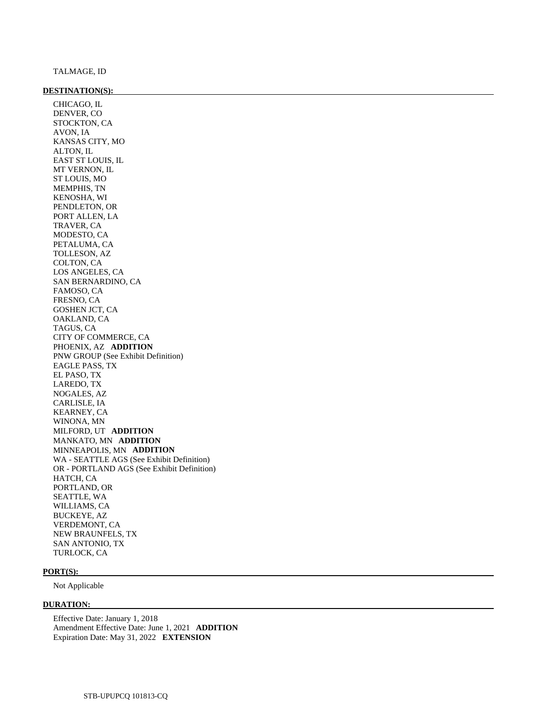#### **DESTINATION(S):**

 CHICAGO, IL DENVER, CO STOCKTON, CA AVON, IA KANSAS CITY, MO ALTON, IL EAST ST LOUIS, IL MT VERNON, IL ST LOUIS, MO MEMPHIS, TN KENOSHA, WI PENDLETON, OR PORT ALLEN, LA TRAVER, CA MODESTO, CA PETALUMA, CA TOLLESON, AZ COLTON, CA LOS ANGELES, CA SAN BERNARDINO, CA FAMOSO, CA FRESNO, CA GOSHEN JCT, CA OAKLAND, CA TAGUS, CA CITY OF COMMERCE, CA PHOENIX, AZ **ADDITION**  PNW GROUP (See Exhibit Definition) EAGLE PASS, TX EL PASO, TX LAREDO, TX NOGALES, AZ CARLISLE, IA KEARNEY, CA WINONA, MN MILFORD, UT **ADDITION**  MANKATO, MN **ADDITION**  MINNEAPOLIS, MN **ADDITION**  WA - SEATTLE AGS (See Exhibit Definition) OR - PORTLAND AGS (See Exhibit Definition) HATCH, CA PORTLAND, OR SEATTLE, WA WILLIAMS, CA BUCKEYE, AZ VERDEMONT, CA NEW BRAUNFELS, TX SAN ANTONIO, TX TURLOCK, CA

#### **PORT(S):**

Not Applicable

#### **DURATION:**

 Effective Date: January 1, 2018 Amendment Effective Date: June 1, 2021 **ADDITION**  Expiration Date: May 31, 2022 **EXTENSION**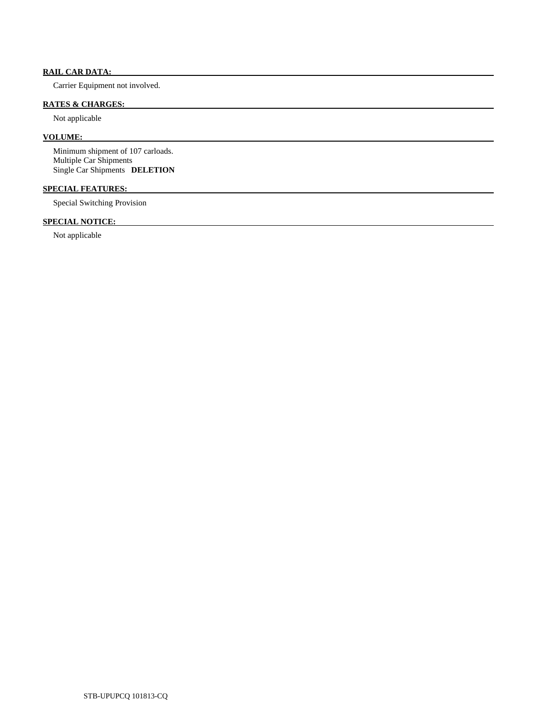# **RAIL CAR DATA:**

Carrier Equipment not involved.

# **RATES & CHARGES:**

Not applicable

# **VOLUME:**

 Minimum shipment of 107 carloads. Multiple Car Shipments Single Car Shipments **DELETION** 

# **SPECIAL FEATURES:**

Special Switching Provision

# **SPECIAL NOTICE:**

Not applicable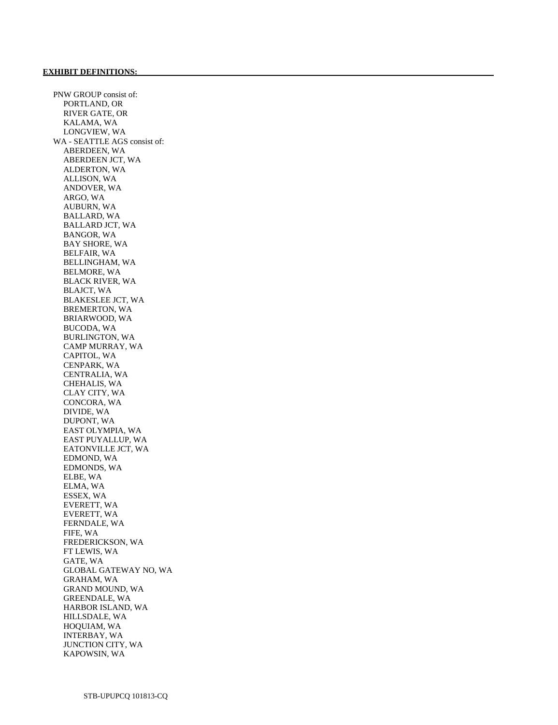PNW GROUP consist of: PORTLAND, OR RIVER GATE, OR KALAMA, WA LONGVIEW, WA WA - SEATTLE AGS consist of: ABERDEEN, WA ABERDEEN JCT, WA ALDERTON, WA ALLISON, WA ANDOVER, WA ARGO, WA AUBURN, WA BALLARD, WA BALLARD JCT, WA BANGOR, WA BAY SHORE, WA BELFAIR, WA BELLINGHAM, WA BELMORE, WA BLACK RIVER, WA BLAJCT, WA BLAKESLEE JCT, WA BREMERTON, WA BRIARWOOD, WA BUCODA, WA BURLINGTON, WA CAMP MURRAY, WA CAPITOL, WA CENPARK, WA CENTRALIA, WA CHEHALIS, WA CLAY CITY, WA CONCORA, WA DIVIDE, WA DUPONT, WA EAST OLYMPIA, WA EAST PUYALLUP, WA EATONVILLE JCT, WA EDMOND, WA EDMONDS, WA ELBE, WA ELMA, WA ESSEX, WA EVERETT, WA EVERETT, WA FERNDALE, WA FIFE, WA FREDERICKSON, WA FT LEWIS, WA GATE, WA GLOBAL GATEWAY NO, WA GRAHAM, WA GRAND MOUND, WA GREENDALE, WA HARBOR ISLAND, WA HILLSDALE, WA HOQUIAM, WA INTERBAY, WA JUNCTION CITY, WA KAPOWSIN, WA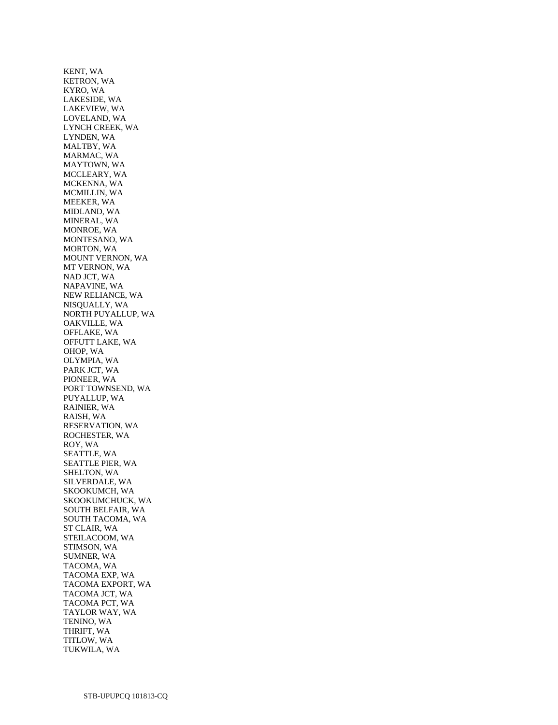KENT, WA KETRON, WA KYRO, WA LAKESIDE, WA LAKEVIEW, WA LOVELAND, WA LYNCH CREEK, WA LYNDEN, WA MALTBY, WA MARMAC, WA MAYTOWN, WA MCCLEARY, WA MCKENNA, WA MCMILLIN, WA MEEKER, WA MIDLAND, WA MINERAL, WA MONROE, WA MONTESANO, WA MORTON, WA MOUNT VERNON, WA MT VERNON, WA NAD JCT, WA NAPAVINE, WA NEW RELIANCE, WA NISQUALLY, WA NORTH PUYALLUP, WA OAKVILLE, WA OFFLAKE, WA OFFUTT LAKE, WA OHOP, WA OLYMPIA, WA PARK JCT, WA PIONEER, WA PORT TOWNSEND, WA PUYALLUP, WA RAINIER, WA RAISH, WA RESERVATION, WA ROCHESTER, WA ROY, WA SEATTLE, WA SEATTLE PIER, WA SHELTON, WA SILVERDALE, WA SKOOKUMCH, WA SKOOKUMCHUCK, WA SOUTH BELFAIR, WA SOUTH TACOMA, WA ST CLAIR, WA STEILACOOM, WA STIMSON, WA SUMNER, WA TACOMA, WA TACOMA EXP, WA TACOMA EXPORT, WA TACOMA JCT, WA TACOMA PCT, WA TAYLOR WAY, WA TENINO, WA THRIFT, WA TITLOW, WA TUKWILA, WA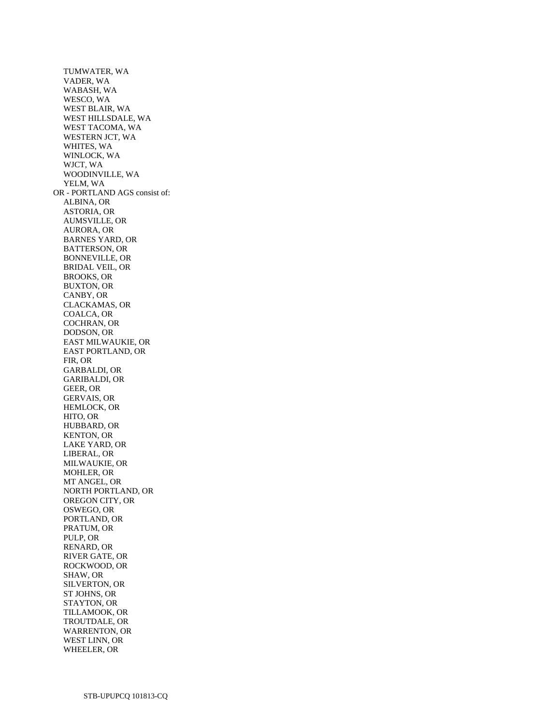TUMWATER, WA VADER, WA WABASH, WA WESCO, WA WEST BLAIR, WA WEST HILLSDALE, WA WEST TACOMA, WA WESTERN JCT, WA WHITES, WA WINLOCK, WA WJCT, WA WOODINVILLE, WA YELM, WA OR - PORTLAND AGS consist of: ALBINA, OR ASTORIA, OR AUMSVILLE, OR AURORA, OR BARNES YARD, OR BATTERSON, OR BONNEVILLE, OR BRIDAL VEIL, OR BROOKS, OR BUXTON, OR CANBY, OR CLACKAMAS, OR COALCA, OR COCHRAN, OR DODSON, OR EAST MILWAUKIE, OR EAST PORTLAND, OR FIR, OR GARBALDI, OR GARIBALDI, OR GEER, OR GERVAIS, OR HEMLOCK, OR HITO, OR HUBBARD, OR KENTON, OR LAKE YARD, OR LIBERAL, OR MILWAUKIE, OR MOHLER, OR MT ANGEL, OR NORTH PORTLAND, OR OREGON CITY, OR OSWEGO, OR PORTLAND, OR PRATUM, OR PULP, OR RENARD, OR RIVER GATE, OR ROCKWOOD, OR SHAW, OR SILVERTON, OR ST JOHNS, OR STAYTON, OR TILLAMOOK, OR TROUTDALE, OR WARRENTON, OR WEST LINN, OR WHEELER, OR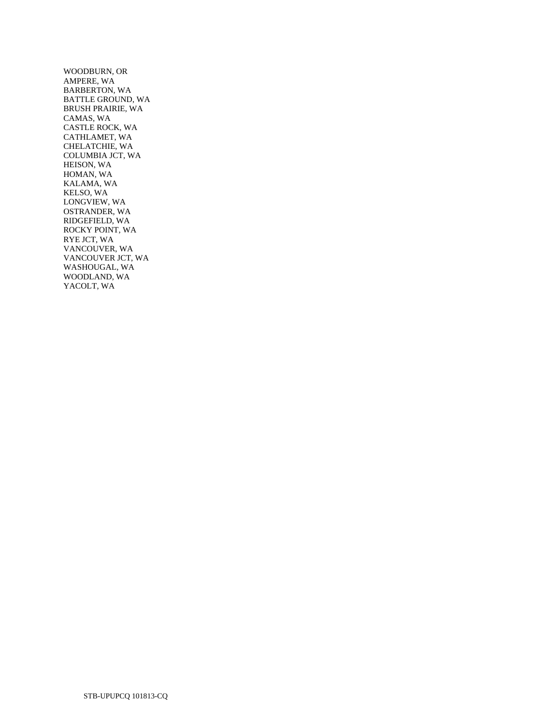WOODBURN, OR AMPERE, WA BARBERTON, WA BATTLE GROUND, WA BRUSH PRAIRIE, WA CAMAS, WA CASTLE ROCK, WA CATHLAMET, WA CHELATCHIE, WA COLUMBIA JCT, WA HEISON, WA HOMAN, WA KALAMA, WA KELSO, WA LONGVIEW, WA OSTRANDER, WA RIDGEFIELD, WA ROCKY POINT, WA RYE JCT, WA VANCOUVER, WA VANCOUVER JCT, WA WASHOUGAL, WA WOODLAND, WA YACOLT, WA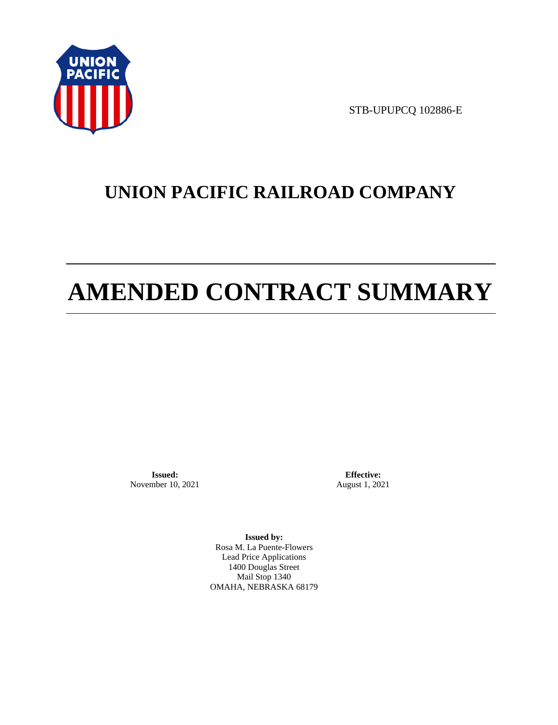

STB-UPUPCQ 102886-E

# **UNION PACIFIC RAILROAD COMPANY**

# **AMENDED CONTRACT SUMMARY**

**Issued:**  November 10, 2021

**Effective:** August 1, 2021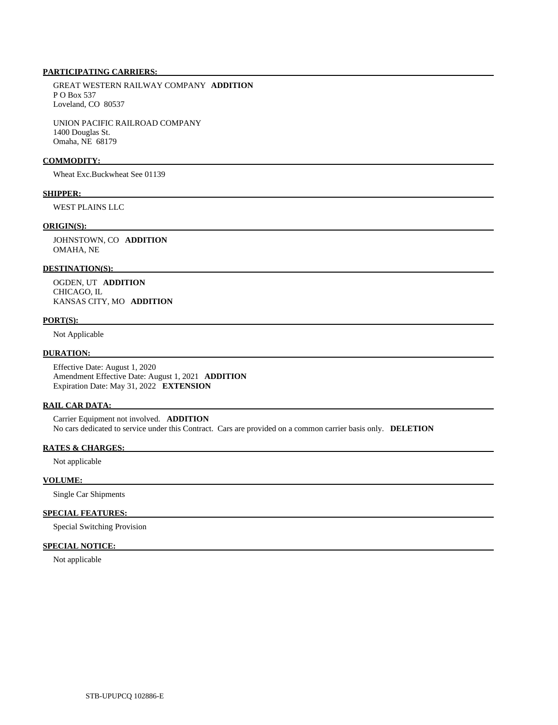## **PARTICIPATING CARRIERS:**

 GREAT WESTERN RAILWAY COMPANY **ADDITION**  P O Box 537 Loveland, CO 80537

 UNION PACIFIC RAILROAD COMPANY 1400 Douglas St. Omaha, NE 68179

#### **COMMODITY:**

Wheat Exc.Buckwheat See 01139

# **SHIPPER:**

WEST PLAINS LLC

#### **ORIGIN(S):**

 JOHNSTOWN, CO **ADDITION**  OMAHA, NE

#### **DESTINATION(S):**

 OGDEN, UT **ADDITION**  CHICAGO, IL KANSAS CITY, MO **ADDITION** 

#### **PORT(S):**

Not Applicable

#### **DURATION:**

 Effective Date: August 1, 2020 Amendment Effective Date: August 1, 2021 **ADDITION**  Expiration Date: May 31, 2022 **EXTENSION** 

#### **RAIL CAR DATA:**

 Carrier Equipment not involved. **ADDITION**  No cars dedicated to service under this Contract. Cars are provided on a common carrier basis only. **DELETION** 

### **RATES & CHARGES:**

Not applicable

#### **VOLUME:**

Single Car Shipments

#### **SPECIAL FEATURES:**

Special Switching Provision

# **SPECIAL NOTICE:**

Not applicable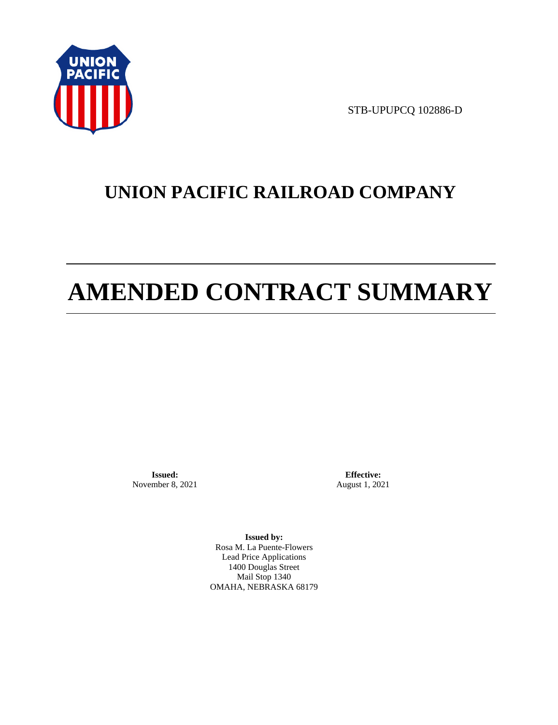

STB-UPUPCQ 102886-D

# **UNION PACIFIC RAILROAD COMPANY**

# **AMENDED CONTRACT SUMMARY**

**Issued:**  November 8, 2021

**Effective:** August 1, 2021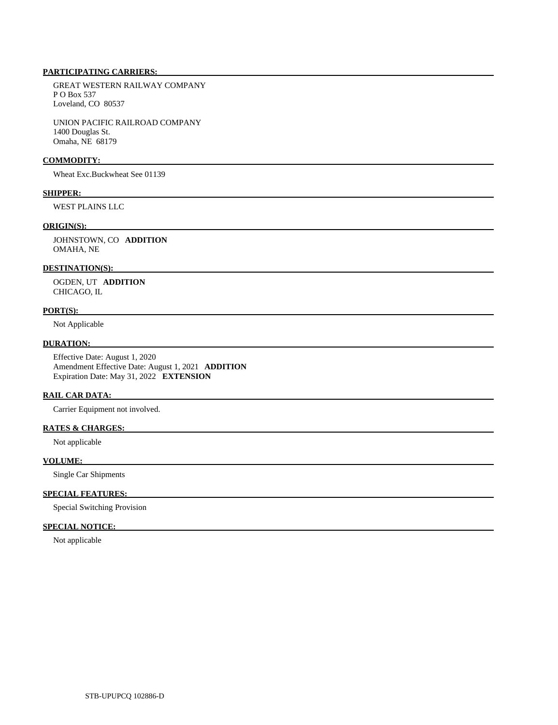# **PARTICIPATING CARRIERS:**

 GREAT WESTERN RAILWAY COMPANY P O Box 537 Loveland, CO 80537

 UNION PACIFIC RAILROAD COMPANY 1400 Douglas St. Omaha, NE 68179

#### **COMMODITY:**

Wheat Exc.Buckwheat See 01139

# **SHIPPER:**

WEST PLAINS LLC

# **ORIGIN(S):**

 JOHNSTOWN, CO **ADDITION**  OMAHA, NE

#### **DESTINATION(S):**

 OGDEN, UT **ADDITION**  CHICAGO, IL

## **PORT(S):**

Not Applicable

## **DURATION:**

 Effective Date: August 1, 2020 Amendment Effective Date: August 1, 2021 **ADDITION**  Expiration Date: May 31, 2022 **EXTENSION** 

# **RAIL CAR DATA:**

Carrier Equipment not involved.

# **RATES & CHARGES:**

Not applicable

## **VOLUME:**

Single Car Shipments

# **SPECIAL FEATURES:**

Special Switching Provision

# **SPECIAL NOTICE:**

Not applicable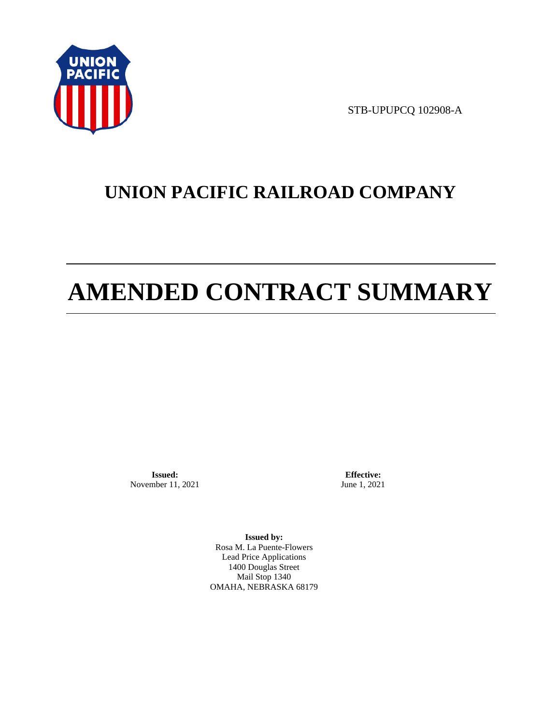

STB-UPUPCQ 102908-A

# **UNION PACIFIC RAILROAD COMPANY**

# **AMENDED CONTRACT SUMMARY**

**Issued:**  November 11, 2021

**Effective:** June 1, 2021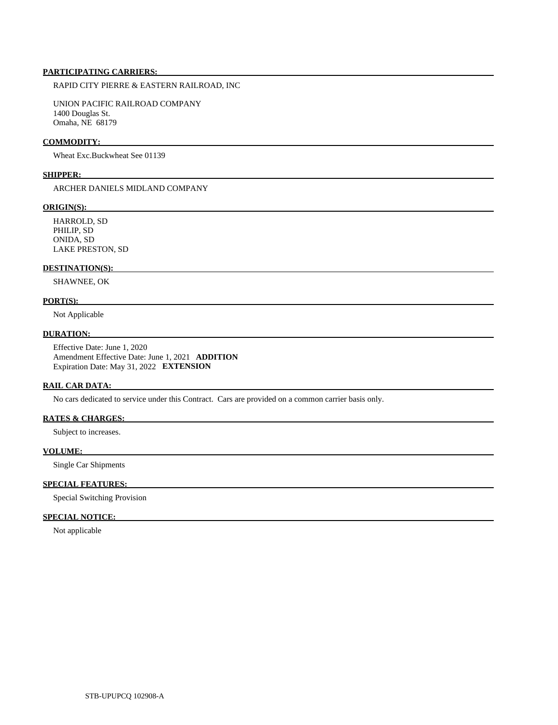#### **PARTICIPATING CARRIERS:**

RAPID CITY PIERRE & EASTERN RAILROAD, INC

 UNION PACIFIC RAILROAD COMPANY 1400 Douglas St. Omaha, NE 68179

#### **COMMODITY:**

Wheat Exc.Buckwheat See 01139

#### **SHIPPER:**

ARCHER DANIELS MIDLAND COMPANY

#### **ORIGIN(S):**

 HARROLD, SD PHILIP, SD ONIDA, SD LAKE PRESTON, SD

#### **DESTINATION(S):**

SHAWNEE, OK

#### **PORT(S):**

Not Applicable

#### **DURATION:**

 Effective Date: June 1, 2020 Amendment Effective Date: June 1, 2021 **ADDITION**  Expiration Date: May 31, 2022 **EXTENSION** 

#### **RAIL CAR DATA:**

No cars dedicated to service under this Contract. Cars are provided on a common carrier basis only.

#### **RATES & CHARGES:**

Subject to increases.

#### **VOLUME:**

Single Car Shipments

#### **SPECIAL FEATURES:**

Special Switching Provision

#### **SPECIAL NOTICE:**

Not applicable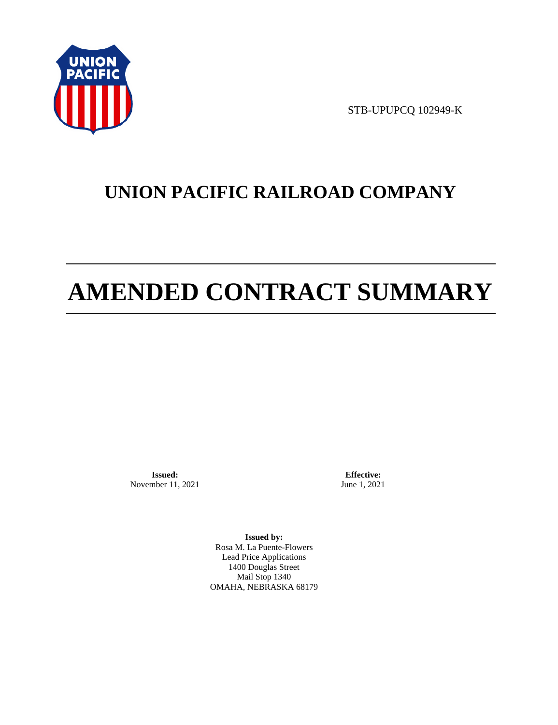

STB-UPUPCQ 102949-K

# **UNION PACIFIC RAILROAD COMPANY**

# **AMENDED CONTRACT SUMMARY**

**Issued:**  November 11, 2021

**Effective:** June 1, 2021

**Issued by:**  Rosa M. La Puente-Flowers Lead Price Applications 1400 Douglas Street Mail Stop 1340 OMAHA, NEBRASKA 68179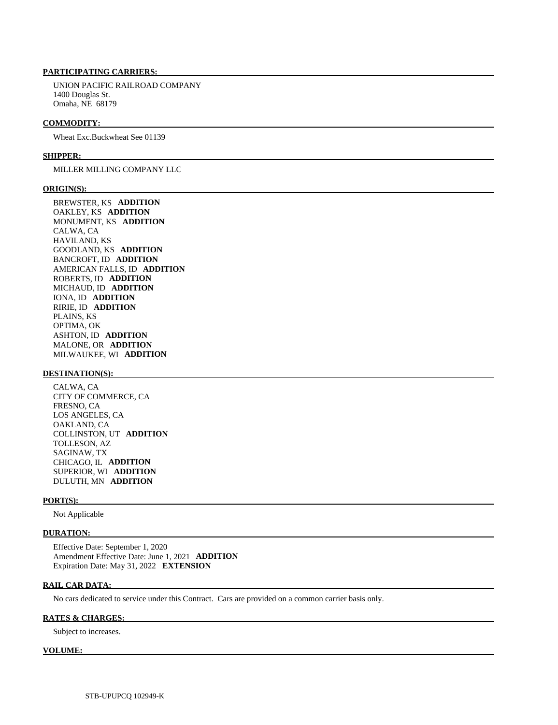#### **PARTICIPATING CARRIERS:**

 UNION PACIFIC RAILROAD COMPANY 1400 Douglas St. Omaha, NE 68179

#### **COMMODITY:**

Wheat Exc.Buckwheat See 01139

#### **SHIPPER:**

#### MILLER MILLING COMPANY LLC

#### **ORIGIN(S):**

 BREWSTER, KS **ADDITION**  OAKLEY, KS **ADDITION**  MONUMENT, KS **ADDITION**  CALWA, CA HAVILAND, KS GOODLAND, KS **ADDITION**  BANCROFT, ID **ADDITION**  AMERICAN FALLS, ID **ADDITION**  ROBERTS, ID **ADDITION**  MICHAUD, ID **ADDITION**  IONA, ID **ADDITION**  RIRIE, ID **ADDITION**  PLAINS, KS OPTIMA, OK ASHTON, ID **ADDITION**  MALONE, OR **ADDITION**  MILWAUKEE, WI **ADDITION** 

#### **DESTINATION(S):**

 CALWA, CA CITY OF COMMERCE, CA FRESNO, CA LOS ANGELES, CA OAKLAND, CA COLLINSTON, UT **ADDITION**  TOLLESON, AZ SAGINAW, TX CHICAGO, IL **ADDITION**  SUPERIOR, WI **ADDITION**  DULUTH, MN **ADDITION** 

#### **PORT(S):**

Not Applicable

#### **DURATION:**

 Effective Date: September 1, 2020 Amendment Effective Date: June 1, 2021 **ADDITION**  Expiration Date: May 31, 2022 **EXTENSION** 

#### **RAIL CAR DATA:**

No cars dedicated to service under this Contract. Cars are provided on a common carrier basis only.

#### **RATES & CHARGES:**

Subject to increases.

#### **VOLUME:**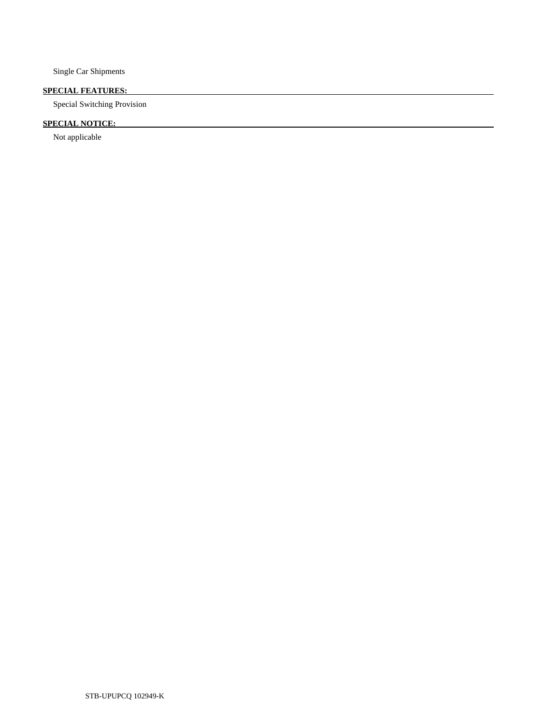Single Car Shipments

### **SPECIAL FEATURES:**

Special Switching Provision

## **SPECIAL NOTICE:**

Not applicable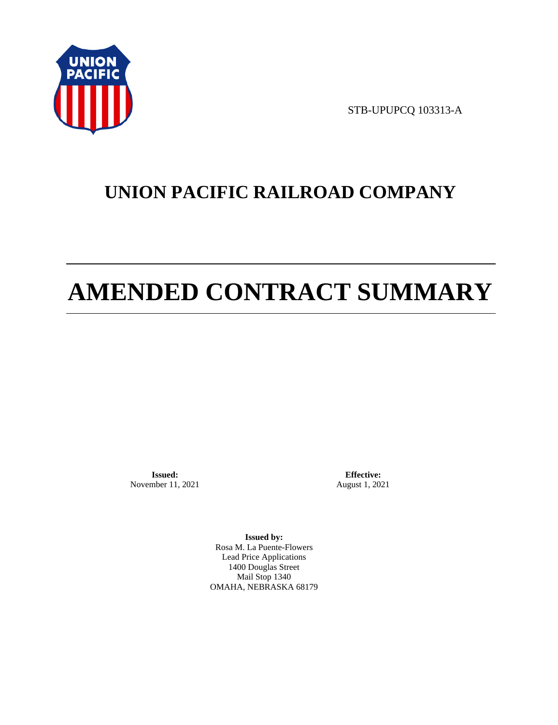

STB-UPUPCQ 103313-A

# **UNION PACIFIC RAILROAD COMPANY**

# **AMENDED CONTRACT SUMMARY**

**Issued:**  November 11, 2021

**Effective:** August 1, 2021

**Issued by:**  Rosa M. La Puente-Flowers Lead Price Applications 1400 Douglas Street Mail Stop 1340 OMAHA, NEBRASKA 68179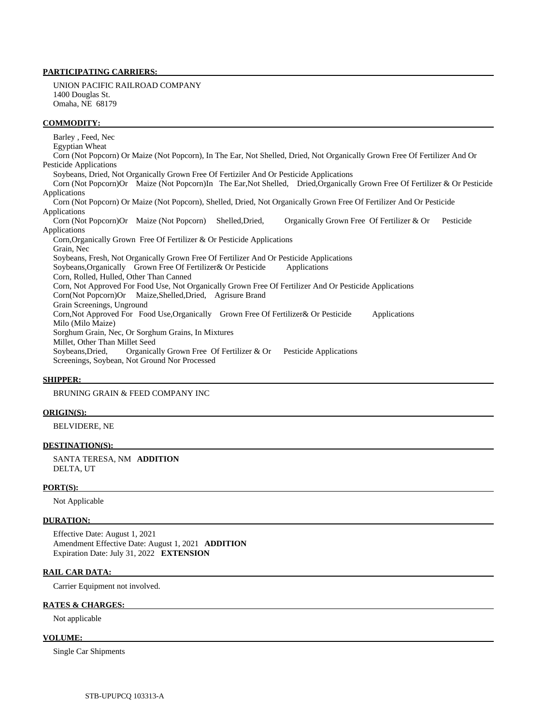#### **PARTICIPATING CARRIERS:**

 UNION PACIFIC RAILROAD COMPANY 1400 Douglas St. Omaha, NE 68179

#### **COMMODITY:**

 Barley , Feed, Nec Egyptian Wheat Corn (Not Popcorn) Or Maize (Not Popcorn), In The Ear, Not Shelled, Dried, Not Organically Grown Free Of Fertilizer And Or Pesticide Applications Soybeans, Dried, Not Organically Grown Free Of Fertiziler And Or Pesticide Applications Corn (Not Popcorn)Or Maize (Not Popcorn)In The Ear,Not Shelled, Dried,Organically Grown Free Of Fertilizer & Or Pesticide Applications Corn (Not Popcorn) Or Maize (Not Popcorn), Shelled, Dried, Not Organically Grown Free Of Fertilizer And Or Pesticide Applications Corn (Not Popcorn)Or Maize (Not Popcorn) Shelled,Dried, Organically Grown Free Of Fertilizer & Or Pesticide Applications Corn,Organically Grown Free Of Fertilizer & Or Pesticide Applications Grain, Nec Soybeans, Fresh, Not Organically Grown Free Of Fertilizer And Or Pesticide Applications Soybeans, Organically Grown Free Of Fertilizer & Or Pesticide Applications Corn, Rolled, Hulled, Other Than Canned Corn, Not Approved For Food Use, Not Organically Grown Free Of Fertilizer And Or Pesticide Applications Corn(Not Popcorn)Or Maize,Shelled,Dried, Agrisure Brand Grain Screenings, Unground Corn,Not Approved For Food Use,Organically Grown Free Of Fertilizer& Or Pesticide Applications Milo (Milo Maize) Sorghum Grain, Nec, Or Sorghum Grains, In Mixtures Millet, Other Than Millet Seed Soybeans,Dried, Organically Grown Free Of Fertilizer & Or Pesticide Applications Screenings, Soybean, Not Ground Nor Processed

#### **SHIPPER:**

BRUNING GRAIN & FEED COMPANY INC

#### **ORIGIN(S):**

BELVIDERE, NE

#### **DESTINATION(S):**

 SANTA TERESA, NM **ADDITION**  DELTA, UT

#### **PORT(S):**

Not Applicable

#### **DURATION:**

 Effective Date: August 1, 2021 Amendment Effective Date: August 1, 2021 **ADDITION**  Expiration Date: July 31, 2022 **EXTENSION** 

#### **RAIL CAR DATA:**

Carrier Equipment not involved.

#### **RATES & CHARGES:**

Not applicable

#### **VOLUME:**

Single Car Shipments